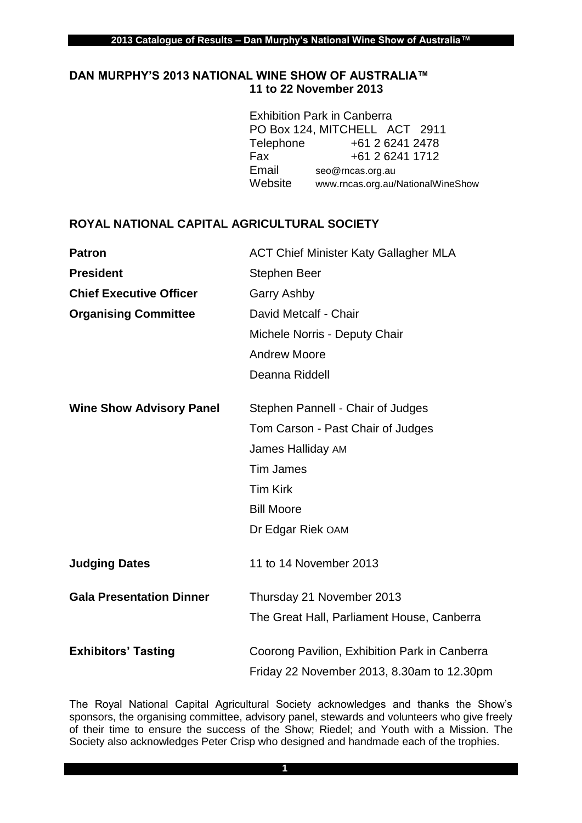## **DAN MURPHY'S 2013 NATIONAL WINE SHOW OF AUSTRALIA™ 11 to 22 November 2013**

|           | <b>Exhibition Park in Canberra</b> |
|-----------|------------------------------------|
|           | PO Box 124, MITCHELL ACT 2911      |
| Telephone | +61 2 6241 2478                    |
| Fax       | +61 2 6241 1712                    |
| Email     | seo@rncas.org.au                   |
| Website   | www.rncas.org.au/NationalWineShow  |

## **ROYAL NATIONAL CAPITAL AGRICULTURAL SOCIETY**

| <b>Patron</b>                   | <b>ACT Chief Minister Katy Gallagher MLA</b>  |
|---------------------------------|-----------------------------------------------|
| <b>President</b>                | <b>Stephen Beer</b>                           |
| <b>Chief Executive Officer</b>  | <b>Garry Ashby</b>                            |
| <b>Organising Committee</b>     | David Metcalf - Chair                         |
|                                 | Michele Norris - Deputy Chair                 |
|                                 | <b>Andrew Moore</b>                           |
|                                 | Deanna Riddell                                |
| <b>Wine Show Advisory Panel</b> | Stephen Pannell - Chair of Judges             |
|                                 | Tom Carson - Past Chair of Judges             |
|                                 | James Halliday AM                             |
|                                 | <b>Tim James</b>                              |
|                                 | <b>Tim Kirk</b>                               |
|                                 | <b>Bill Moore</b>                             |
|                                 | Dr Edgar Riek OAM                             |
| <b>Judging Dates</b>            | 11 to 14 November 2013                        |
| <b>Gala Presentation Dinner</b> | Thursday 21 November 2013                     |
|                                 | The Great Hall, Parliament House, Canberra    |
| <b>Exhibitors' Tasting</b>      | Coorong Pavilion, Exhibition Park in Canberra |
|                                 | Friday 22 November 2013, 8.30am to 12.30pm    |

The Royal National Capital Agricultural Society acknowledges and thanks the Show's sponsors, the organising committee, advisory panel, stewards and volunteers who give freely of their time to ensure the success of the Show; Riedel; and Youth with a Mission. The Society also acknowledges Peter Crisp who designed and handmade each of the trophies.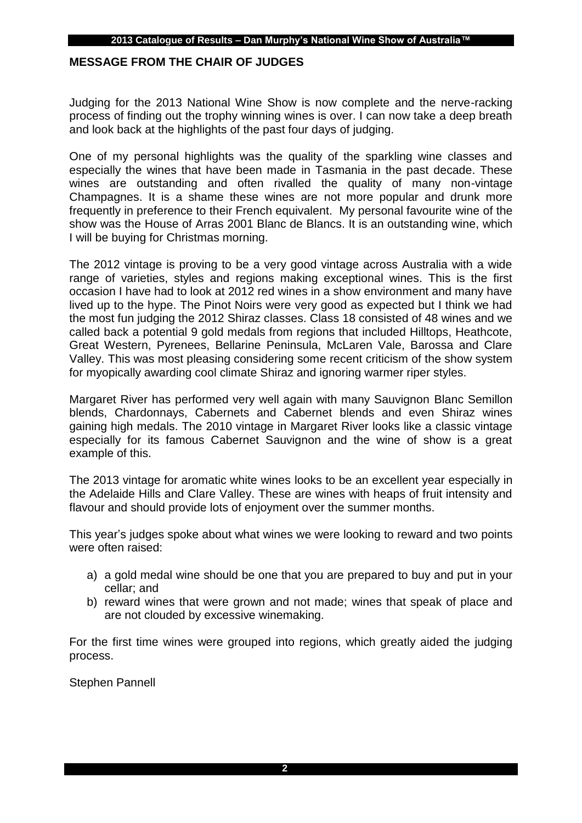## **MESSAGE FROM THE CHAIR OF JUDGES**

Judging for the 2013 National Wine Show is now complete and the nerve-racking process of finding out the trophy winning wines is over. I can now take a deep breath and look back at the highlights of the past four days of judging.

One of my personal highlights was the quality of the sparkling wine classes and especially the wines that have been made in Tasmania in the past decade. These wines are outstanding and often rivalled the quality of many non-vintage Champagnes. It is a shame these wines are not more popular and drunk more frequently in preference to their French equivalent. My personal favourite wine of the show was the House of Arras 2001 Blanc de Blancs. It is an outstanding wine, which I will be buying for Christmas morning.

The 2012 vintage is proving to be a very good vintage across Australia with a wide range of varieties, styles and regions making exceptional wines. This is the first occasion I have had to look at 2012 red wines in a show environment and many have lived up to the hype. The Pinot Noirs were very good as expected but I think we had the most fun judging the 2012 Shiraz classes. Class 18 consisted of 48 wines and we called back a potential 9 gold medals from regions that included Hilltops, Heathcote, Great Western, Pyrenees, Bellarine Peninsula, McLaren Vale, Barossa and Clare Valley. This was most pleasing considering some recent criticism of the show system for myopically awarding cool climate Shiraz and ignoring warmer riper styles.

Margaret River has performed very well again with many Sauvignon Blanc Semillon blends, Chardonnays, Cabernets and Cabernet blends and even Shiraz wines gaining high medals. The 2010 vintage in Margaret River looks like a classic vintage especially for its famous Cabernet Sauvignon and the wine of show is a great example of this.

The 2013 vintage for aromatic white wines looks to be an excellent year especially in the Adelaide Hills and Clare Valley. These are wines with heaps of fruit intensity and flavour and should provide lots of enjoyment over the summer months.

This year's judges spoke about what wines we were looking to reward and two points were often raised:

- a) a gold medal wine should be one that you are prepared to buy and put in your cellar; and
- b) reward wines that were grown and not made; wines that speak of place and are not clouded by excessive winemaking.

For the first time wines were grouped into regions, which greatly aided the judging process.

Stephen Pannell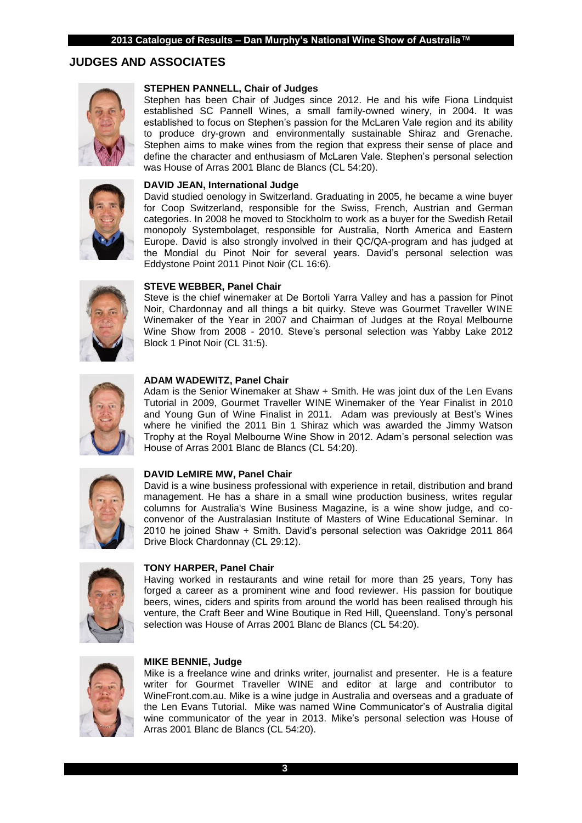## **JUDGES AND ASSOCIATES**



#### **STEPHEN PANNELL, Chair of Judges**

Stephen has been Chair of Judges since 2012. He and his wife Fiona Lindquist established SC Pannell Wines, a small family-owned winery, in 2004. It was established to focus on Stephen's passion for the McLaren Vale region and its ability to produce dry-grown and environmentally sustainable Shiraz and Grenache. Stephen aims to make wines from the region that express their sense of place and define the character and enthusiasm of McLaren Vale. Stephen's personal selection was House of Arras 2001 Blanc de Blancs (CL 54:20).

#### **DAVID JEAN, International Judge**

David studied oenology in Switzerland. Graduating in 2005, he became a wine buyer for Coop Switzerland, responsible for the Swiss, French, Austrian and German categories. In 2008 he moved to Stockholm to work as a buyer for the Swedish Retail monopoly Systembolaget, responsible for Australia, North America and Eastern Europe. David is also strongly involved in their QC/QA-program and has judged at the Mondial du Pinot Noir for several years. David's personal selection was Eddystone Point 2011 Pinot Noir (CL 16:6).



#### **STEVE WEBBER, Panel Chair**

Steve is the chief winemaker at De Bortoli Yarra Valley and has a passion for Pinot Noir, Chardonnay and all things a bit quirky. Steve was Gourmet Traveller WINE Winemaker of the Year in 2007 and Chairman of Judges at the Royal Melbourne Wine Show from 2008 - 2010. Steve's personal selection was Yabby Lake 2012 Block 1 Pinot Noir (CL 31:5).



#### **ADAM WADEWITZ, Panel Chair**

Adam is the Senior Winemaker at Shaw + Smith. He was joint dux of the Len Evans Tutorial in 2009, Gourmet Traveller WINE Winemaker of the Year Finalist in 2010 and Young Gun of Wine Finalist in 2011. Adam was previously at Best's Wines where he vinified the 2011 Bin 1 Shiraz which was awarded the Jimmy Watson Trophy at the Royal Melbourne Wine Show in 2012. Adam's personal selection was House of Arras 2001 Blanc de Blancs (CL 54:20).



#### **DAVID LeMIRE MW, Panel Chair**

David is a wine business professional with experience in retail, distribution and brand management. He has a share in a small wine production business, writes regular columns for Australia's Wine Business Magazine, is a wine show judge, and coconvenor of the Australasian Institute of Masters of Wine Educational Seminar. In 2010 he joined Shaw + Smith. David's personal selection was Oakridge 2011 864 Drive Block Chardonnay (CL 29:12).



#### **TONY HARPER, Panel Chair**

Having worked in restaurants and wine retail for more than 25 years, Tony has forged a career as a prominent wine and food reviewer. His passion for boutique beers, wines, ciders and spirits from around the world has been realised through his venture, the Craft Beer and Wine Boutique in Red Hill, Queensland. Tony's personal selection was House of Arras 2001 Blanc de Blancs (CL 54:20).



#### **MIKE BENNIE, Judge**

Mike is a freelance wine and drinks writer, journalist and presenter. He is a feature writer for Gourmet Traveller WINE and editor at large and contributor to WineFront.com.au. Mike is a wine judge in Australia and overseas and a graduate of the Len Evans Tutorial. Mike was named Wine Communicator's of Australia digital wine communicator of the year in 2013. Mike's personal selection was House of Arras 2001 Blanc de Blancs (CL 54:20).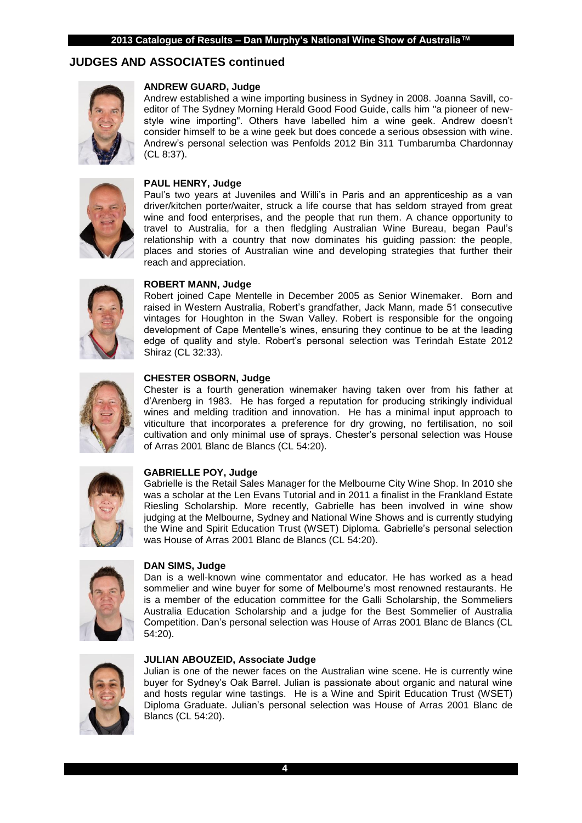## **JUDGES AND ASSOCIATES continued**



#### **ANDREW GUARD, Judge**

Andrew established a wine importing business in Sydney in 2008. Joanna Savill, coeditor of The Sydney Morning Herald Good Food Guide, calls him "a pioneer of newstyle wine importing". Others have labelled him a wine geek. Andrew doesn't consider himself to be a wine geek but does concede a serious obsession with wine. Andrew's personal selection was Penfolds 2012 Bin 311 Tumbarumba Chardonnay (CL 8:37).



#### **PAUL HENRY, Judge**

Paul's two years at Juveniles and Willi's in Paris and an apprenticeship as a van driver/kitchen porter/waiter, struck a life course that has seldom strayed from great wine and food enterprises, and the people that run them. A chance opportunity to travel to Australia, for a then fledgling Australian Wine Bureau, began Paul's relationship with a country that now dominates his guiding passion: the people, places and stories of Australian wine and developing strategies that further their reach and appreciation.



#### **ROBERT MANN, Judge**

Robert joined Cape Mentelle in December 2005 as Senior Winemaker. Born and raised in Western Australia, Robert's grandfather, Jack Mann, made 51 consecutive vintages for Houghton in the Swan Valley. Robert is responsible for the ongoing development of Cape Mentelle's wines, ensuring they continue to be at the leading edge of quality and style. Robert's personal selection was Terindah Estate 2012 Shiraz (CL 32:33).



#### **CHESTER OSBORN, Judge**

Chester is a fourth generation winemaker having taken over from his father at d'Arenberg in 1983. He has forged a reputation for producing strikingly individual wines and melding tradition and innovation. He has a minimal input approach to viticulture that incorporates a preference for dry growing, no fertilisation, no soil cultivation and only minimal use of sprays. Chester's personal selection was House of Arras 2001 Blanc de Blancs (CL 54:20).



#### **GABRIELLE POY, Judge**

Gabrielle is the Retail Sales Manager for the Melbourne City Wine Shop. In 2010 she was a scholar at the Len Evans Tutorial and in 2011 a finalist in the Frankland Estate Riesling Scholarship. More recently, Gabrielle has been involved in wine show judging at the Melbourne, Sydney and National Wine Shows and is currently studying the Wine and Spirit Education Trust (WSET) Diploma. Gabrielle's personal selection was House of Arras 2001 Blanc de Blancs (CL 54:20).



#### **DAN SIMS, Judge**

Dan is a well-known wine commentator and educator. He has worked as a head sommelier and wine buyer for some of Melbourne's most renowned restaurants. He is a member of the education committee for the Galli Scholarship, the Sommeliers Australia Education Scholarship and a judge for the Best Sommelier of Australia Competition. Dan's personal selection was House of Arras 2001 Blanc de Blancs (CL 54:20).



#### **JULIAN ABOUZEID, Associate Judge**

Julian is one of the newer faces on the Australian wine scene. He is currently wine buyer for Sydney's Oak Barrel. Julian is passionate about organic and natural wine and hosts regular wine tastings. He is a Wine and Spirit Education Trust (WSET) Diploma Graduate. Julian's personal selection was House of Arras 2001 Blanc de Blancs (CL 54:20).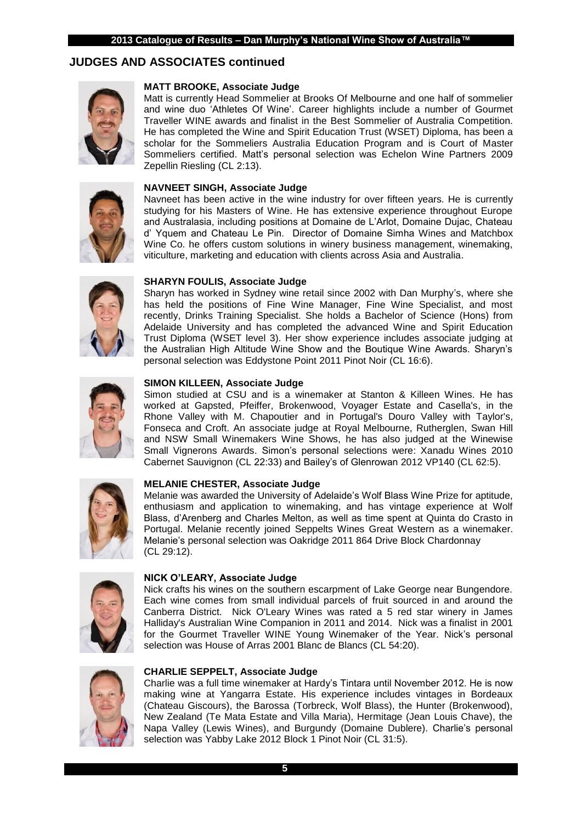## **JUDGES AND ASSOCIATES continued**



#### **MATT BROOKE, Associate Judge**

Matt is currently Head Sommelier at Brooks Of Melbourne and one half of sommelier and wine duo 'Athletes Of Wine'. Career highlights include a number of Gourmet Traveller WINE awards and finalist in the Best Sommelier of Australia Competition. He has completed the Wine and Spirit Education Trust (WSET) Diploma, has been a scholar for the Sommeliers Australia Education Program and is Court of Master Sommeliers certified. Matt's personal selection was Echelon Wine Partners 2009 Zepellin Riesling (CL 2:13).

#### **NAVNEET SINGH, Associate Judge**



Navneet has been active in the wine industry for over fifteen years. He is currently studying for his Masters of Wine. He has extensive experience throughout Europe and Australasia, including positions at Domaine de L'Arlot, Domaine Dujac, Chateau d' Yquem and Chateau Le Pin. Director of Domaine Simha Wines and Matchbox Wine Co. he offers custom solutions in winery business management, winemaking, viticulture, marketing and education with clients across Asia and Australia.



#### **SHARYN FOULIS, Associate Judge**

Sharyn has worked in Sydney wine retail since 2002 with Dan Murphy's, where she has held the positions of Fine Wine Manager, Fine Wine Specialist, and most recently, Drinks Training Specialist. She holds a Bachelor of Science (Hons) from Adelaide University and has completed the advanced Wine and Spirit Education Trust Diploma (WSET level 3). Her show experience includes associate judging at the Australian High Altitude Wine Show and the Boutique Wine Awards. Sharyn's personal selection was Eddystone Point 2011 Pinot Noir (CL 16:6).



#### **SIMON KILLEEN, Associate Judge**

Simon studied at CSU and is a winemaker at Stanton & Killeen Wines. He has worked at Gapsted, Pfeiffer, Brokenwood, Voyager Estate and Casella's, in the Rhone Valley with M. Chapoutier and in Portugal's Douro Valley with Taylor's, Fonseca and Croft. An associate judge at Royal Melbourne, Rutherglen, Swan Hill and NSW Small Winemakers Wine Shows, he has also judged at the Winewise Small Vignerons Awards. Simon's personal selections were: Xanadu Wines 2010 Cabernet Sauvignon (CL 22:33) and Bailey's of Glenrowan 2012 VP140 (CL 62:5).



#### **MELANIE CHESTER, Associate Judge**

Melanie was awarded the University of Adelaide's Wolf Blass Wine Prize for aptitude, enthusiasm and application to winemaking, and has vintage experience at Wolf Blass, d'Arenberg and Charles Melton, as well as time spent at Quinta do Crasto in Portugal. Melanie recently joined Seppelts Wines Great Western as a winemaker. Melanie's personal selection was Oakridge 2011 864 Drive Block Chardonnay (CL 29:12).



#### **NICK O'LEARY, Associate Judge**

Nick crafts his wines on the southern escarpment of Lake George near Bungendore. Each wine comes from small individual parcels of fruit sourced in and around the Canberra District. Nick O'Leary Wines was rated a 5 red star winery in James Halliday's Australian Wine Companion in 2011 and 2014. Nick was a finalist in 2001 for the Gourmet Traveller WINE Young Winemaker of the Year. Nick's personal selection was House of Arras 2001 Blanc de Blancs (CL 54:20).



#### **CHARLIE SEPPELT, Associate Judge**

Charlie was a full time winemaker at Hardy's Tintara until November 2012. He is now making wine at Yangarra Estate. His experience includes vintages in Bordeaux (Chateau Giscours), the Barossa (Torbreck, Wolf Blass), the Hunter (Brokenwood), New Zealand (Te Mata Estate and Villa Maria), Hermitage (Jean Louis Chave), the Napa Valley (Lewis Wines), and Burgundy (Domaine Dublere). Charlie's personal selection was Yabby Lake 2012 Block 1 Pinot Noir (CL 31:5).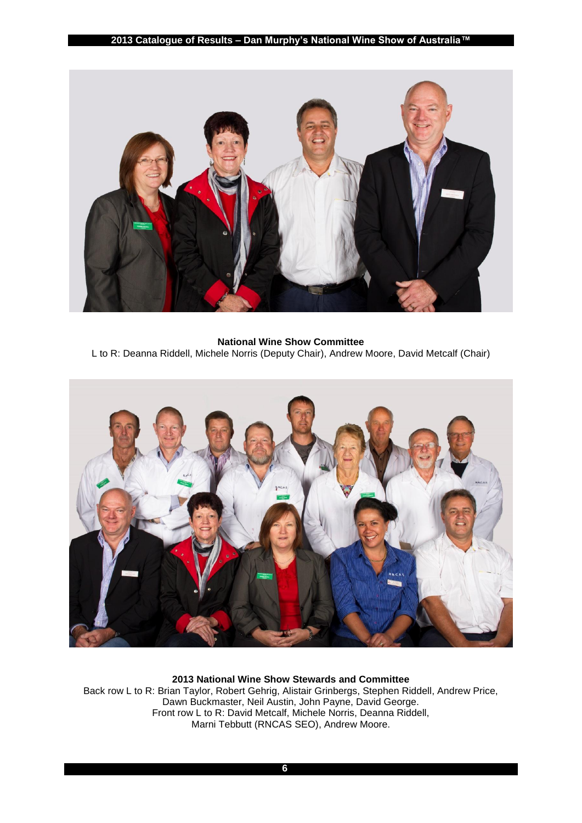

**National Wine Show Committee** L to R: Deanna Riddell, Michele Norris (Deputy Chair), Andrew Moore, David Metcalf (Chair)



**2013 National Wine Show Stewards and Committee** Back row L to R: Brian Taylor, Robert Gehrig, Alistair Grinbergs, Stephen Riddell, Andrew Price, Dawn Buckmaster, Neil Austin, John Payne, David George. Front row L to R: David Metcalf, Michele Norris, Deanna Riddell, Marni Tebbutt (RNCAS SEO), Andrew Moore.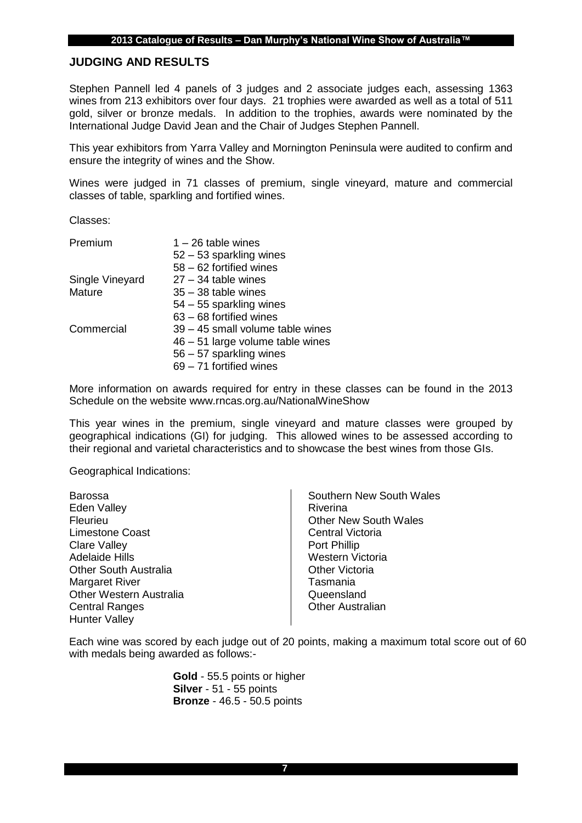#### **JUDGING AND RESULTS**

Stephen Pannell led 4 panels of 3 judges and 2 associate judges each, assessing 1363 wines from 213 exhibitors over four days. 21 trophies were awarded as well as a total of 511 gold, silver or bronze medals. In addition to the trophies, awards were nominated by the International Judge David Jean and the Chair of Judges Stephen Pannell.

This year exhibitors from Yarra Valley and Mornington Peninsula were audited to confirm and ensure the integrity of wines and the Show.

Wines were judged in 71 classes of premium, single vineyard, mature and commercial classes of table, sparkling and fortified wines.

Classes:

| Premium         | $1 - 26$ table wines             |
|-----------------|----------------------------------|
|                 | $52 - 53$ sparkling wines        |
|                 | 58 - 62 fortified wines          |
| Single Vineyard | $27 - 34$ table wines            |
| Mature          | $35 - 38$ table wines            |
|                 | $54 - 55$ sparkling wines        |
|                 | 63 - 68 fortified wines          |
| Commercial      | 39 – 45 small volume table wines |
|                 | 46 - 51 large volume table wines |
|                 | 56 – 57 sparkling wines          |
|                 | 69 - 71 fortified wines          |

More information on awards required for entry in these classes can be found in the 2013 Schedule on the website www.rncas.org.au/NationalWineShow

This year wines in the premium, single vineyard and mature classes were grouped by geographical indications (GI) for judging. This allowed wines to be assessed according to their regional and varietal characteristics and to showcase the best wines from those GIs.

Geographical Indications:

| <b>Barossa</b>                 | Southern New South Wales     |
|--------------------------------|------------------------------|
| <b>Eden Valley</b>             | Riverina                     |
| Fleurieu                       | <b>Other New South Wales</b> |
| <b>Limestone Coast</b>         | <b>Central Victoria</b>      |
| <b>Clare Valley</b>            | Port Phillip                 |
| <b>Adelaide Hills</b>          | Western Victoria             |
| <b>Other South Australia</b>   | <b>Other Victoria</b>        |
| <b>Margaret River</b>          | Tasmania                     |
| <b>Other Western Australia</b> | Queensland                   |
| <b>Central Ranges</b>          | <b>Other Australian</b>      |
| <b>Hunter Valley</b>           |                              |

Each wine was scored by each judge out of 20 points, making a maximum total score out of 60 with medals being awarded as follows:-

> **Gold** - 55.5 points or higher **Silver** - 51 - 55 points **Bronze** - 46.5 - 50.5 points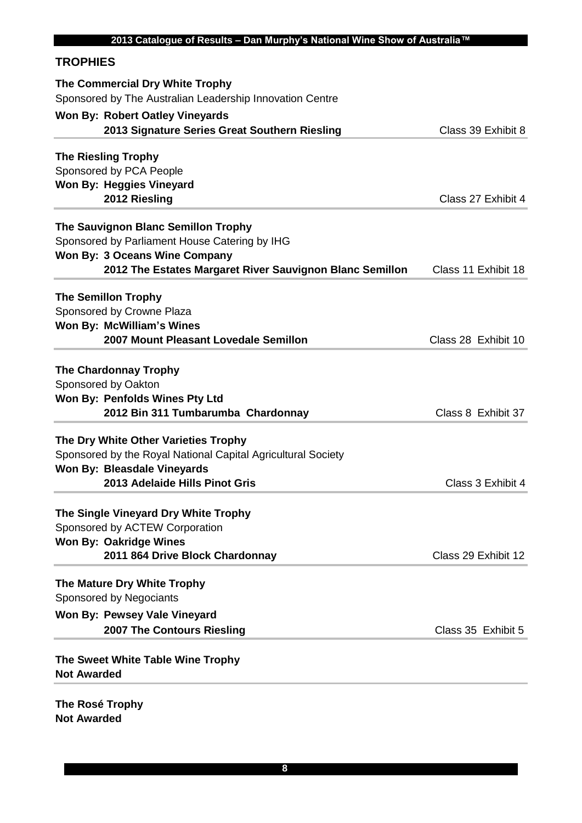## **TROPHIES**

| <b>Won By: Robert Oatley Vineyards</b><br>Class 39 Exhibit 8<br>2013 Signature Series Great Southern Riesling<br><b>The Riesling Trophy</b><br>Sponsored by PCA People<br>Won By: Heggies Vineyard<br>2012 Riesling<br>Class 27 Exhibit 4<br>The Sauvignon Blanc Semillon Trophy<br>Sponsored by Parliament House Catering by IHG<br><b>Won By: 3 Oceans Wine Company</b><br>2012 The Estates Margaret River Sauvignon Blanc Semillon<br>Class 11 Exhibit 18<br><b>The Semillon Trophy</b><br>Sponsored by Crowne Plaza<br>Won By: McWilliam's Wines<br>2007 Mount Pleasant Lovedale Semillon<br>Class 28 Exhibit 10<br><b>The Chardonnay Trophy</b><br>Sponsored by Oakton<br>Won By: Penfolds Wines Pty Ltd<br>2012 Bin 311 Tumbarumba Chardonnay<br>Class 8 Exhibit 37<br>The Dry White Other Varieties Trophy<br>Sponsored by the Royal National Capital Agricultural Society<br><b>Won By: Bleasdale Vineyards</b><br>2013 Adelaide Hills Pinot Gris<br>Class 3 Exhibit 4<br>The Single Vineyard Dry White Trophy<br>Sponsored by ACTEW Corporation<br><b>Won By: Oakridge Wines</b><br>2011 864 Drive Block Chardonnay<br>Class 29 Exhibit 12<br>The Mature Dry White Trophy<br>Sponsored by Negociants<br>Won By: Pewsey Vale Vineyard<br>2007 The Contours Riesling<br>Class 35 Exhibit 5<br>The Sweet White Table Wine Trophy<br><b>Not Awarded</b> | The Commercial Dry White Trophy                          |  |
|--------------------------------------------------------------------------------------------------------------------------------------------------------------------------------------------------------------------------------------------------------------------------------------------------------------------------------------------------------------------------------------------------------------------------------------------------------------------------------------------------------------------------------------------------------------------------------------------------------------------------------------------------------------------------------------------------------------------------------------------------------------------------------------------------------------------------------------------------------------------------------------------------------------------------------------------------------------------------------------------------------------------------------------------------------------------------------------------------------------------------------------------------------------------------------------------------------------------------------------------------------------------------------------------------------------------------------------------------------------|----------------------------------------------------------|--|
|                                                                                                                                                                                                                                                                                                                                                                                                                                                                                                                                                                                                                                                                                                                                                                                                                                                                                                                                                                                                                                                                                                                                                                                                                                                                                                                                                              | Sponsored by The Australian Leadership Innovation Centre |  |
|                                                                                                                                                                                                                                                                                                                                                                                                                                                                                                                                                                                                                                                                                                                                                                                                                                                                                                                                                                                                                                                                                                                                                                                                                                                                                                                                                              |                                                          |  |
|                                                                                                                                                                                                                                                                                                                                                                                                                                                                                                                                                                                                                                                                                                                                                                                                                                                                                                                                                                                                                                                                                                                                                                                                                                                                                                                                                              |                                                          |  |
|                                                                                                                                                                                                                                                                                                                                                                                                                                                                                                                                                                                                                                                                                                                                                                                                                                                                                                                                                                                                                                                                                                                                                                                                                                                                                                                                                              |                                                          |  |
|                                                                                                                                                                                                                                                                                                                                                                                                                                                                                                                                                                                                                                                                                                                                                                                                                                                                                                                                                                                                                                                                                                                                                                                                                                                                                                                                                              |                                                          |  |
|                                                                                                                                                                                                                                                                                                                                                                                                                                                                                                                                                                                                                                                                                                                                                                                                                                                                                                                                                                                                                                                                                                                                                                                                                                                                                                                                                              |                                                          |  |
|                                                                                                                                                                                                                                                                                                                                                                                                                                                                                                                                                                                                                                                                                                                                                                                                                                                                                                                                                                                                                                                                                                                                                                                                                                                                                                                                                              |                                                          |  |
|                                                                                                                                                                                                                                                                                                                                                                                                                                                                                                                                                                                                                                                                                                                                                                                                                                                                                                                                                                                                                                                                                                                                                                                                                                                                                                                                                              |                                                          |  |
|                                                                                                                                                                                                                                                                                                                                                                                                                                                                                                                                                                                                                                                                                                                                                                                                                                                                                                                                                                                                                                                                                                                                                                                                                                                                                                                                                              |                                                          |  |
|                                                                                                                                                                                                                                                                                                                                                                                                                                                                                                                                                                                                                                                                                                                                                                                                                                                                                                                                                                                                                                                                                                                                                                                                                                                                                                                                                              |                                                          |  |
|                                                                                                                                                                                                                                                                                                                                                                                                                                                                                                                                                                                                                                                                                                                                                                                                                                                                                                                                                                                                                                                                                                                                                                                                                                                                                                                                                              |                                                          |  |
|                                                                                                                                                                                                                                                                                                                                                                                                                                                                                                                                                                                                                                                                                                                                                                                                                                                                                                                                                                                                                                                                                                                                                                                                                                                                                                                                                              |                                                          |  |
|                                                                                                                                                                                                                                                                                                                                                                                                                                                                                                                                                                                                                                                                                                                                                                                                                                                                                                                                                                                                                                                                                                                                                                                                                                                                                                                                                              |                                                          |  |
|                                                                                                                                                                                                                                                                                                                                                                                                                                                                                                                                                                                                                                                                                                                                                                                                                                                                                                                                                                                                                                                                                                                                                                                                                                                                                                                                                              |                                                          |  |
|                                                                                                                                                                                                                                                                                                                                                                                                                                                                                                                                                                                                                                                                                                                                                                                                                                                                                                                                                                                                                                                                                                                                                                                                                                                                                                                                                              |                                                          |  |
|                                                                                                                                                                                                                                                                                                                                                                                                                                                                                                                                                                                                                                                                                                                                                                                                                                                                                                                                                                                                                                                                                                                                                                                                                                                                                                                                                              |                                                          |  |
|                                                                                                                                                                                                                                                                                                                                                                                                                                                                                                                                                                                                                                                                                                                                                                                                                                                                                                                                                                                                                                                                                                                                                                                                                                                                                                                                                              |                                                          |  |
|                                                                                                                                                                                                                                                                                                                                                                                                                                                                                                                                                                                                                                                                                                                                                                                                                                                                                                                                                                                                                                                                                                                                                                                                                                                                                                                                                              |                                                          |  |
|                                                                                                                                                                                                                                                                                                                                                                                                                                                                                                                                                                                                                                                                                                                                                                                                                                                                                                                                                                                                                                                                                                                                                                                                                                                                                                                                                              |                                                          |  |
|                                                                                                                                                                                                                                                                                                                                                                                                                                                                                                                                                                                                                                                                                                                                                                                                                                                                                                                                                                                                                                                                                                                                                                                                                                                                                                                                                              |                                                          |  |
|                                                                                                                                                                                                                                                                                                                                                                                                                                                                                                                                                                                                                                                                                                                                                                                                                                                                                                                                                                                                                                                                                                                                                                                                                                                                                                                                                              |                                                          |  |
|                                                                                                                                                                                                                                                                                                                                                                                                                                                                                                                                                                                                                                                                                                                                                                                                                                                                                                                                                                                                                                                                                                                                                                                                                                                                                                                                                              |                                                          |  |
|                                                                                                                                                                                                                                                                                                                                                                                                                                                                                                                                                                                                                                                                                                                                                                                                                                                                                                                                                                                                                                                                                                                                                                                                                                                                                                                                                              |                                                          |  |
|                                                                                                                                                                                                                                                                                                                                                                                                                                                                                                                                                                                                                                                                                                                                                                                                                                                                                                                                                                                                                                                                                                                                                                                                                                                                                                                                                              |                                                          |  |
|                                                                                                                                                                                                                                                                                                                                                                                                                                                                                                                                                                                                                                                                                                                                                                                                                                                                                                                                                                                                                                                                                                                                                                                                                                                                                                                                                              |                                                          |  |
|                                                                                                                                                                                                                                                                                                                                                                                                                                                                                                                                                                                                                                                                                                                                                                                                                                                                                                                                                                                                                                                                                                                                                                                                                                                                                                                                                              |                                                          |  |
|                                                                                                                                                                                                                                                                                                                                                                                                                                                                                                                                                                                                                                                                                                                                                                                                                                                                                                                                                                                                                                                                                                                                                                                                                                                                                                                                                              |                                                          |  |
|                                                                                                                                                                                                                                                                                                                                                                                                                                                                                                                                                                                                                                                                                                                                                                                                                                                                                                                                                                                                                                                                                                                                                                                                                                                                                                                                                              |                                                          |  |
|                                                                                                                                                                                                                                                                                                                                                                                                                                                                                                                                                                                                                                                                                                                                                                                                                                                                                                                                                                                                                                                                                                                                                                                                                                                                                                                                                              |                                                          |  |
|                                                                                                                                                                                                                                                                                                                                                                                                                                                                                                                                                                                                                                                                                                                                                                                                                                                                                                                                                                                                                                                                                                                                                                                                                                                                                                                                                              |                                                          |  |
|                                                                                                                                                                                                                                                                                                                                                                                                                                                                                                                                                                                                                                                                                                                                                                                                                                                                                                                                                                                                                                                                                                                                                                                                                                                                                                                                                              |                                                          |  |
|                                                                                                                                                                                                                                                                                                                                                                                                                                                                                                                                                                                                                                                                                                                                                                                                                                                                                                                                                                                                                                                                                                                                                                                                                                                                                                                                                              |                                                          |  |
|                                                                                                                                                                                                                                                                                                                                                                                                                                                                                                                                                                                                                                                                                                                                                                                                                                                                                                                                                                                                                                                                                                                                                                                                                                                                                                                                                              |                                                          |  |
|                                                                                                                                                                                                                                                                                                                                                                                                                                                                                                                                                                                                                                                                                                                                                                                                                                                                                                                                                                                                                                                                                                                                                                                                                                                                                                                                                              |                                                          |  |
|                                                                                                                                                                                                                                                                                                                                                                                                                                                                                                                                                                                                                                                                                                                                                                                                                                                                                                                                                                                                                                                                                                                                                                                                                                                                                                                                                              |                                                          |  |
|                                                                                                                                                                                                                                                                                                                                                                                                                                                                                                                                                                                                                                                                                                                                                                                                                                                                                                                                                                                                                                                                                                                                                                                                                                                                                                                                                              |                                                          |  |

**The Rosé Trophy Not Awarded**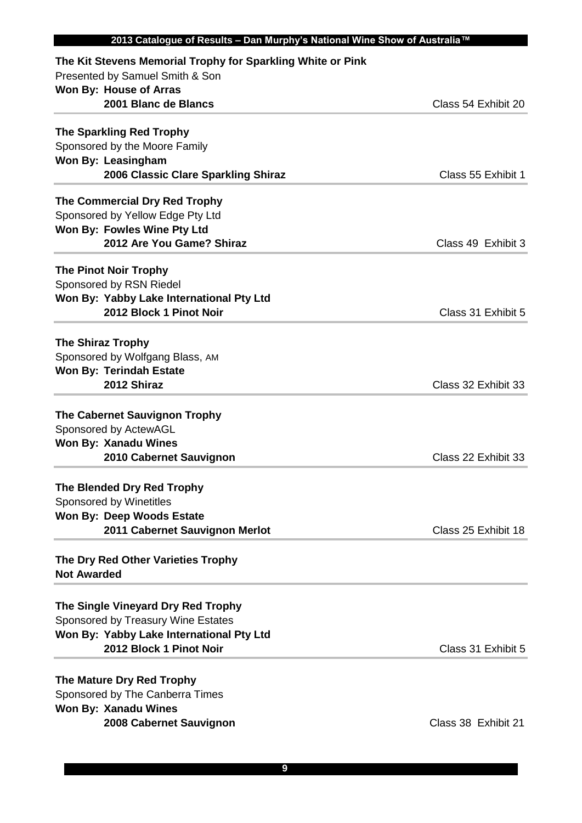| 2013 Catalogue of Results - Dan Murphy's National Wine Show of Australia™ |                     |
|---------------------------------------------------------------------------|---------------------|
| The Kit Stevens Memorial Trophy for Sparkling White or Pink               |                     |
| Presented by Samuel Smith & Son                                           |                     |
| Won By: House of Arras                                                    |                     |
| 2001 Blanc de Blancs                                                      | Class 54 Exhibit 20 |
| <b>The Sparkling Red Trophy</b>                                           |                     |
| Sponsored by the Moore Family                                             |                     |
| Won By: Leasingham                                                        |                     |
| 2006 Classic Clare Sparkling Shiraz                                       | Class 55 Exhibit 1  |
| The Commercial Dry Red Trophy                                             |                     |
| Sponsored by Yellow Edge Pty Ltd                                          |                     |
| Won By: Fowles Wine Pty Ltd                                               |                     |
| 2012 Are You Game? Shiraz                                                 | Class 49 Exhibit 3  |
|                                                                           |                     |
| <b>The Pinot Noir Trophy</b>                                              |                     |
| Sponsored by RSN Riedel                                                   |                     |
| Won By: Yabby Lake International Pty Ltd                                  |                     |
| 2012 Block 1 Pinot Noir                                                   | Class 31 Exhibit 5  |
| <b>The Shiraz Trophy</b>                                                  |                     |
| Sponsored by Wolfgang Blass, AM                                           |                     |
| <b>Won By: Terindah Estate</b>                                            |                     |
| 2012 Shiraz                                                               | Class 32 Exhibit 33 |
|                                                                           |                     |
| <b>The Cabernet Sauvignon Trophy</b>                                      |                     |
| Sponsored by ActewAGL                                                     |                     |
| <b>Won By: Xanadu Wines</b>                                               |                     |
| 2010 Cabernet Sauvignon                                                   | Class 22 Exhibit 33 |
| The Blended Dry Red Trophy                                                |                     |
| Sponsored by Winetitles                                                   |                     |
| <b>Won By: Deep Woods Estate</b>                                          |                     |
| 2011 Cabernet Sauvignon Merlot                                            | Class 25 Exhibit 18 |
|                                                                           |                     |
| The Dry Red Other Varieties Trophy<br><b>Not Awarded</b>                  |                     |
|                                                                           |                     |
| The Single Vineyard Dry Red Trophy                                        |                     |
| Sponsored by Treasury Wine Estates                                        |                     |
| Won By: Yabby Lake International Pty Ltd                                  |                     |
| 2012 Block 1 Pinot Noir                                                   | Class 31 Exhibit 5  |
|                                                                           |                     |
| The Mature Dry Red Trophy                                                 |                     |
| Sponsored by The Canberra Times                                           |                     |
| <b>Won By: Xanadu Wines</b>                                               |                     |
| 2008 Cabernet Sauvignon                                                   | Class 38 Exhibit 21 |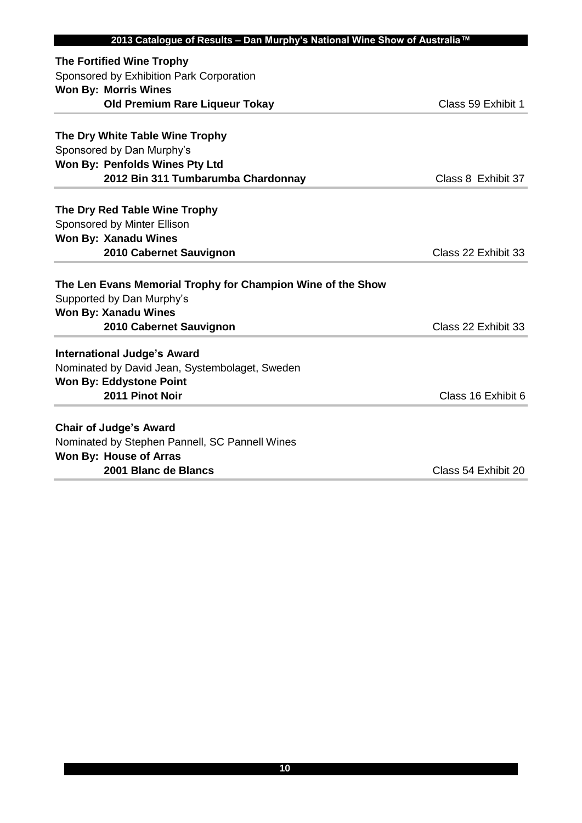| 2013 Catalogue of Results - Dan Murphy's National Wine Show of Australia™ |                     |
|---------------------------------------------------------------------------|---------------------|
| <b>The Fortified Wine Trophy</b>                                          |                     |
| Sponsored by Exhibition Park Corporation                                  |                     |
| <b>Won By: Morris Wines</b>                                               |                     |
| <b>Old Premium Rare Liqueur Tokay</b>                                     | Class 59 Exhibit 1  |
|                                                                           |                     |
| The Dry White Table Wine Trophy                                           |                     |
| Sponsored by Dan Murphy's                                                 |                     |
| Won By: Penfolds Wines Pty Ltd                                            |                     |
| 2012 Bin 311 Tumbarumba Chardonnay                                        | Class 8 Exhibit 37  |
| The Dry Red Table Wine Trophy                                             |                     |
| Sponsored by Minter Ellison                                               |                     |
| <b>Won By: Xanadu Wines</b>                                               |                     |
| 2010 Cabernet Sauvignon                                                   | Class 22 Exhibit 33 |
|                                                                           |                     |
| The Len Evans Memorial Trophy for Champion Wine of the Show               |                     |
| Supported by Dan Murphy's                                                 |                     |
| <b>Won By: Xanadu Wines</b>                                               |                     |
| 2010 Cabernet Sauvignon                                                   | Class 22 Exhibit 33 |
| <b>International Judge's Award</b>                                        |                     |
| Nominated by David Jean, Systembolaget, Sweden                            |                     |
| <b>Won By: Eddystone Point</b>                                            |                     |
| 2011 Pinot Noir                                                           | Class 16 Exhibit 6  |
| <b>Chair of Judge's Award</b>                                             |                     |
| Nominated by Stephen Pannell, SC Pannell Wines                            |                     |
| Won By: House of Arras                                                    |                     |
| 2001 Blanc de Blancs                                                      | Class 54 Exhibit 20 |
|                                                                           |                     |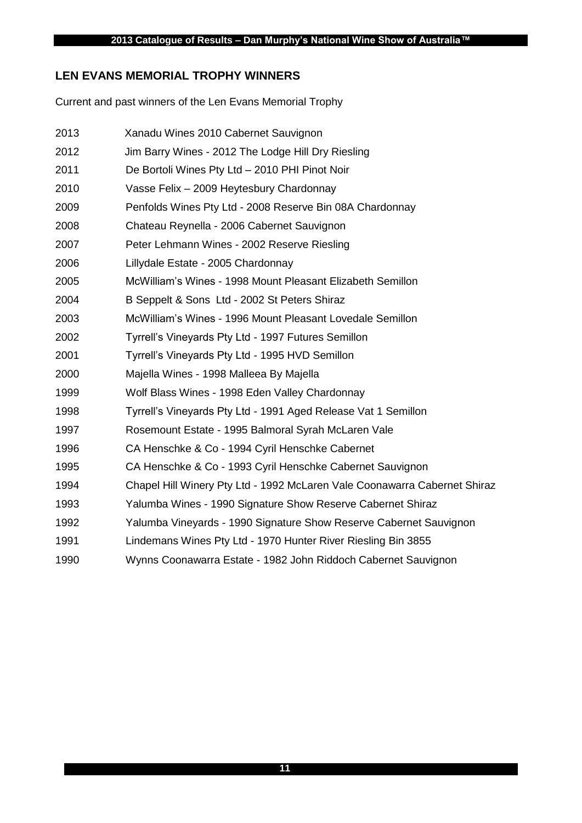## **LEN EVANS MEMORIAL TROPHY WINNERS**

Current and past winners of the Len Evans Memorial Trophy

| 2013 | Xanadu Wines 2010 Cabernet Sauvignon                                      |
|------|---------------------------------------------------------------------------|
| 2012 | Jim Barry Wines - 2012 The Lodge Hill Dry Riesling                        |
| 2011 | De Bortoli Wines Pty Ltd - 2010 PHI Pinot Noir                            |
| 2010 | Vasse Felix - 2009 Heytesbury Chardonnay                                  |
| 2009 | Penfolds Wines Pty Ltd - 2008 Reserve Bin 08A Chardonnay                  |
| 2008 | Chateau Reynella - 2006 Cabernet Sauvignon                                |
| 2007 | Peter Lehmann Wines - 2002 Reserve Riesling                               |
| 2006 | Lillydale Estate - 2005 Chardonnay                                        |
| 2005 | McWilliam's Wines - 1998 Mount Pleasant Elizabeth Semillon                |
| 2004 | B Seppelt & Sons Ltd - 2002 St Peters Shiraz                              |
| 2003 | McWilliam's Wines - 1996 Mount Pleasant Lovedale Semillon                 |
| 2002 | Tyrrell's Vineyards Pty Ltd - 1997 Futures Semillon                       |
| 2001 | Tyrrell's Vineyards Pty Ltd - 1995 HVD Semillon                           |
| 2000 | Majella Wines - 1998 Malleea By Majella                                   |
| 1999 | Wolf Blass Wines - 1998 Eden Valley Chardonnay                            |
| 1998 | Tyrrell's Vineyards Pty Ltd - 1991 Aged Release Vat 1 Semillon            |
| 1997 | Rosemount Estate - 1995 Balmoral Syrah McLaren Vale                       |
| 1996 | CA Henschke & Co - 1994 Cyril Henschke Cabernet                           |
| 1995 | CA Henschke & Co - 1993 Cyril Henschke Cabernet Sauvignon                 |
| 1994 | Chapel Hill Winery Pty Ltd - 1992 McLaren Vale Coonawarra Cabernet Shiraz |
| 1993 | Yalumba Wines - 1990 Signature Show Reserve Cabernet Shiraz               |
| 1992 | Yalumba Vineyards - 1990 Signature Show Reserve Cabernet Sauvignon        |
| 1991 | Lindemans Wines Pty Ltd - 1970 Hunter River Riesling Bin 3855             |
| 1990 | Wynns Coonawarra Estate - 1982 John Riddoch Cabernet Sauvignon            |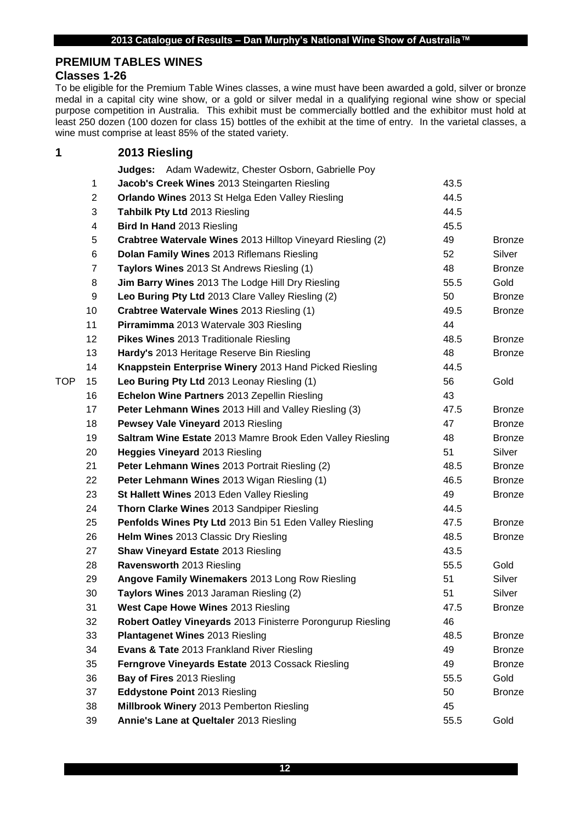## **PREMIUM TABLES WINES**

## **Classes 1-26**

To be eligible for the Premium Table Wines classes, a wine must have been awarded a gold, silver or bronze medal in a capital city wine show, or a gold or silver medal in a qualifying regional wine show or special purpose competition in Australia. This exhibit must be commercially bottled and the exhibitor must hold at least 250 dozen (100 dozen for class 15) bottles of the exhibit at the time of entry. In the varietal classes, a wine must comprise at least 85% of the stated variety.

## **2013 Riesling Judges:** Adam Wadewitz, Chester Osborn, Gabrielle Poy **Jacob's Creek Wines** 2013 Steingarten Riesling 43.5 2 Orlando Wines 2013 St Helga Eden Valley Riesling **Container 144.5 Tahbilk Pty Ltd** 2013 Riesling 44.5 **Bird In Hand** 2013 Riesling 45.5 **Crabtree Watervale Wines** 2013 Hilltop Vineyard Riesling (2) 49 Bronze **Dolan Family Wines** 2013 Riflemans Riesling 52 Silver **Taylors Wines** 2013 St Andrews Riesling (1) 48 48 Bronze **Jim Barry Wines** 2013 The Lodge Hill Dry Riesling 55.5 Gold **Leo Buring Pty Ltd** 2013 Clare Valley Riesling (2) 50 Bronze **Crabtree Watervale Wines** 2013 Riesling (1) 49.5 Bronze **Pirramimma** 2013 Watervale 303 Riesling 44 **Pikes Wines** 2013 Traditionale Riesling **12 Construction 2018** 12 A8.5 Bronze **Hardy's** 2013 Heritage Reserve Bin Riesling **120 Communist 2013** Bronze **Knappstein Enterprise Winery** 2013 Hand Picked Riesling 44.5 TOP 15 **Leo Buring Pty Ltd** 2013 Leonay Riesling (1) 56 56 Gold **Echelon Wine Partners** 2013 Zepellin Riesling 43 **Peter Lehmann Wines** 2013 Hill and Valley Riesling (3) 47.5 Bronze **Pewsey Vale Vineyard** 2013 Riesling **18 Architecture 1201** 47 Bronze **Saltram Wine Estate** 2013 Mamre Brook Eden Valley Riesling **48** Bronze **Heggies Vineyard** 2013 Riesling 51 Silver **Peter Lehmann Wines** 2013 Portrait Riesling (2) 48.5 Bronze **Peter Lehmann Wines** 2013 Wigan Riesling (1) 46.5 Bronze **St Hallett Wines** 2013 Eden Valley Riesling **19 12 12 13 Hallett Wines** 2013 Eden Valley Riesling **49** Archives **Thorn Clarke Wines** 2013 Sandpiper Riesling **1988 1244** 44.5 **Penfolds Wines Pty Ltd** 2013 Bin 51 Eden Valley Riesling 47.5 Bronze **Helm Wines** 2013 Classic Dry Riesling 48.5 Bronze **Shaw Vineyard Estate** 2013 Riesling 43.5 **28 Ravensworth** 2013 Riesling **55.5** Gold **Angove Family Winemakers** 2013 Long Row Riesling 51 Silver **Taylors Wines** 2013 Jaraman Riesling (2) 51 Silver **West Cape Howe Wines** 2013 Riesling **1988 12:3 Arrow Account 12:3 Arrow Arrow Arrow Arrow Arrow Arrow Arrow Arrow Arrow Bronze Robert Oatley Vineyards** 2013 Finisterre Porongurup Riesling 46 **Plantagenet Wines** 2013 Riesling 48.5 Bronze **Evans & Tate** 2013 Frankland River Riesling **19 Arrival 2013** Bronze **Ferngrove Vineyards Estate** 2013 Cossack Riesling **19 Arror 2013** Bronze **Bay of Fires** 2013 Riesling 55.5 Gold **Eddystone Point** 2013 Riesling 50 Bronze **Millbrook Winery** 2013 Pemberton Riesling 45

**39 Annie's Lane at Queltaler** 2013 Riesling **55.5** Sold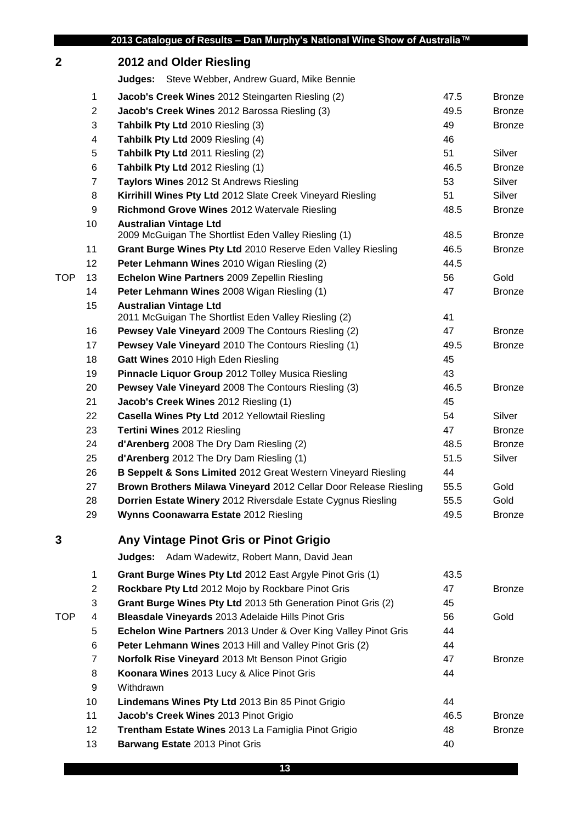| $\boldsymbol{2}$ |                | 2012 and Older Riesling                                                               |      |               |
|------------------|----------------|---------------------------------------------------------------------------------------|------|---------------|
|                  |                | <b>Judges:</b> Steve Webber, Andrew Guard, Mike Bennie                                |      |               |
|                  | 1              | <b>Jacob's Creek Wines</b> 2012 Steingarten Riesling (2)                              | 47.5 | <b>Bronze</b> |
|                  | $\overline{2}$ | Jacob's Creek Wines 2012 Barossa Riesling (3)                                         | 49.5 | <b>Bronze</b> |
|                  | 3              | Tahbilk Pty Ltd 2010 Riesling (3)                                                     | 49   | <b>Bronze</b> |
|                  | 4              | Tahbilk Pty Ltd 2009 Riesling (4)                                                     | 46   |               |
|                  | 5              | Tahbilk Pty Ltd 2011 Riesling (2)                                                     | 51   | Silver        |
|                  | 6              | Tahbilk Pty Ltd 2012 Riesling (1)                                                     | 46.5 | <b>Bronze</b> |
|                  | $\overline{7}$ | Taylors Wines 2012 St Andrews Riesling                                                | 53   | Silver        |
|                  | 8              | Kirrihill Wines Pty Ltd 2012 Slate Creek Vineyard Riesling                            | 51   | Silver        |
|                  | 9              | Richmond Grove Wines 2012 Watervale Riesling                                          | 48.5 | <b>Bronze</b> |
|                  | 10             | <b>Australian Vintage Ltd</b>                                                         |      |               |
|                  |                | 2009 McGuigan The Shortlist Eden Valley Riesling (1)                                  | 48.5 | <b>Bronze</b> |
|                  | 11             | Grant Burge Wines Pty Ltd 2010 Reserve Eden Valley Riesling                           | 46.5 | <b>Bronze</b> |
|                  | 12             | Peter Lehmann Wines 2010 Wigan Riesling (2)                                           | 44.5 |               |
| <b>TOP</b>       | 13             | Echelon Wine Partners 2009 Zepellin Riesling                                          | 56   | Gold          |
|                  | 14             | Peter Lehmann Wines 2008 Wigan Riesling (1)                                           | 47   | <b>Bronze</b> |
|                  | 15             | <b>Australian Vintage Ltd</b><br>2011 McGuigan The Shortlist Eden Valley Riesling (2) | 41   |               |
|                  | 16             | Pewsey Vale Vineyard 2009 The Contours Riesling (2)                                   | 47   | <b>Bronze</b> |
|                  | 17             | Pewsey Vale Vineyard 2010 The Contours Riesling (1)                                   | 49.5 | <b>Bronze</b> |
|                  | 18             | Gatt Wines 2010 High Eden Riesling                                                    | 45   |               |
|                  | 19             | Pinnacle Liquor Group 2012 Tolley Musica Riesling                                     | 43   |               |
|                  | 20             | <b>Pewsey Vale Vineyard 2008 The Contours Riesling (3)</b>                            | 46.5 | <b>Bronze</b> |
|                  | 21             | Jacob's Creek Wines 2012 Riesling (1)                                                 | 45   |               |
|                  | 22             | Casella Wines Pty Ltd 2012 Yellowtail Riesling                                        | 54   | Silver        |
|                  | 23             | <b>Tertini Wines 2012 Riesling</b>                                                    | 47   | <b>Bronze</b> |
|                  | 24             | d'Arenberg 2008 The Dry Dam Riesling (2)                                              | 48.5 | <b>Bronze</b> |
|                  | 25             | d'Arenberg 2012 The Dry Dam Riesling (1)                                              | 51.5 | Silver        |
|                  | 26             | B Seppelt & Sons Limited 2012 Great Western Vineyard Riesling                         | 44   |               |
|                  | 27             | Brown Brothers Milawa Vineyard 2012 Cellar Door Release Riesling                      | 55.5 | Gold          |
|                  | 28             | Dorrien Estate Winery 2012 Riversdale Estate Cygnus Riesling                          | 55.5 | Gold          |
|                  | 29             | <b>Wynns Coonawarra Estate 2012 Riesling</b>                                          | 49.5 | <b>Bronze</b> |
| 3                |                | Any Vintage Pinot Gris or Pinot Grigio                                                |      |               |
|                  |                | Adam Wadewitz, Robert Mann, David Jean<br>Judges:                                     |      |               |
|                  | $\mathbf 1$    | Grant Burge Wines Pty Ltd 2012 East Argyle Pinot Gris (1)                             | 43.5 |               |
|                  | $\overline{2}$ | Rockbare Pty Ltd 2012 Mojo by Rockbare Pinot Gris                                     | 47   | <b>Bronze</b> |
|                  | 3              | Grant Burge Wines Pty Ltd 2013 5th Generation Pinot Gris (2)                          | 45   |               |
| <b>TOP</b>       | 4              | Bleasdale Vineyards 2013 Adelaide Hills Pinot Gris                                    | 56   | Gold          |
|                  | 5              | Echelon Wine Partners 2013 Under & Over King Valley Pinot Gris                        | 44   |               |
|                  | 6              | Peter Lehmann Wines 2013 Hill and Valley Pinot Gris (2)                               | 44   |               |
|                  | 7              | Norfolk Rise Vineyard 2013 Mt Benson Pinot Grigio                                     | 47   | <b>Bronze</b> |
|                  | 8              | Koonara Wines 2013 Lucy & Alice Pinot Gris                                            | 44   |               |
|                  | 9              | Withdrawn                                                                             |      |               |
|                  | 10             | Lindemans Wines Pty Ltd 2013 Bin 85 Pinot Grigio                                      | 44   |               |
|                  | 11             | Jacob's Creek Wines 2013 Pinot Grigio                                                 | 46.5 | <b>Bronze</b> |
|                  | 12             | Trentham Estate Wines 2013 La Famiglia Pinot Grigio                                   | 48   | <b>Bronze</b> |
|                  |                |                                                                                       |      |               |

**Barwang Estate** 2013 Pinot Gris **13 All 2014 Barwang Estate** 2013 Pinot Gris **140**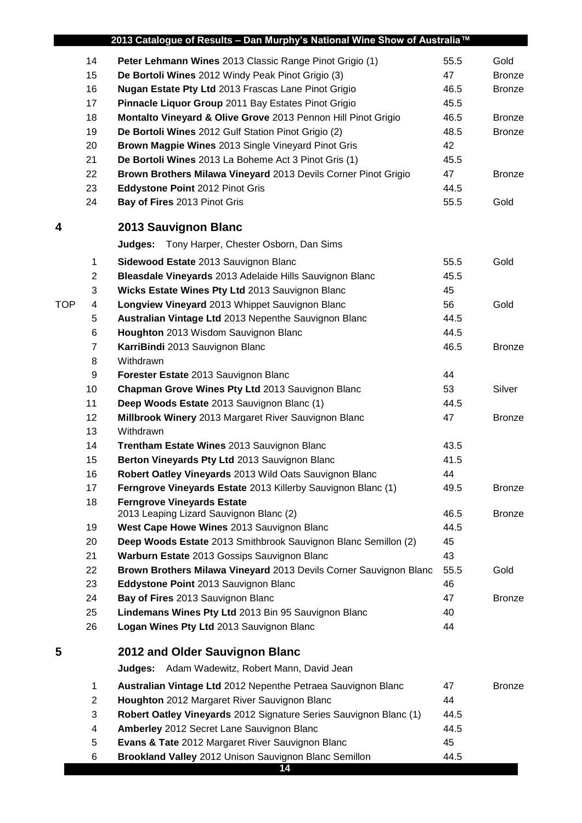|            |                | 2013 Catalogue of Results - Dan Murphy's National Wine Show of Australia™    |      |               |
|------------|----------------|------------------------------------------------------------------------------|------|---------------|
|            | 14             | Peter Lehmann Wines 2013 Classic Range Pinot Grigio (1)                      | 55.5 | Gold          |
|            | 15             | De Bortoli Wines 2012 Windy Peak Pinot Grigio (3)                            | 47   | <b>Bronze</b> |
|            | 16             | <b>Nugan Estate Pty Ltd 2013 Frascas Lane Pinot Grigio</b>                   | 46.5 | <b>Bronze</b> |
|            | 17             | Pinnacle Liquor Group 2011 Bay Estates Pinot Grigio                          | 45.5 |               |
|            | 18             | Montalto Vineyard & Olive Grove 2013 Pennon Hill Pinot Grigio                | 46.5 | <b>Bronze</b> |
|            | 19             | De Bortoli Wines 2012 Gulf Station Pinot Grigio (2)                          | 48.5 | <b>Bronze</b> |
|            | 20             | Brown Magpie Wines 2013 Single Vineyard Pinot Gris                           | 42   |               |
|            | 21             | De Bortoli Wines 2013 La Boheme Act 3 Pinot Gris (1)                         | 45.5 |               |
|            | 22             | Brown Brothers Milawa Vineyard 2013 Devils Corner Pinot Grigio               | 47   | <b>Bronze</b> |
|            | 23             | Eddystone Point 2012 Pinot Gris                                              | 44.5 |               |
|            | 24             | Bay of Fires 2013 Pinot Gris                                                 | 55.5 | Gold          |
| 4          |                | 2013 Sauvignon Blanc                                                         |      |               |
|            |                | Judges: Tony Harper, Chester Osborn, Dan Sims                                |      |               |
|            | 1              | Sidewood Estate 2013 Sauvignon Blanc                                         | 55.5 | Gold          |
|            | $\overline{2}$ | Bleasdale Vineyards 2013 Adelaide Hills Sauvignon Blanc                      | 45.5 |               |
|            | 3              | Wicks Estate Wines Pty Ltd 2013 Sauvignon Blanc                              | 45   |               |
| <b>TOP</b> | 4              | Longview Vineyard 2013 Whippet Sauvignon Blanc                               | 56   | Gold          |
|            | 5              | Australian Vintage Ltd 2013 Nepenthe Sauvignon Blanc                         | 44.5 |               |
|            | 6              | Houghton 2013 Wisdom Sauvignon Blanc                                         | 44.5 |               |
|            | $\overline{7}$ | KarriBindi 2013 Sauvignon Blanc                                              | 46.5 | <b>Bronze</b> |
|            | 8              | Withdrawn                                                                    |      |               |
|            | 9              | Forester Estate 2013 Sauvignon Blanc                                         | 44   |               |
|            | 10             | Chapman Grove Wines Pty Ltd 2013 Sauvignon Blanc                             | 53   | Silver        |
|            | 11             | Deep Woods Estate 2013 Sauvignon Blanc (1)                                   | 44.5 |               |
|            | 12             | Millbrook Winery 2013 Margaret River Sauvignon Blanc                         | 47   | <b>Bronze</b> |
|            | 13             | Withdrawn                                                                    |      |               |
|            | 14             | Trentham Estate Wines 2013 Sauvignon Blanc                                   | 43.5 |               |
|            | 15             | Berton Vineyards Pty Ltd 2013 Sauvignon Blanc                                | 41.5 |               |
|            | 16             | Robert Oatley Vineyards 2013 Wild Oats Sauvignon Blanc                       | 44   |               |
|            | 17             | Ferngrove Vineyards Estate 2013 Killerby Sauvignon Blanc (1)                 | 49.5 | <b>Bronze</b> |
|            | 18             | <b>Ferngrove Vineyards Estate</b><br>2013 Leaping Lizard Sauvignon Blanc (2) | 46.5 | <b>Bronze</b> |
|            | 19             | West Cape Howe Wines 2013 Sauvignon Blanc                                    | 44.5 |               |
|            | 20             | Deep Woods Estate 2013 Smithbrook Sauvignon Blanc Semillon (2)               | 45   |               |
|            | 21             | Warburn Estate 2013 Gossips Sauvignon Blanc                                  | 43   |               |
|            | 22             | Brown Brothers Milawa Vineyard 2013 Devils Corner Sauvignon Blanc            | 55.5 | Gold          |
|            | 23             | Eddystone Point 2013 Sauvignon Blanc                                         | 46   |               |
|            | 24             | Bay of Fires 2013 Sauvignon Blanc                                            | 47   | <b>Bronze</b> |
|            | 25             | Lindemans Wines Pty Ltd 2013 Bin 95 Sauvignon Blanc                          | 40   |               |
|            | 26             | Logan Wines Pty Ltd 2013 Sauvignon Blanc                                     | 44   |               |
| 5          |                | 2012 and Older Sauvignon Blanc                                               |      |               |
|            |                | <b>Judges:</b> Adam Wadewitz, Robert Mann, David Jean                        |      |               |
|            | 1              | Australian Vintage Ltd 2012 Nepenthe Petraea Sauvignon Blanc                 | 47   | <b>Bronze</b> |
|            | $\overline{2}$ | Houghton 2012 Margaret River Sauvignon Blanc                                 | 44   |               |
|            | 3              | Robert Oatley Vineyards 2012 Signature Series Sauvignon Blanc (1)            | 44.5 |               |
|            | 4              | Amberley 2012 Secret Lane Sauvignon Blanc                                    | 44.5 |               |
|            | 5              | Evans & Tate 2012 Margaret River Sauvignon Blanc                             | 45   |               |
|            | 6              | Brookland Valley 2012 Unison Sauvignon Blanc Semillon                        | 44.5 |               |
|            |                | 14                                                                           |      |               |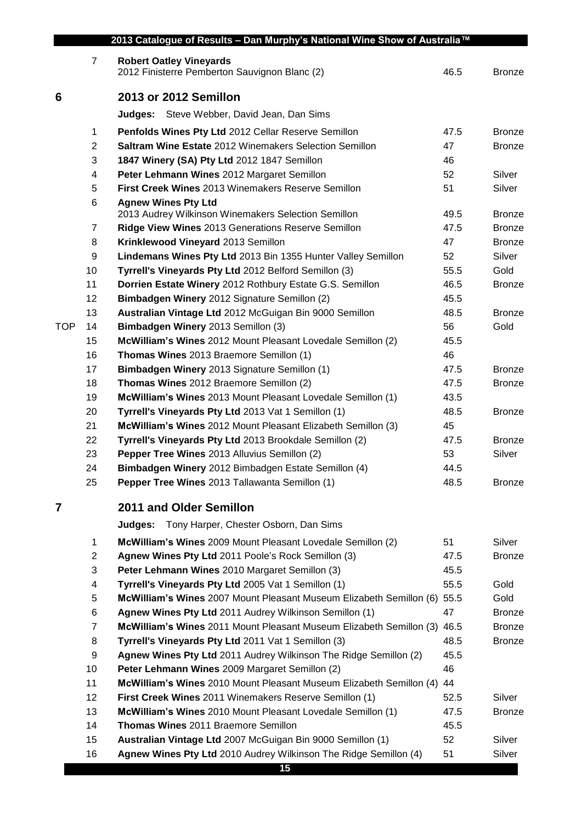|            | $\overline{7}$ | <b>Robert Oatley Vineyards</b>                                                                    |            |               |
|------------|----------------|---------------------------------------------------------------------------------------------------|------------|---------------|
|            |                | 2012 Finisterre Pemberton Sauvignon Blanc (2)                                                     | 46.5       | <b>Bronze</b> |
| 6          |                | 2013 or 2012 Semillon                                                                             |            |               |
|            |                | Judges: Steve Webber, David Jean, Dan Sims                                                        |            |               |
|            | 1              | Penfolds Wines Pty Ltd 2012 Cellar Reserve Semillon                                               | 47.5       | <b>Bronze</b> |
|            | $\overline{c}$ | Saltram Wine Estate 2012 Winemakers Selection Semillon                                            | 47         | <b>Bronze</b> |
|            | 3              | 1847 Winery (SA) Pty Ltd 2012 1847 Semillon                                                       | 46         |               |
|            | 4              | Peter Lehmann Wines 2012 Margaret Semillon                                                        | 52         | Silver        |
|            | 5              | First Creek Wines 2013 Winemakers Reserve Semillon                                                | 51         | Silver        |
|            | 6              | <b>Agnew Wines Pty Ltd</b>                                                                        |            |               |
|            |                | 2013 Audrey Wilkinson Winemakers Selection Semillon                                               | 49.5       | <b>Bronze</b> |
|            | 7              | Ridge View Wines 2013 Generations Reserve Semillon                                                | 47.5       | <b>Bronze</b> |
|            | 8              | Krinklewood Vineyard 2013 Semillon                                                                | 47         | <b>Bronze</b> |
|            | 9              | Lindemans Wines Pty Ltd 2013 Bin 1355 Hunter Valley Semillon                                      | 52         | Silver        |
|            | 10             | Tyrrell's Vineyards Pty Ltd 2012 Belford Semillon (3)                                             | 55.5       | Gold          |
|            | 11             | Dorrien Estate Winery 2012 Rothbury Estate G.S. Semillon                                          | 46.5       | <b>Bronze</b> |
|            | 12             | Bimbadgen Winery 2012 Signature Semillon (2)                                                      | 45.5       |               |
|            | 13             | Australian Vintage Ltd 2012 McGuigan Bin 9000 Semillon                                            | 48.5       | <b>Bronze</b> |
| <b>TOP</b> | 14             | Bimbadgen Winery 2013 Semillon (3)                                                                | 56         | Gold          |
|            | 15             | McWilliam's Wines 2012 Mount Pleasant Lovedale Semillon (2)                                       | 45.5       |               |
|            | 16             | Thomas Wines 2013 Braemore Semillon (1)                                                           | 46         |               |
|            | 17             | Bimbadgen Winery 2013 Signature Semillon (1)                                                      | 47.5       | <b>Bronze</b> |
|            | 18             | Thomas Wines 2012 Braemore Semillon (2)                                                           | 47.5       | <b>Bronze</b> |
|            | 19             | McWilliam's Wines 2013 Mount Pleasant Lovedale Semillon (1)                                       | 43.5       |               |
|            | 20             | Tyrrell's Vineyards Pty Ltd 2013 Vat 1 Semillon (1)                                               | 48.5       | <b>Bronze</b> |
|            | 21             | McWilliam's Wines 2012 Mount Pleasant Elizabeth Semillon (3)                                      | 45         |               |
|            | 22             | Tyrrell's Vineyards Pty Ltd 2013 Brookdale Semillon (2)                                           | 47.5       | <b>Bronze</b> |
|            | 23             | Pepper Tree Wines 2013 Alluvius Semillon (2)                                                      | 53         | Silver        |
|            | 24             | Bimbadgen Winery 2012 Bimbadgen Estate Semillon (4)                                               | 44.5       |               |
|            | 25             | Pepper Tree Wines 2013 Tallawanta Semillon (1)                                                    | 48.5       | <b>Bronze</b> |
| 7          |                | 2011 and Older Semillon                                                                           |            |               |
|            |                | Tony Harper, Chester Osborn, Dan Sims<br>Judges:                                                  |            |               |
|            | 1              | McWilliam's Wines 2009 Mount Pleasant Lovedale Semillon (2)                                       | 51         | Silver        |
|            | 2              | Agnew Wines Pty Ltd 2011 Poole's Rock Semillon (3)                                                | 47.5       | <b>Bronze</b> |
|            | 3              | Peter Lehmann Wines 2010 Margaret Semillon (3)                                                    | 45.5       |               |
|            | 4              | Tyrrell's Vineyards Pty Ltd 2005 Vat 1 Semillon (1)                                               | 55.5       | Gold          |
|            | 5              | McWilliam's Wines 2007 Mount Pleasant Museum Elizabeth Semillon (6) 55.5                          |            | Gold          |
|            | 6              | Agnew Wines Pty Ltd 2011 Audrey Wilkinson Semillon (1)                                            | 47         | <b>Bronze</b> |
|            | 7              | McWilliam's Wines 2011 Mount Pleasant Museum Elizabeth Semillon (3)                               | 46.5       | <b>Bronze</b> |
|            | 8              | Tyrrell's Vineyards Pty Ltd 2011 Vat 1 Semillon (3)                                               | 48.5       | <b>Bronze</b> |
|            | 9              | Agnew Wines Pty Ltd 2011 Audrey Wilkinson The Ridge Semillon (2)                                  | 45.5       |               |
|            | 10             | Peter Lehmann Wines 2009 Margaret Semillon (2)                                                    | 46         |               |
|            | 11             | McWilliam's Wines 2010 Mount Pleasant Museum Elizabeth Semillon (4)                               | 44         |               |
|            | 12             | First Creek Wines 2011 Winemakers Reserve Semillon (1)                                            | 52.5       | Silver        |
|            |                | McWilliam's Wines 2010 Mount Pleasant Lovedale Semillon (1)                                       | 47.5       | <b>Bronze</b> |
|            |                |                                                                                                   |            |               |
|            | 13             |                                                                                                   |            |               |
|            | 14<br>15       | Thomas Wines 2011 Braemore Semillon<br>Australian Vintage Ltd 2007 McGuigan Bin 9000 Semillon (1) | 45.5<br>52 | Silver        |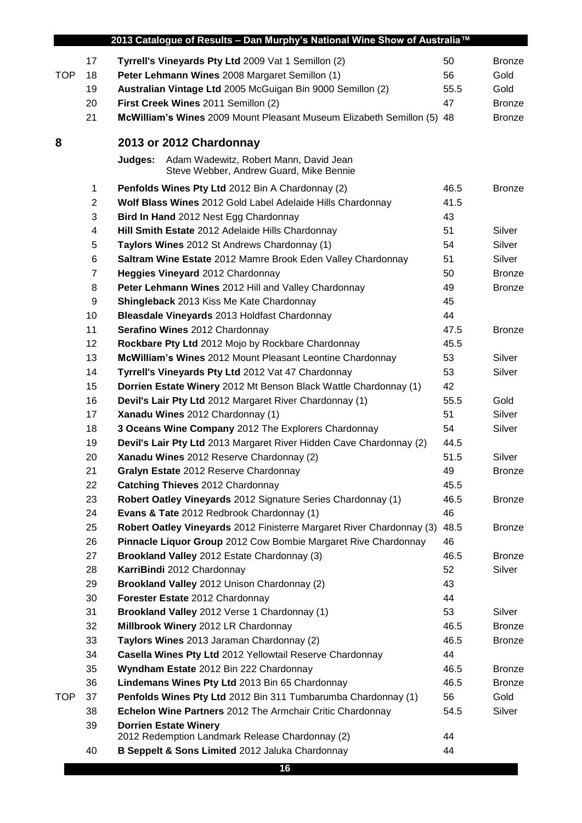| Tyrrell's Vineyards Pty Ltd 2009 Vat 1 Semillon (2)<br>17<br>50<br>Gold<br><b>TOP</b><br>18<br>Peter Lehmann Wines 2008 Margaret Semillon (1)<br>56<br>Australian Vintage Ltd 2005 McGuigan Bin 9000 Semillon (2)<br>55.5<br>Gold<br>19<br>First Creek Wines 2011 Semillon (2)<br>20<br>47<br>21<br>McWilliam's Wines 2009 Mount Pleasant Museum Elizabeth Semillon (5) 48<br>8<br>2013 or 2012 Chardonnay<br>Adam Wadewitz, Robert Mann, David Jean<br>Judges:<br>Steve Webber, Andrew Guard, Mike Bennie<br>1<br>46.5<br>Penfolds Wines Pty Ltd 2012 Bin A Chardonnay (2)<br>Wolf Blass Wines 2012 Gold Label Adelaide Hills Chardonnay<br>41.5<br>$\overline{2}$<br>3<br>43<br>Bird In Hand 2012 Nest Egg Chardonnay<br>Silver<br>Hill Smith Estate 2012 Adelaide Hills Chardonnay<br>51<br>4<br>Silver<br>Taylors Wines 2012 St Andrews Chardonnay (1)<br>54<br>5<br>Saltram Wine Estate 2012 Mamre Brook Eden Valley Chardonnay<br>Silver<br>6<br>51<br>$\overline{7}$<br>Heggies Vineyard 2012 Chardonnay<br>50<br>8<br>Peter Lehmann Wines 2012 Hill and Valley Chardonnay<br>49<br>9<br>Shingleback 2013 Kiss Me Kate Chardonnay<br>45<br>44<br>10<br>Bleasdale Vineyards 2013 Holdfast Chardonnay<br>Serafino Wines 2012 Chardonnay<br>11<br>47.5<br>Rockbare Pty Ltd 2012 Mojo by Rockbare Chardonnay<br>12<br>45.5<br>13<br>McWilliam's Wines 2012 Mount Pleasant Leontine Chardonnay<br>Silver<br>53<br>53<br>Silver<br>14<br>Tyrrell's Vineyards Pty Ltd 2012 Vat 47 Chardonnay<br>Dorrien Estate Winery 2012 Mt Benson Black Wattle Chardonnay (1)<br>42<br>15<br>16<br>Devil's Lair Pty Ltd 2012 Margaret River Chardonnay (1)<br>55.5<br>Gold |  | 2013 Catalogue of Results - Dan Murphy's National Wine Show of Australia™ |               |
|---------------------------------------------------------------------------------------------------------------------------------------------------------------------------------------------------------------------------------------------------------------------------------------------------------------------------------------------------------------------------------------------------------------------------------------------------------------------------------------------------------------------------------------------------------------------------------------------------------------------------------------------------------------------------------------------------------------------------------------------------------------------------------------------------------------------------------------------------------------------------------------------------------------------------------------------------------------------------------------------------------------------------------------------------------------------------------------------------------------------------------------------------------------------------------------------------------------------------------------------------------------------------------------------------------------------------------------------------------------------------------------------------------------------------------------------------------------------------------------------------------------------------------------------------------------------------------------------------------------------------------------------------------------|--|---------------------------------------------------------------------------|---------------|
|                                                                                                                                                                                                                                                                                                                                                                                                                                                                                                                                                                                                                                                                                                                                                                                                                                                                                                                                                                                                                                                                                                                                                                                                                                                                                                                                                                                                                                                                                                                                                                                                                                                               |  |                                                                           | <b>Bronze</b> |
|                                                                                                                                                                                                                                                                                                                                                                                                                                                                                                                                                                                                                                                                                                                                                                                                                                                                                                                                                                                                                                                                                                                                                                                                                                                                                                                                                                                                                                                                                                                                                                                                                                                               |  |                                                                           |               |
|                                                                                                                                                                                                                                                                                                                                                                                                                                                                                                                                                                                                                                                                                                                                                                                                                                                                                                                                                                                                                                                                                                                                                                                                                                                                                                                                                                                                                                                                                                                                                                                                                                                               |  |                                                                           |               |
|                                                                                                                                                                                                                                                                                                                                                                                                                                                                                                                                                                                                                                                                                                                                                                                                                                                                                                                                                                                                                                                                                                                                                                                                                                                                                                                                                                                                                                                                                                                                                                                                                                                               |  |                                                                           | <b>Bronze</b> |
|                                                                                                                                                                                                                                                                                                                                                                                                                                                                                                                                                                                                                                                                                                                                                                                                                                                                                                                                                                                                                                                                                                                                                                                                                                                                                                                                                                                                                                                                                                                                                                                                                                                               |  |                                                                           | <b>Bronze</b> |
|                                                                                                                                                                                                                                                                                                                                                                                                                                                                                                                                                                                                                                                                                                                                                                                                                                                                                                                                                                                                                                                                                                                                                                                                                                                                                                                                                                                                                                                                                                                                                                                                                                                               |  |                                                                           |               |
|                                                                                                                                                                                                                                                                                                                                                                                                                                                                                                                                                                                                                                                                                                                                                                                                                                                                                                                                                                                                                                                                                                                                                                                                                                                                                                                                                                                                                                                                                                                                                                                                                                                               |  |                                                                           |               |
|                                                                                                                                                                                                                                                                                                                                                                                                                                                                                                                                                                                                                                                                                                                                                                                                                                                                                                                                                                                                                                                                                                                                                                                                                                                                                                                                                                                                                                                                                                                                                                                                                                                               |  |                                                                           |               |
|                                                                                                                                                                                                                                                                                                                                                                                                                                                                                                                                                                                                                                                                                                                                                                                                                                                                                                                                                                                                                                                                                                                                                                                                                                                                                                                                                                                                                                                                                                                                                                                                                                                               |  |                                                                           | <b>Bronze</b> |
|                                                                                                                                                                                                                                                                                                                                                                                                                                                                                                                                                                                                                                                                                                                                                                                                                                                                                                                                                                                                                                                                                                                                                                                                                                                                                                                                                                                                                                                                                                                                                                                                                                                               |  |                                                                           |               |
|                                                                                                                                                                                                                                                                                                                                                                                                                                                                                                                                                                                                                                                                                                                                                                                                                                                                                                                                                                                                                                                                                                                                                                                                                                                                                                                                                                                                                                                                                                                                                                                                                                                               |  |                                                                           |               |
|                                                                                                                                                                                                                                                                                                                                                                                                                                                                                                                                                                                                                                                                                                                                                                                                                                                                                                                                                                                                                                                                                                                                                                                                                                                                                                                                                                                                                                                                                                                                                                                                                                                               |  |                                                                           |               |
|                                                                                                                                                                                                                                                                                                                                                                                                                                                                                                                                                                                                                                                                                                                                                                                                                                                                                                                                                                                                                                                                                                                                                                                                                                                                                                                                                                                                                                                                                                                                                                                                                                                               |  |                                                                           |               |
|                                                                                                                                                                                                                                                                                                                                                                                                                                                                                                                                                                                                                                                                                                                                                                                                                                                                                                                                                                                                                                                                                                                                                                                                                                                                                                                                                                                                                                                                                                                                                                                                                                                               |  |                                                                           |               |
|                                                                                                                                                                                                                                                                                                                                                                                                                                                                                                                                                                                                                                                                                                                                                                                                                                                                                                                                                                                                                                                                                                                                                                                                                                                                                                                                                                                                                                                                                                                                                                                                                                                               |  |                                                                           | <b>Bronze</b> |
|                                                                                                                                                                                                                                                                                                                                                                                                                                                                                                                                                                                                                                                                                                                                                                                                                                                                                                                                                                                                                                                                                                                                                                                                                                                                                                                                                                                                                                                                                                                                                                                                                                                               |  |                                                                           | <b>Bronze</b> |
|                                                                                                                                                                                                                                                                                                                                                                                                                                                                                                                                                                                                                                                                                                                                                                                                                                                                                                                                                                                                                                                                                                                                                                                                                                                                                                                                                                                                                                                                                                                                                                                                                                                               |  |                                                                           |               |
|                                                                                                                                                                                                                                                                                                                                                                                                                                                                                                                                                                                                                                                                                                                                                                                                                                                                                                                                                                                                                                                                                                                                                                                                                                                                                                                                                                                                                                                                                                                                                                                                                                                               |  |                                                                           |               |
|                                                                                                                                                                                                                                                                                                                                                                                                                                                                                                                                                                                                                                                                                                                                                                                                                                                                                                                                                                                                                                                                                                                                                                                                                                                                                                                                                                                                                                                                                                                                                                                                                                                               |  |                                                                           | <b>Bronze</b> |
|                                                                                                                                                                                                                                                                                                                                                                                                                                                                                                                                                                                                                                                                                                                                                                                                                                                                                                                                                                                                                                                                                                                                                                                                                                                                                                                                                                                                                                                                                                                                                                                                                                                               |  |                                                                           |               |
|                                                                                                                                                                                                                                                                                                                                                                                                                                                                                                                                                                                                                                                                                                                                                                                                                                                                                                                                                                                                                                                                                                                                                                                                                                                                                                                                                                                                                                                                                                                                                                                                                                                               |  |                                                                           |               |
|                                                                                                                                                                                                                                                                                                                                                                                                                                                                                                                                                                                                                                                                                                                                                                                                                                                                                                                                                                                                                                                                                                                                                                                                                                                                                                                                                                                                                                                                                                                                                                                                                                                               |  |                                                                           |               |
|                                                                                                                                                                                                                                                                                                                                                                                                                                                                                                                                                                                                                                                                                                                                                                                                                                                                                                                                                                                                                                                                                                                                                                                                                                                                                                                                                                                                                                                                                                                                                                                                                                                               |  |                                                                           |               |
|                                                                                                                                                                                                                                                                                                                                                                                                                                                                                                                                                                                                                                                                                                                                                                                                                                                                                                                                                                                                                                                                                                                                                                                                                                                                                                                                                                                                                                                                                                                                                                                                                                                               |  |                                                                           |               |
| 17<br>Xanadu Wines 2012 Chardonnay (1)<br>51<br>Silver                                                                                                                                                                                                                                                                                                                                                                                                                                                                                                                                                                                                                                                                                                                                                                                                                                                                                                                                                                                                                                                                                                                                                                                                                                                                                                                                                                                                                                                                                                                                                                                                        |  |                                                                           |               |
| 18<br>3 Oceans Wine Company 2012 The Explorers Chardonnay<br>54<br>Silver                                                                                                                                                                                                                                                                                                                                                                                                                                                                                                                                                                                                                                                                                                                                                                                                                                                                                                                                                                                                                                                                                                                                                                                                                                                                                                                                                                                                                                                                                                                                                                                     |  |                                                                           |               |
| Devil's Lair Pty Ltd 2013 Margaret River Hidden Cave Chardonnay (2)<br>19<br>44.5                                                                                                                                                                                                                                                                                                                                                                                                                                                                                                                                                                                                                                                                                                                                                                                                                                                                                                                                                                                                                                                                                                                                                                                                                                                                                                                                                                                                                                                                                                                                                                             |  |                                                                           |               |
| Xanadu Wines 2012 Reserve Chardonnay (2)<br>51.5<br>20<br>Silver                                                                                                                                                                                                                                                                                                                                                                                                                                                                                                                                                                                                                                                                                                                                                                                                                                                                                                                                                                                                                                                                                                                                                                                                                                                                                                                                                                                                                                                                                                                                                                                              |  |                                                                           |               |
| 49<br>Gralyn Estate 2012 Reserve Chardonnay<br>21                                                                                                                                                                                                                                                                                                                                                                                                                                                                                                                                                                                                                                                                                                                                                                                                                                                                                                                                                                                                                                                                                                                                                                                                                                                                                                                                                                                                                                                                                                                                                                                                             |  |                                                                           | <b>Bronze</b> |
| 22<br>Catching Thieves 2012 Chardonnay<br>45.5                                                                                                                                                                                                                                                                                                                                                                                                                                                                                                                                                                                                                                                                                                                                                                                                                                                                                                                                                                                                                                                                                                                                                                                                                                                                                                                                                                                                                                                                                                                                                                                                                |  |                                                                           |               |
| 23<br>Robert Oatley Vineyards 2012 Signature Series Chardonnay (1)<br>46.5                                                                                                                                                                                                                                                                                                                                                                                                                                                                                                                                                                                                                                                                                                                                                                                                                                                                                                                                                                                                                                                                                                                                                                                                                                                                                                                                                                                                                                                                                                                                                                                    |  |                                                                           | <b>Bronze</b> |
| 46<br>Evans & Tate 2012 Redbrook Chardonnay (1)<br>24                                                                                                                                                                                                                                                                                                                                                                                                                                                                                                                                                                                                                                                                                                                                                                                                                                                                                                                                                                                                                                                                                                                                                                                                                                                                                                                                                                                                                                                                                                                                                                                                         |  |                                                                           |               |
| 25<br>Robert Oatley Vineyards 2012 Finisterre Margaret River Chardonnay (3)<br>48.5                                                                                                                                                                                                                                                                                                                                                                                                                                                                                                                                                                                                                                                                                                                                                                                                                                                                                                                                                                                                                                                                                                                                                                                                                                                                                                                                                                                                                                                                                                                                                                           |  |                                                                           | <b>Bronze</b> |
| Pinnacle Liquor Group 2012 Cow Bombie Margaret Rive Chardonnay<br>26<br>46                                                                                                                                                                                                                                                                                                                                                                                                                                                                                                                                                                                                                                                                                                                                                                                                                                                                                                                                                                                                                                                                                                                                                                                                                                                                                                                                                                                                                                                                                                                                                                                    |  |                                                                           |               |
| 27<br>Brookland Valley 2012 Estate Chardonnay (3)<br>46.5                                                                                                                                                                                                                                                                                                                                                                                                                                                                                                                                                                                                                                                                                                                                                                                                                                                                                                                                                                                                                                                                                                                                                                                                                                                                                                                                                                                                                                                                                                                                                                                                     |  |                                                                           | <b>Bronze</b> |
| 52<br>28<br>KarriBindi 2012 Chardonnay<br>Silver                                                                                                                                                                                                                                                                                                                                                                                                                                                                                                                                                                                                                                                                                                                                                                                                                                                                                                                                                                                                                                                                                                                                                                                                                                                                                                                                                                                                                                                                                                                                                                                                              |  |                                                                           |               |
| 29<br>Brookland Valley 2012 Unison Chardonnay (2)<br>43                                                                                                                                                                                                                                                                                                                                                                                                                                                                                                                                                                                                                                                                                                                                                                                                                                                                                                                                                                                                                                                                                                                                                                                                                                                                                                                                                                                                                                                                                                                                                                                                       |  |                                                                           |               |
| 44<br>30<br>Forester Estate 2012 Chardonnay                                                                                                                                                                                                                                                                                                                                                                                                                                                                                                                                                                                                                                                                                                                                                                                                                                                                                                                                                                                                                                                                                                                                                                                                                                                                                                                                                                                                                                                                                                                                                                                                                   |  |                                                                           |               |
| Brookland Valley 2012 Verse 1 Chardonnay (1)<br>53<br>31<br>Silver                                                                                                                                                                                                                                                                                                                                                                                                                                                                                                                                                                                                                                                                                                                                                                                                                                                                                                                                                                                                                                                                                                                                                                                                                                                                                                                                                                                                                                                                                                                                                                                            |  |                                                                           |               |
| 32<br>Millbrook Winery 2012 LR Chardonnay<br>46.5                                                                                                                                                                                                                                                                                                                                                                                                                                                                                                                                                                                                                                                                                                                                                                                                                                                                                                                                                                                                                                                                                                                                                                                                                                                                                                                                                                                                                                                                                                                                                                                                             |  |                                                                           | <b>Bronze</b> |
| 33<br>Taylors Wines 2013 Jaraman Chardonnay (2)<br>46.5                                                                                                                                                                                                                                                                                                                                                                                                                                                                                                                                                                                                                                                                                                                                                                                                                                                                                                                                                                                                                                                                                                                                                                                                                                                                                                                                                                                                                                                                                                                                                                                                       |  |                                                                           | <b>Bronze</b> |
| 34<br>Casella Wines Pty Ltd 2012 Yellowtail Reserve Chardonnay<br>44                                                                                                                                                                                                                                                                                                                                                                                                                                                                                                                                                                                                                                                                                                                                                                                                                                                                                                                                                                                                                                                                                                                                                                                                                                                                                                                                                                                                                                                                                                                                                                                          |  |                                                                           |               |
| 35<br>Wyndham Estate 2012 Bin 222 Chardonnay<br>46.5                                                                                                                                                                                                                                                                                                                                                                                                                                                                                                                                                                                                                                                                                                                                                                                                                                                                                                                                                                                                                                                                                                                                                                                                                                                                                                                                                                                                                                                                                                                                                                                                          |  |                                                                           | <b>Bronze</b> |
| 36<br>Lindemans Wines Pty Ltd 2013 Bin 65 Chardonnay<br>46.5                                                                                                                                                                                                                                                                                                                                                                                                                                                                                                                                                                                                                                                                                                                                                                                                                                                                                                                                                                                                                                                                                                                                                                                                                                                                                                                                                                                                                                                                                                                                                                                                  |  |                                                                           | <b>Bronze</b> |
| Gold<br><b>TOP</b><br>37<br>Penfolds Wines Pty Ltd 2012 Bin 311 Tumbarumba Chardonnay (1)<br>56                                                                                                                                                                                                                                                                                                                                                                                                                                                                                                                                                                                                                                                                                                                                                                                                                                                                                                                                                                                                                                                                                                                                                                                                                                                                                                                                                                                                                                                                                                                                                               |  |                                                                           |               |
| Echelon Wine Partners 2012 The Armchair Critic Chardonnay<br>Silver<br>38<br>54.5                                                                                                                                                                                                                                                                                                                                                                                                                                                                                                                                                                                                                                                                                                                                                                                                                                                                                                                                                                                                                                                                                                                                                                                                                                                                                                                                                                                                                                                                                                                                                                             |  |                                                                           |               |
| 39<br><b>Dorrien Estate Winery</b><br>2012 Redemption Landmark Release Chardonnay (2)<br>44                                                                                                                                                                                                                                                                                                                                                                                                                                                                                                                                                                                                                                                                                                                                                                                                                                                                                                                                                                                                                                                                                                                                                                                                                                                                                                                                                                                                                                                                                                                                                                   |  |                                                                           |               |
| 40<br>B Seppelt & Sons Limited 2012 Jaluka Chardonnay<br>44                                                                                                                                                                                                                                                                                                                                                                                                                                                                                                                                                                                                                                                                                                                                                                                                                                                                                                                                                                                                                                                                                                                                                                                                                                                                                                                                                                                                                                                                                                                                                                                                   |  |                                                                           |               |
| 16                                                                                                                                                                                                                                                                                                                                                                                                                                                                                                                                                                                                                                                                                                                                                                                                                                                                                                                                                                                                                                                                                                                                                                                                                                                                                                                                                                                                                                                                                                                                                                                                                                                            |  |                                                                           |               |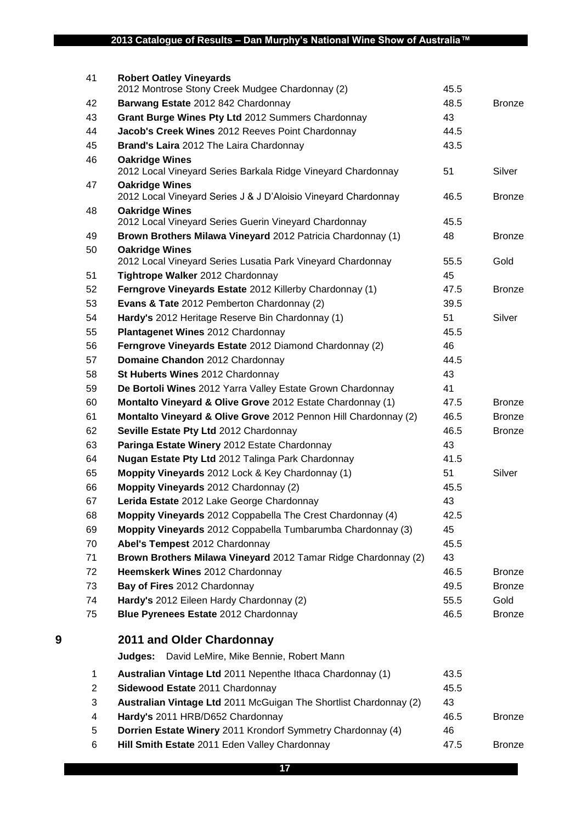|   | 41             | <b>Robert Oatley Vineyards</b><br>2012 Montrose Stony Creek Mudgee Chardonnay (2)       | 45.5 |               |
|---|----------------|-----------------------------------------------------------------------------------------|------|---------------|
|   | 42             | Barwang Estate 2012 842 Chardonnay                                                      | 48.5 | <b>Bronze</b> |
|   | 43             | Grant Burge Wines Pty Ltd 2012 Summers Chardonnay                                       | 43   |               |
|   | 44             | Jacob's Creek Wines 2012 Reeves Point Chardonnay                                        | 44.5 |               |
|   | 45             | Brand's Laira 2012 The Laira Chardonnay                                                 | 43.5 |               |
|   | 46             | <b>Oakridge Wines</b><br>2012 Local Vineyard Series Barkala Ridge Vineyard Chardonnay   | 51   | Silver        |
|   | 47             | <b>Oakridge Wines</b><br>2012 Local Vineyard Series J & J D'Aloisio Vineyard Chardonnay | 46.5 | <b>Bronze</b> |
|   | 48             | <b>Oakridge Wines</b><br>2012 Local Vineyard Series Guerin Vineyard Chardonnay          | 45.5 |               |
|   | 49             | Brown Brothers Milawa Vineyard 2012 Patricia Chardonnay (1)                             | 48   | <b>Bronze</b> |
|   | 50             | <b>Oakridge Wines</b><br>2012 Local Vineyard Series Lusatia Park Vineyard Chardonnay    | 55.5 | Gold          |
|   | 51             | Tightrope Walker 2012 Chardonnay                                                        | 45   |               |
|   | 52             | Ferngrove Vineyards Estate 2012 Killerby Chardonnay (1)                                 | 47.5 | <b>Bronze</b> |
|   | 53             | Evans & Tate 2012 Pemberton Chardonnay (2)                                              | 39.5 |               |
|   | 54             | Hardy's 2012 Heritage Reserve Bin Chardonnay (1)                                        | 51   | Silver        |
|   | 55             | Plantagenet Wines 2012 Chardonnay                                                       | 45.5 |               |
|   | 56             | Ferngrove Vineyards Estate 2012 Diamond Chardonnay (2)                                  | 46   |               |
|   | 57             | Domaine Chandon 2012 Chardonnay                                                         | 44.5 |               |
|   | 58             | St Huberts Wines 2012 Chardonnay                                                        | 43   |               |
|   | 59             | De Bortoli Wines 2012 Yarra Valley Estate Grown Chardonnay                              | 41   |               |
|   | 60             | Montalto Vineyard & Olive Grove 2012 Estate Chardonnay (1)                              | 47.5 | <b>Bronze</b> |
|   | 61             | Montalto Vineyard & Olive Grove 2012 Pennon Hill Chardonnay (2)                         | 46.5 | <b>Bronze</b> |
|   | 62             | Seville Estate Pty Ltd 2012 Chardonnay                                                  | 46.5 | <b>Bronze</b> |
|   | 63             | Paringa Estate Winery 2012 Estate Chardonnay                                            | 43   |               |
|   | 64             | Nugan Estate Pty Ltd 2012 Talinga Park Chardonnay                                       | 41.5 |               |
|   | 65             | Moppity Vineyards 2012 Lock & Key Chardonnay (1)                                        | 51   | Silver        |
|   | 66             | Moppity Vineyards 2012 Chardonnay (2)                                                   | 45.5 |               |
|   | 67             | Lerida Estate 2012 Lake George Chardonnay                                               | 43   |               |
|   | 68             | Moppity Vineyards 2012 Coppabella The Crest Chardonnay (4)                              | 42.5 |               |
|   | 69             | Moppity Vineyards 2012 Coppabella Tumbarumba Chardonnay (3)                             | 45   |               |
|   | 70             | Abel's Tempest 2012 Chardonnay                                                          | 45.5 |               |
|   | 71             | Brown Brothers Milawa Vineyard 2012 Tamar Ridge Chardonnay (2)                          | 43   |               |
|   | 72             | Heemskerk Wines 2012 Chardonnay                                                         | 46.5 | <b>Bronze</b> |
|   | 73             | Bay of Fires 2012 Chardonnay                                                            | 49.5 | <b>Bronze</b> |
|   | 74             | Hardy's 2012 Eileen Hardy Chardonnay (2)                                                | 55.5 | Gold          |
|   | 75             | Blue Pyrenees Estate 2012 Chardonnay                                                    | 46.5 | <b>Bronze</b> |
| 9 |                | 2011 and Older Chardonnay                                                               |      |               |
|   |                | David LeMire, Mike Bennie, Robert Mann<br>Judges:                                       |      |               |
|   | 1              | Australian Vintage Ltd 2011 Nepenthe Ithaca Chardonnay (1)                              | 43.5 |               |
|   | $\overline{c}$ | Sidewood Estate 2011 Chardonnay                                                         | 45.5 |               |
|   | 3              | Australian Vintage Ltd 2011 McGuigan The Shortlist Chardonnay (2)                       | 43   |               |
|   | 4              | Hardy's 2011 HRB/D652 Chardonnay                                                        | 46.5 | <b>Bronze</b> |
|   | 5              | Dorrien Estate Winery 2011 Krondorf Symmetry Chardonnay (4)                             | 46   |               |
|   | 6              | Hill Smith Estate 2011 Eden Valley Chardonnay                                           | 47.5 | <b>Bronze</b> |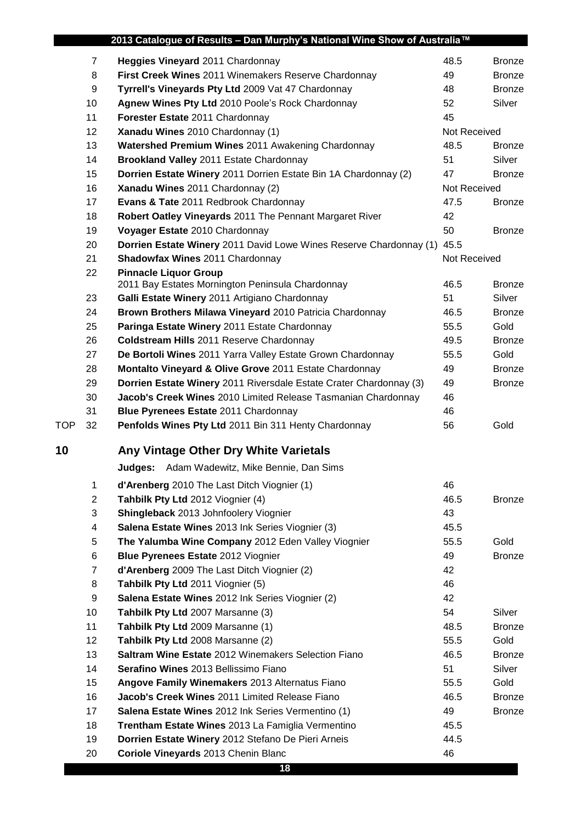|            |                | 2013 Catalogue of Results - Dan Murphy's National Wine Show of Australia™ |              |               |
|------------|----------------|---------------------------------------------------------------------------|--------------|---------------|
|            | $\overline{7}$ | Heggies Vineyard 2011 Chardonnay                                          | 48.5         | <b>Bronze</b> |
|            | 8              | First Creek Wines 2011 Winemakers Reserve Chardonnay                      | 49           | <b>Bronze</b> |
|            | 9              | Tyrrell's Vineyards Pty Ltd 2009 Vat 47 Chardonnay                        | 48           | <b>Bronze</b> |
|            | 10             | Agnew Wines Pty Ltd 2010 Poole's Rock Chardonnay                          | 52           | Silver        |
|            | 11             | Forester Estate 2011 Chardonnay                                           | 45           |               |
|            | 12             | Xanadu Wines 2010 Chardonnay (1)                                          | Not Received |               |
|            | 13             | Watershed Premium Wines 2011 Awakening Chardonnay                         | 48.5         | <b>Bronze</b> |
|            | 14             | Brookland Valley 2011 Estate Chardonnay                                   | 51           | Silver        |
|            | 15             | Dorrien Estate Winery 2011 Dorrien Estate Bin 1A Chardonnay (2)           | 47           | <b>Bronze</b> |
|            | 16             | Xanadu Wines 2011 Chardonnay (2)                                          | Not Received |               |
|            | 17             | Evans & Tate 2011 Redbrook Chardonnay                                     | 47.5         | <b>Bronze</b> |
|            | 18             | Robert Oatley Vineyards 2011 The Pennant Margaret River                   | 42           |               |
|            | 19             | Voyager Estate 2010 Chardonnay                                            | 50           | <b>Bronze</b> |
|            | 20             | Dorrien Estate Winery 2011 David Lowe Wines Reserve Chardonnay (1)        | 45.5         |               |
|            | 21             | Shadowfax Wines 2011 Chardonnay                                           | Not Received |               |
|            | 22             | <b>Pinnacle Liquor Group</b>                                              |              |               |
|            |                | 2011 Bay Estates Mornington Peninsula Chardonnay                          | 46.5         | <b>Bronze</b> |
|            | 23             | Galli Estate Winery 2011 Artigiano Chardonnay                             | 51           | Silver        |
|            | 24             | Brown Brothers Milawa Vineyard 2010 Patricia Chardonnay                   | 46.5         | <b>Bronze</b> |
|            | 25             | Paringa Estate Winery 2011 Estate Chardonnay                              | 55.5         | Gold          |
|            | 26             | <b>Coldstream Hills 2011 Reserve Chardonnay</b>                           | 49.5         | <b>Bronze</b> |
|            | 27             | De Bortoli Wines 2011 Yarra Valley Estate Grown Chardonnay                | 55.5         | Gold          |
|            | 28             | Montalto Vineyard & Olive Grove 2011 Estate Chardonnay                    | 49           | <b>Bronze</b> |
|            | 29             | Dorrien Estate Winery 2011 Riversdale Estate Crater Chardonnay (3)        | 49           | <b>Bronze</b> |
|            | 30             | Jacob's Creek Wines 2010 Limited Release Tasmanian Chardonnay             | 46           |               |
|            | 31             | Blue Pyrenees Estate 2011 Chardonnay                                      | 46           |               |
| <b>TOP</b> | 32             | Penfolds Wines Pty Ltd 2011 Bin 311 Henty Chardonnay                      | 56           | Gold          |
| 10         |                | Any Vintage Other Dry White Varietals                                     |              |               |
|            |                | <b>Judges:</b> Adam Wadewitz, Mike Bennie, Dan Sims                       |              |               |
|            | 1              | d'Arenberg 2010 The Last Ditch Viognier (1)                               | 46           |               |
|            | $\overline{c}$ | Tahbilk Pty Ltd 2012 Viognier (4)                                         | 46.5         | <b>Bronze</b> |
|            | 3              | Shingleback 2013 Johnfoolery Viognier                                     | 43           |               |
|            | 4              | Salena Estate Wines 2013 Ink Series Viognier (3)                          | 45.5         |               |
|            | 5              | The Yalumba Wine Company 2012 Eden Valley Viognier                        | 55.5         | Gold          |
|            | 6              | <b>Blue Pyrenees Estate 2012 Viognier</b>                                 | 49           | <b>Bronze</b> |
|            | $\overline{7}$ | d'Arenberg 2009 The Last Ditch Viognier (2)                               | 42           |               |
|            | 8              | Tahbilk Pty Ltd 2011 Viognier (5)                                         | 46           |               |
|            | 9              | Salena Estate Wines 2012 Ink Series Viognier (2)                          | 42           |               |
|            | 10             | Tahbilk Pty Ltd 2007 Marsanne (3)                                         | 54           | Silver        |
|            | 11             | Tahbilk Pty Ltd 2009 Marsanne (1)                                         | 48.5         | <b>Bronze</b> |
|            | 12             | Tahbilk Pty Ltd 2008 Marsanne (2)                                         | 55.5         | Gold          |
|            | 13             | Saltram Wine Estate 2012 Winemakers Selection Fiano                       | 46.5         | <b>Bronze</b> |
|            | 14             | Serafino Wines 2013 Bellissimo Fiano                                      | 51           | Silver        |
|            | 15             | Angove Family Winemakers 2013 Alternatus Fiano                            | 55.5         | Gold          |
|            | 16             | Jacob's Creek Wines 2011 Limited Release Fiano                            | 46.5         | <b>Bronze</b> |
|            | 17             | Salena Estate Wines 2012 Ink Series Vermentino (1)                        | 49           | <b>Bronze</b> |
|            | 18             | Trentham Estate Wines 2013 La Famiglia Vermentino                         | 45.5         |               |
|            | 19             | Dorrien Estate Winery 2012 Stefano De Pieri Arneis                        | 44.5         |               |
|            | 20             | Coriole Vineyards 2013 Chenin Blanc                                       | 46           |               |
|            |                | 18                                                                        |              |               |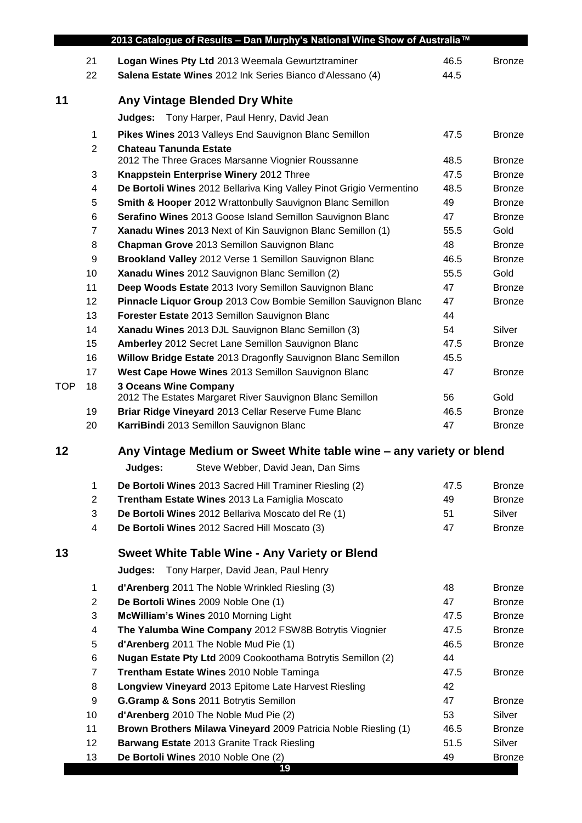|            |                  | 2013 Catalogue of Results - Dan Murphy's National Wine Show of Australia™                                |          |               |
|------------|------------------|----------------------------------------------------------------------------------------------------------|----------|---------------|
|            | 21               | Logan Wines Pty Ltd 2013 Weemala Gewurtztraminer                                                         | 46.5     | <b>Bronze</b> |
|            | 22               | Salena Estate Wines 2012 Ink Series Bianco d'Alessano (4)                                                | 44.5     |               |
|            |                  |                                                                                                          |          |               |
| 11         |                  | Any Vintage Blended Dry White                                                                            |          |               |
|            |                  | Tony Harper, Paul Henry, David Jean<br>Judges:                                                           |          |               |
|            | $\mathbf 1$      | Pikes Wines 2013 Valleys End Sauvignon Blanc Semillon                                                    | 47.5     | <b>Bronze</b> |
|            | $\overline{2}$   | <b>Chateau Tanunda Estate</b>                                                                            |          |               |
|            |                  | 2012 The Three Graces Marsanne Viognier Roussanne                                                        | 48.5     | <b>Bronze</b> |
|            | 3                | Knappstein Enterprise Winery 2012 Three                                                                  | 47.5     | <b>Bronze</b> |
|            | 4                | De Bortoli Wines 2012 Bellariva King Valley Pinot Grigio Vermentino                                      | 48.5     | <b>Bronze</b> |
|            | 5                | Smith & Hooper 2012 Wrattonbully Sauvignon Blanc Semillon                                                | 49       | <b>Bronze</b> |
|            | 6                | Serafino Wines 2013 Goose Island Semillon Sauvignon Blanc                                                | 47       | <b>Bronze</b> |
|            | 7                | Xanadu Wines 2013 Next of Kin Sauvignon Blanc Semillon (1)                                               | 55.5     | Gold          |
|            | 8                | Chapman Grove 2013 Semillon Sauvignon Blanc                                                              | 48       | <b>Bronze</b> |
|            | $\boldsymbol{9}$ | Brookland Valley 2012 Verse 1 Semillon Sauvignon Blanc                                                   | 46.5     | <b>Bronze</b> |
|            | 10               | Xanadu Wines 2012 Sauvignon Blanc Semillon (2)                                                           | 55.5     | Gold          |
|            | 11               | Deep Woods Estate 2013 Ivory Semillon Sauvignon Blanc                                                    | 47       | <b>Bronze</b> |
|            | 12               | Pinnacle Liquor Group 2013 Cow Bombie Semillon Sauvignon Blanc                                           | 47       | <b>Bronze</b> |
|            | 13               | Forester Estate 2013 Semillon Sauvignon Blanc                                                            | 44<br>54 | Silver        |
|            | 14<br>15         | Xanadu Wines 2013 DJL Sauvignon Blanc Semillon (3)<br>Amberley 2012 Secret Lane Semillon Sauvignon Blanc | 47.5     | <b>Bronze</b> |
|            | 16               | Willow Bridge Estate 2013 Dragonfly Sauvignon Blanc Semillon                                             | 45.5     |               |
|            | 17               | West Cape Howe Wines 2013 Semillon Sauvignon Blanc                                                       | 47       | <b>Bronze</b> |
| <b>TOP</b> | 18               | <b>3 Oceans Wine Company</b>                                                                             |          |               |
|            |                  | 2012 The Estates Margaret River Sauvignon Blanc Semillon                                                 | 56       | Gold          |
|            | 19               | Briar Ridge Vineyard 2013 Cellar Reserve Fume Blanc                                                      | 46.5     | <b>Bronze</b> |
|            | 20               | KarriBindi 2013 Semillon Sauvignon Blanc                                                                 | 47       | <b>Bronze</b> |
|            |                  |                                                                                                          |          |               |
| 12         |                  | Any Vintage Medium or Sweet White table wine – any variety or blend                                      |          |               |
|            |                  | Steve Webber, David Jean, Dan Sims<br>Judges:                                                            |          |               |
|            | 1                | De Bortoli Wines 2013 Sacred Hill Traminer Riesling (2)                                                  | 47.5     | <b>Bronze</b> |
|            | $\overline{2}$   | Trentham Estate Wines 2013 La Famiglia Moscato                                                           | 49       | <b>Bronze</b> |
|            | 3                | De Bortoli Wines 2012 Bellariva Moscato del Re (1)                                                       | 51       | Silver        |
|            | 4                | De Bortoli Wines 2012 Sacred Hill Moscato (3)                                                            | 47       | <b>Bronze</b> |
| 13         |                  | <b>Sweet White Table Wine - Any Variety or Blend</b>                                                     |          |               |
|            |                  | Judges: Tony Harper, David Jean, Paul Henry                                                              |          |               |
|            | $\mathbf{1}$     | d'Arenberg 2011 The Noble Wrinkled Riesling (3)                                                          | 48       | <b>Bronze</b> |
|            | $\overline{c}$   | De Bortoli Wines 2009 Noble One (1)                                                                      | 47       | <b>Bronze</b> |
|            | 3                | McWilliam's Wines 2010 Morning Light                                                                     | 47.5     | <b>Bronze</b> |
|            | 4                | The Yalumba Wine Company 2012 FSW8B Botrytis Viognier                                                    | 47.5     | <b>Bronze</b> |
|            | 5                | d'Arenberg 2011 The Noble Mud Pie (1)                                                                    | 46.5     | <b>Bronze</b> |
|            | 6                | Nugan Estate Pty Ltd 2009 Cookoothama Botrytis Semillon (2)                                              | 44       |               |
|            | 7                | Trentham Estate Wines 2010 Noble Taminga                                                                 | 47.5     | <b>Bronze</b> |
|            | 8                | Longview Vineyard 2013 Epitome Late Harvest Riesling                                                     | 42       |               |
|            | 9                | G.Gramp & Sons 2011 Botrytis Semillon                                                                    | 47       | <b>Bronze</b> |
|            | 10               | d'Arenberg 2010 The Noble Mud Pie (2)                                                                    | 53       | Silver        |
|            | 11               | Brown Brothers Milawa Vineyard 2009 Patricia Noble Riesling (1)                                          | 46.5     | <b>Bronze</b> |
|            | 12               | Barwang Estate 2013 Granite Track Riesling                                                               | 51.5     | Silver        |
|            | 13               | De Bortoli Wines 2010 Noble One (2)                                                                      | 49       | <b>Bronze</b> |
|            |                  | 19                                                                                                       |          |               |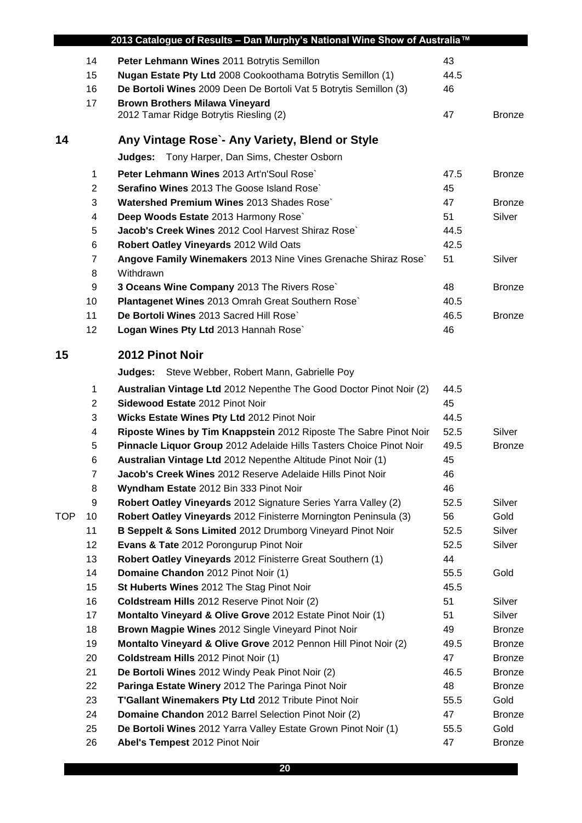|            | 2013 Catalogue of Results - Dan Murphy's National Wine Show of Australia™ |                                                                                                                        |            |                       |  |  |
|------------|---------------------------------------------------------------------------|------------------------------------------------------------------------------------------------------------------------|------------|-----------------------|--|--|
|            | 14                                                                        | Peter Lehmann Wines 2011 Botrytis Semillon                                                                             | 43         |                       |  |  |
|            | 15                                                                        | Nugan Estate Pty Ltd 2008 Cookoothama Botrytis Semillon (1)                                                            | 44.5       |                       |  |  |
|            | 16                                                                        | De Bortoli Wines 2009 Deen De Bortoli Vat 5 Botrytis Semillon (3)                                                      | 46         |                       |  |  |
|            | 17                                                                        | <b>Brown Brothers Milawa Vineyard</b>                                                                                  |            |                       |  |  |
|            |                                                                           | 2012 Tamar Ridge Botrytis Riesling (2)                                                                                 | 47         | <b>Bronze</b>         |  |  |
| 14         |                                                                           | Any Vintage Rose`- Any Variety, Blend or Style                                                                         |            |                       |  |  |
|            |                                                                           | Tony Harper, Dan Sims, Chester Osborn<br>Judges:                                                                       |            |                       |  |  |
|            | 1                                                                         | Peter Lehmann Wines 2013 Art'n'Soul Rose`                                                                              | 47.5       | <b>Bronze</b>         |  |  |
|            | 2                                                                         | Serafino Wines 2013 The Goose Island Rose`                                                                             | 45         |                       |  |  |
|            | 3                                                                         | Watershed Premium Wines 2013 Shades Rose                                                                               | 47         | <b>Bronze</b>         |  |  |
|            | 4                                                                         | Deep Woods Estate 2013 Harmony Rose`                                                                                   | 51         | Silver                |  |  |
|            | 5                                                                         | Jacob's Creek Wines 2012 Cool Harvest Shiraz Rose`                                                                     | 44.5       |                       |  |  |
|            | 6                                                                         | Robert Oatley Vineyards 2012 Wild Oats                                                                                 | 42.5       |                       |  |  |
|            | 7                                                                         | Angove Family Winemakers 2013 Nine Vines Grenache Shiraz Rose`                                                         | 51         | Silver                |  |  |
|            | 8                                                                         | Withdrawn                                                                                                              |            |                       |  |  |
|            | 9                                                                         | 3 Oceans Wine Company 2013 The Rivers Rose`                                                                            | 48         | <b>Bronze</b>         |  |  |
|            | 10                                                                        | Plantagenet Wines 2013 Omrah Great Southern Rose`                                                                      | 40.5       |                       |  |  |
|            | 11                                                                        | De Bortoli Wines 2013 Sacred Hill Rose`                                                                                | 46.5       | <b>Bronze</b>         |  |  |
|            | 12                                                                        | Logan Wines Pty Ltd 2013 Hannah Rose`                                                                                  | 46         |                       |  |  |
| 15         |                                                                           | 2012 Pinot Noir                                                                                                        |            |                       |  |  |
|            |                                                                           | <b>Judges:</b> Steve Webber, Robert Mann, Gabrielle Poy                                                                |            |                       |  |  |
|            | $\mathbf 1$                                                               | Australian Vintage Ltd 2012 Nepenthe The Good Doctor Pinot Noir (2)                                                    | 44.5       |                       |  |  |
|            | 2                                                                         | Sidewood Estate 2012 Pinot Noir                                                                                        | 45         |                       |  |  |
|            | 3                                                                         | Wicks Estate Wines Pty Ltd 2012 Pinot Noir                                                                             | 44.5       |                       |  |  |
|            | 4                                                                         | Riposte Wines by Tim Knappstein 2012 Riposte The Sabre Pinot Noir                                                      | 52.5       | Silver                |  |  |
|            | 5                                                                         | Pinnacle Liquor Group 2012 Adelaide Hills Tasters Choice Pinot Noir                                                    | 49.5       | <b>Bronze</b>         |  |  |
|            | 6                                                                         | Australian Vintage Ltd 2012 Nepenthe Altitude Pinot Noir (1)                                                           | 45         |                       |  |  |
|            | $\overline{7}$                                                            | Jacob's Creek Wines 2012 Reserve Adelaide Hills Pinot Noir                                                             | 46         |                       |  |  |
|            | 8                                                                         | Wyndham Estate 2012 Bin 333 Pinot Noir                                                                                 | 46         |                       |  |  |
|            | 9                                                                         | Robert Oatley Vineyards 2012 Signature Series Yarra Valley (2)                                                         | 52.5       | Silver                |  |  |
| <b>TOP</b> | 10                                                                        | Robert Oatley Vineyards 2012 Finisterre Mornington Peninsula (3)                                                       | 56         | Gold                  |  |  |
|            | 11                                                                        | B Seppelt & Sons Limited 2012 Drumborg Vineyard Pinot Noir                                                             | 52.5       | Silver                |  |  |
|            | 12                                                                        | Evans & Tate 2012 Porongurup Pinot Noir                                                                                | 52.5       | Silver                |  |  |
|            | 13                                                                        | Robert Oatley Vineyards 2012 Finisterre Great Southern (1)                                                             | 44         |                       |  |  |
|            | 14                                                                        | Domaine Chandon 2012 Pinot Noir (1)                                                                                    | 55.5       | Gold                  |  |  |
|            | 15                                                                        | St Huberts Wines 2012 The Stag Pinot Noir                                                                              | 45.5       |                       |  |  |
|            | 16                                                                        | Coldstream Hills 2012 Reserve Pinot Noir (2)                                                                           | 51         | Silver                |  |  |
|            | 17                                                                        | Montalto Vineyard & Olive Grove 2012 Estate Pinot Noir (1)                                                             | 51         | Silver                |  |  |
|            | 18                                                                        | Brown Magpie Wines 2012 Single Vineyard Pinot Noir                                                                     | 49         | <b>Bronze</b>         |  |  |
|            | 19                                                                        | Montalto Vineyard & Olive Grove 2012 Pennon Hill Pinot Noir (2)                                                        | 49.5       | <b>Bronze</b>         |  |  |
|            | 20                                                                        | <b>Coldstream Hills</b> 2012 Pinot Noir (1)                                                                            | 47         | Bronze                |  |  |
|            | 21                                                                        | De Bortoli Wines 2012 Windy Peak Pinot Noir (2)                                                                        | 46.5       | <b>Bronze</b>         |  |  |
|            | 22                                                                        | Paringa Estate Winery 2012 The Paringa Pinot Noir                                                                      | 48         | <b>Bronze</b>         |  |  |
|            |                                                                           |                                                                                                                        | 55.5       | Gold                  |  |  |
|            |                                                                           |                                                                                                                        |            |                       |  |  |
|            | 23                                                                        | T'Gallant Winemakers Pty Ltd 2012 Tribute Pinot Noir                                                                   |            |                       |  |  |
|            | 24<br>25                                                                  | Domaine Chandon 2012 Barrel Selection Pinot Noir (2)<br>De Bortoli Wines 2012 Yarra Valley Estate Grown Pinot Noir (1) | 47<br>55.5 | <b>Bronze</b><br>Gold |  |  |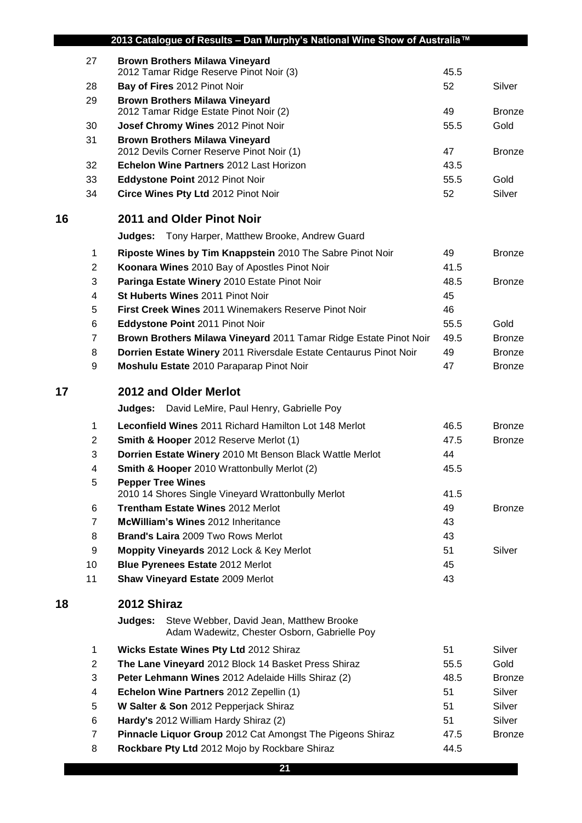| 2013 Catalogue of Results - Dan Murphy's National Wine Show of Australia™ |                |                                                                                                     |      |               |
|---------------------------------------------------------------------------|----------------|-----------------------------------------------------------------------------------------------------|------|---------------|
|                                                                           | 27             | <b>Brown Brothers Milawa Vineyard</b>                                                               |      |               |
|                                                                           |                | 2012 Tamar Ridge Reserve Pinot Noir (3)                                                             | 45.5 |               |
|                                                                           | 28             | Bay of Fires 2012 Pinot Noir                                                                        | 52   | Silver        |
|                                                                           | 29             | <b>Brown Brothers Milawa Vineyard</b><br>2012 Tamar Ridge Estate Pinot Noir (2)                     | 49   | <b>Bronze</b> |
|                                                                           | 30             | Josef Chromy Wines 2012 Pinot Noir                                                                  | 55.5 | Gold          |
|                                                                           | 31             | <b>Brown Brothers Milawa Vineyard</b>                                                               |      |               |
|                                                                           |                | 2012 Devils Corner Reserve Pinot Noir (1)                                                           | 47   | <b>Bronze</b> |
|                                                                           | 32             | Echelon Wine Partners 2012 Last Horizon                                                             | 43.5 |               |
|                                                                           | 33             | Eddystone Point 2012 Pinot Noir                                                                     | 55.5 | Gold          |
|                                                                           | 34             | Circe Wines Pty Ltd 2012 Pinot Noir                                                                 | 52   | Silver        |
| 16                                                                        |                | 2011 and Older Pinot Noir                                                                           |      |               |
|                                                                           |                | <b>Judges:</b> Tony Harper, Matthew Brooke, Andrew Guard                                            |      |               |
|                                                                           | 1              | Riposte Wines by Tim Knappstein 2010 The Sabre Pinot Noir                                           | 49   | <b>Bronze</b> |
|                                                                           | 2              | Koonara Wines 2010 Bay of Apostles Pinot Noir                                                       | 41.5 |               |
|                                                                           | 3              | Paringa Estate Winery 2010 Estate Pinot Noir                                                        | 48.5 | <b>Bronze</b> |
|                                                                           | 4              | St Huberts Wines 2011 Pinot Noir                                                                    | 45   |               |
|                                                                           | 5              | <b>First Creek Wines 2011 Winemakers Reserve Pinot Noir</b>                                         | 46   |               |
|                                                                           | 6              | Eddystone Point 2011 Pinot Noir                                                                     | 55.5 | Gold          |
|                                                                           | $\overline{7}$ | Brown Brothers Milawa Vineyard 2011 Tamar Ridge Estate Pinot Noir                                   | 49.5 | <b>Bronze</b> |
|                                                                           | 8              | Dorrien Estate Winery 2011 Riversdale Estate Centaurus Pinot Noir                                   | 49   | <b>Bronze</b> |
|                                                                           | 9              | Moshulu Estate 2010 Paraparap Pinot Noir                                                            | 47   | <b>Bronze</b> |
| 17                                                                        |                | 2012 and Older Merlot                                                                               |      |               |
|                                                                           |                | Judges:<br>David LeMire, Paul Henry, Gabrielle Poy                                                  |      |               |
|                                                                           | 1              | <b>Leconfield Wines 2011 Richard Hamilton Lot 148 Merlot</b>                                        | 46.5 | <b>Bronze</b> |
|                                                                           | 2              | Smith & Hooper 2012 Reserve Merlot (1)                                                              | 47.5 | <b>Bronze</b> |
|                                                                           | 3              | Dorrien Estate Winery 2010 Mt Benson Black Wattle Merlot                                            | 44   |               |
|                                                                           | 4              | <b>Smith &amp; Hooper</b> 2010 Wrattonbully Merlot (2)                                              | 45.5 |               |
|                                                                           | 5              | <b>Pepper Tree Wines</b>                                                                            |      |               |
|                                                                           |                | 2010 14 Shores Single Vineyard Wrattonbully Merlot                                                  | 41.5 |               |
|                                                                           | 6              | Trentham Estate Wines 2012 Merlot                                                                   | 49   | <b>Bronze</b> |
|                                                                           | $\overline{7}$ | McWilliam's Wines 2012 Inheritance                                                                  | 43   |               |
|                                                                           | 8              | Brand's Laira 2009 Two Rows Merlot                                                                  | 43   |               |
|                                                                           | 9              | Moppity Vineyards 2012 Lock & Key Merlot                                                            | 51   | Silver        |
|                                                                           | 10             | Blue Pyrenees Estate 2012 Merlot                                                                    | 45   |               |
|                                                                           | 11             | <b>Shaw Vineyard Estate 2009 Merlot</b>                                                             | 43   |               |
| 18                                                                        |                | 2012 Shiraz                                                                                         |      |               |
|                                                                           |                | Steve Webber, David Jean, Matthew Brooke<br>Judges:<br>Adam Wadewitz, Chester Osborn, Gabrielle Poy |      |               |
|                                                                           | 1              | Wicks Estate Wines Pty Ltd 2012 Shiraz                                                              | 51   | Silver        |
|                                                                           | $\overline{c}$ | The Lane Vineyard 2012 Block 14 Basket Press Shiraz                                                 | 55.5 | Gold          |
|                                                                           | 3              | Peter Lehmann Wines 2012 Adelaide Hills Shiraz (2)                                                  | 48.5 | <b>Bronze</b> |
|                                                                           | 4              | Echelon Wine Partners 2012 Zepellin (1)                                                             | 51   | Silver        |
|                                                                           | 5              | W Salter & Son 2012 Pepperjack Shiraz                                                               | 51   | Silver        |
|                                                                           | 6              | Hardy's 2012 William Hardy Shiraz (2)                                                               | 51   | Silver        |
|                                                                           | 7              | Pinnacle Liquor Group 2012 Cat Amongst The Pigeons Shiraz                                           | 47.5 | <b>Bronze</b> |
|                                                                           | 8              | Rockbare Pty Ltd 2012 Mojo by Rockbare Shiraz                                                       | 44.5 |               |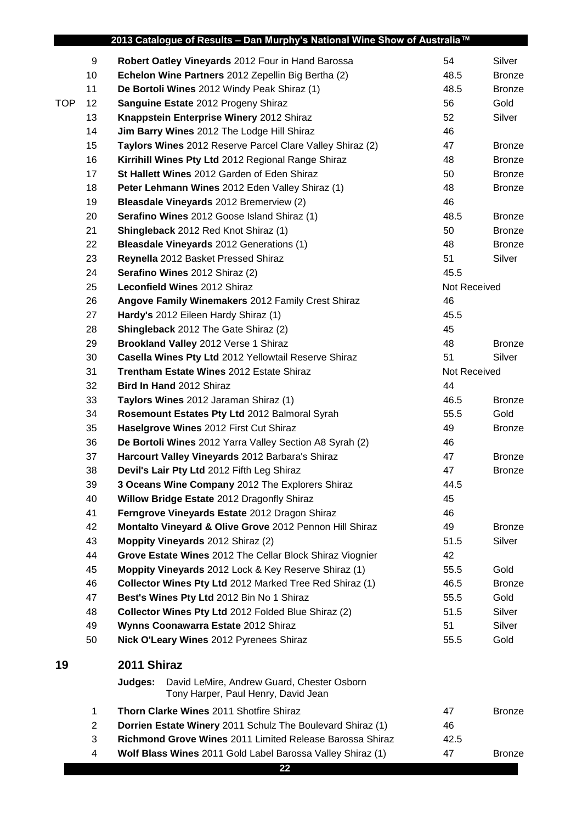|            |                | 2013 Catalogue of Results - Dan Murphy's National Wine Show of Australia™                    |              |               |
|------------|----------------|----------------------------------------------------------------------------------------------|--------------|---------------|
|            | 9              | Robert Oatley Vineyards 2012 Four in Hand Barossa                                            | 54           | Silver        |
|            | 10             | Echelon Wine Partners 2012 Zepellin Big Bertha (2)                                           | 48.5         | <b>Bronze</b> |
|            | 11             | De Bortoli Wines 2012 Windy Peak Shiraz (1)                                                  | 48.5         | <b>Bronze</b> |
| <b>TOP</b> | 12             | Sanguine Estate 2012 Progeny Shiraz                                                          | 56           | Gold          |
|            | 13             | Knappstein Enterprise Winery 2012 Shiraz                                                     | 52           | Silver        |
|            | 14             | Jim Barry Wines 2012 The Lodge Hill Shiraz                                                   | 46           |               |
|            | 15             | Taylors Wines 2012 Reserve Parcel Clare Valley Shiraz (2)                                    | 47           | <b>Bronze</b> |
|            | 16             | Kirrihill Wines Pty Ltd 2012 Regional Range Shiraz                                           | 48           | <b>Bronze</b> |
|            | 17             | St Hallett Wines 2012 Garden of Eden Shiraz                                                  | 50           | <b>Bronze</b> |
|            | 18             | Peter Lehmann Wines 2012 Eden Valley Shiraz (1)                                              | 48           | <b>Bronze</b> |
|            | 19             | Bleasdale Vineyards 2012 Bremerview (2)                                                      | 46           |               |
|            | 20             | Serafino Wines 2012 Goose Island Shiraz (1)                                                  | 48.5         | <b>Bronze</b> |
|            | 21             | Shingleback 2012 Red Knot Shiraz (1)                                                         | 50           | <b>Bronze</b> |
|            | 22             | <b>Bleasdale Vineyards</b> 2012 Generations (1)                                              | 48           | <b>Bronze</b> |
|            | 23             | Reynella 2012 Basket Pressed Shiraz                                                          | 51           | Silver        |
|            | 24             | Serafino Wines 2012 Shiraz (2)                                                               | 45.5         |               |
|            | 25             | Leconfield Wines 2012 Shiraz                                                                 | Not Received |               |
|            | 26             | Angove Family Winemakers 2012 Family Crest Shiraz                                            | 46           |               |
|            | 27             | Hardy's 2012 Eileen Hardy Shiraz (1)                                                         | 45.5         |               |
|            | 28             | Shingleback 2012 The Gate Shiraz (2)                                                         | 45           |               |
|            | 29             | Brookland Valley 2012 Verse 1 Shiraz                                                         | 48           | <b>Bronze</b> |
|            | 30             | Casella Wines Pty Ltd 2012 Yellowtail Reserve Shiraz                                         | 51           | Silver        |
|            | 31             | Trentham Estate Wines 2012 Estate Shiraz                                                     | Not Received |               |
|            | 32             | Bird In Hand 2012 Shiraz                                                                     | 44           |               |
|            | 33             | Taylors Wines 2012 Jaraman Shiraz (1)                                                        | 46.5         | <b>Bronze</b> |
|            | 34             | Rosemount Estates Pty Ltd 2012 Balmoral Syrah                                                | 55.5         | Gold          |
|            | 35             | Haselgrove Wines 2012 First Cut Shiraz                                                       | 49           | <b>Bronze</b> |
|            | 36             | De Bortoli Wines 2012 Yarra Valley Section A8 Syrah (2)                                      | 46           |               |
|            | 37             | Harcourt Valley Vineyards 2012 Barbara's Shiraz                                              | 47           | <b>Bronze</b> |
|            | 38             | Devil's Lair Pty Ltd 2012 Fifth Leg Shiraz                                                   | 47           | <b>Bronze</b> |
|            | 39             | 3 Oceans Wine Company 2012 The Explorers Shiraz                                              | 44.5         |               |
|            | 40             | Willow Bridge Estate 2012 Dragonfly Shiraz                                                   | 45           |               |
|            | 41             | Ferngrove Vineyards Estate 2012 Dragon Shiraz                                                | 46           |               |
|            | 42             | Montalto Vineyard & Olive Grove 2012 Pennon Hill Shiraz                                      | 49           | <b>Bronze</b> |
|            | 43             | Moppity Vineyards 2012 Shiraz (2)                                                            | 51.5         | Silver        |
|            | 44             | Grove Estate Wines 2012 The Cellar Block Shiraz Viognier                                     | 42           |               |
|            | 45             | Moppity Vineyards 2012 Lock & Key Reserve Shiraz (1)                                         | 55.5         | Gold          |
|            | 46             | Collector Wines Pty Ltd 2012 Marked Tree Red Shiraz (1)                                      | 46.5         | <b>Bronze</b> |
|            | 47             | Best's Wines Pty Ltd 2012 Bin No 1 Shiraz                                                    | 55.5         | Gold          |
|            | 48             | Collector Wines Pty Ltd 2012 Folded Blue Shiraz (2)                                          | 51.5         | Silver        |
|            | 49             | Wynns Coonawarra Estate 2012 Shiraz                                                          | 51           | Silver        |
|            | 50             | Nick O'Leary Wines 2012 Pyrenees Shiraz                                                      | 55.5         | Gold          |
| 19         |                | 2011 Shiraz                                                                                  |              |               |
|            |                | Judges:<br>David LeMire, Andrew Guard, Chester Osborn<br>Tony Harper, Paul Henry, David Jean |              |               |
|            | 1              | Thorn Clarke Wines 2011 Shotfire Shiraz                                                      | 47           | <b>Bronze</b> |
|            | $\overline{2}$ | Dorrien Estate Winery 2011 Schulz The Boulevard Shiraz (1)                                   | 46           |               |
|            | 3              | Richmond Grove Wines 2011 Limited Release Barossa Shiraz                                     | 42.5         |               |
|            | 4              | Wolf Blass Wines 2011 Gold Label Barossa Valley Shiraz (1)                                   | 47           | <b>Bronze</b> |
|            |                | 22                                                                                           |              |               |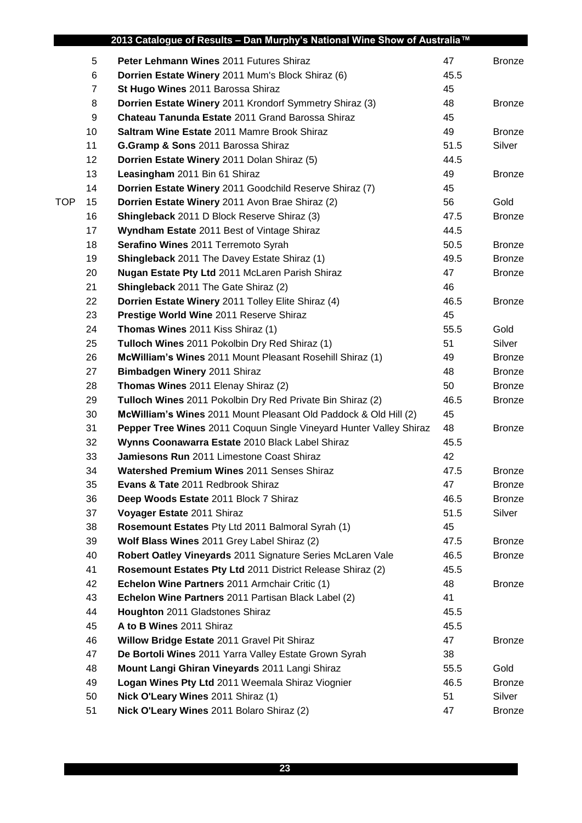|            |    | 2013 Catalogue of Results - Dan Murphy's National Wine Show of Australia™ |      |               |
|------------|----|---------------------------------------------------------------------------|------|---------------|
|            | 5  | Peter Lehmann Wines 2011 Futures Shiraz                                   | 47   | <b>Bronze</b> |
|            | 6  | Dorrien Estate Winery 2011 Mum's Block Shiraz (6)                         | 45.5 |               |
|            | 7  | St Hugo Wines 2011 Barossa Shiraz                                         | 45   |               |
|            | 8  | Dorrien Estate Winery 2011 Krondorf Symmetry Shiraz (3)                   | 48   | <b>Bronze</b> |
|            | 9  | Chateau Tanunda Estate 2011 Grand Barossa Shiraz                          | 45   |               |
|            | 10 | <b>Saltram Wine Estate 2011 Mamre Brook Shiraz</b>                        | 49   | <b>Bronze</b> |
|            | 11 | G.Gramp & Sons 2011 Barossa Shiraz                                        | 51.5 | Silver        |
|            | 12 | Dorrien Estate Winery 2011 Dolan Shiraz (5)                               | 44.5 |               |
|            | 13 | Leasingham 2011 Bin 61 Shiraz                                             | 49   | <b>Bronze</b> |
|            | 14 | Dorrien Estate Winery 2011 Goodchild Reserve Shiraz (7)                   | 45   |               |
| <b>TOP</b> | 15 | Dorrien Estate Winery 2011 Avon Brae Shiraz (2)                           | 56   | Gold          |
|            | 16 | <b>Shingleback</b> 2011 D Block Reserve Shiraz (3)                        | 47.5 | <b>Bronze</b> |
|            | 17 | Wyndham Estate 2011 Best of Vintage Shiraz                                | 44.5 |               |
|            | 18 | Serafino Wines 2011 Terremoto Syrah                                       | 50.5 | <b>Bronze</b> |
|            | 19 | <b>Shingleback</b> 2011 The Davey Estate Shiraz (1)                       | 49.5 | <b>Bronze</b> |
|            | 20 | Nugan Estate Pty Ltd 2011 McLaren Parish Shiraz                           | 47   | <b>Bronze</b> |
|            | 21 | <b>Shingleback</b> 2011 The Gate Shiraz (2)                               | 46   |               |
|            | 22 | Dorrien Estate Winery 2011 Tolley Elite Shiraz (4)                        | 46.5 | <b>Bronze</b> |
|            | 23 | Prestige World Wine 2011 Reserve Shiraz                                   | 45   |               |
|            | 24 | Thomas Wines 2011 Kiss Shiraz (1)                                         | 55.5 | Gold          |
|            | 25 | Tulloch Wines 2011 Pokolbin Dry Red Shiraz (1)                            | 51   | Silver        |
|            | 26 | McWilliam's Wines 2011 Mount Pleasant Rosehill Shiraz (1)                 | 49   | <b>Bronze</b> |
|            | 27 | Bimbadgen Winery 2011 Shiraz                                              | 48   | <b>Bronze</b> |
|            | 28 | Thomas Wines 2011 Elenay Shiraz (2)                                       | 50   | <b>Bronze</b> |
|            | 29 | Tulloch Wines 2011 Pokolbin Dry Red Private Bin Shiraz (2)                | 46.5 | <b>Bronze</b> |
|            | 30 | McWilliam's Wines 2011 Mount Pleasant Old Paddock & Old Hill (2)          | 45   |               |
|            | 31 | Pepper Tree Wines 2011 Coquun Single Vineyard Hunter Valley Shiraz        | 48   | <b>Bronze</b> |
|            | 32 | Wynns Coonawarra Estate 2010 Black Label Shiraz                           | 45.5 |               |
|            | 33 | Jamiesons Run 2011 Limestone Coast Shiraz                                 | 42   |               |
|            | 34 | Watershed Premium Wines 2011 Senses Shiraz                                | 47.5 | <b>Bronze</b> |
|            | 35 | <b>Evans &amp; Tate 2011 Redbrook Shiraz</b>                              | 47   | <b>Bronze</b> |
|            | 36 | Deep Woods Estate 2011 Block 7 Shiraz                                     | 46.5 | <b>Bronze</b> |
|            | 37 | Voyager Estate 2011 Shiraz                                                | 51.5 | Silver        |
|            | 38 | Rosemount Estates Pty Ltd 2011 Balmoral Syrah (1)                         | 45   |               |
|            | 39 | Wolf Blass Wines 2011 Grey Label Shiraz (2)                               | 47.5 | <b>Bronze</b> |
|            | 40 | Robert Oatley Vineyards 2011 Signature Series McLaren Vale                | 46.5 | <b>Bronze</b> |
|            | 41 | Rosemount Estates Pty Ltd 2011 District Release Shiraz (2)                | 45.5 |               |
|            | 42 | Echelon Wine Partners 2011 Armchair Critic (1)                            | 48   | <b>Bronze</b> |
|            | 43 | Echelon Wine Partners 2011 Partisan Black Label (2)                       | 41   |               |
|            | 44 | Houghton 2011 Gladstones Shiraz                                           | 45.5 |               |
|            | 45 | A to B Wines 2011 Shiraz                                                  | 45.5 |               |
|            | 46 | Willow Bridge Estate 2011 Gravel Pit Shiraz                               | 47   | <b>Bronze</b> |
|            | 47 | De Bortoli Wines 2011 Yarra Valley Estate Grown Syrah                     | 38   |               |
|            | 48 | Mount Langi Ghiran Vineyards 2011 Langi Shiraz                            | 55.5 | Gold          |
|            | 49 | Logan Wines Pty Ltd 2011 Weemala Shiraz Viognier                          | 46.5 | <b>Bronze</b> |
|            | 50 | Nick O'Leary Wines 2011 Shiraz (1)                                        | 51   | Silver        |
|            | 51 | Nick O'Leary Wines 2011 Bolaro Shiraz (2)                                 | 47   | <b>Bronze</b> |
|            |    |                                                                           |      |               |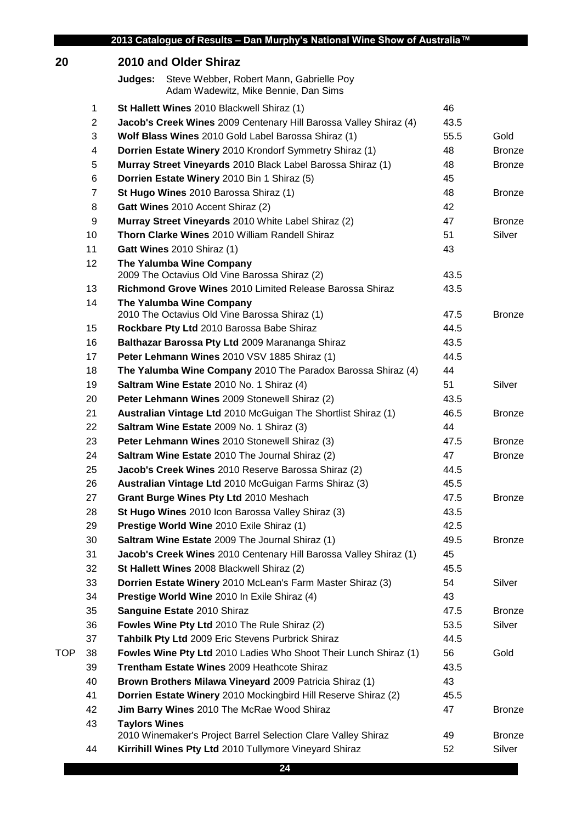| 20  |                | 2010 and Older Shiraz                                                                       |      |               |
|-----|----------------|---------------------------------------------------------------------------------------------|------|---------------|
|     |                | Steve Webber, Robert Mann, Gabrielle Poy<br>Judges:<br>Adam Wadewitz, Mike Bennie, Dan Sims |      |               |
|     | 1              | St Hallett Wines 2010 Blackwell Shiraz (1)                                                  | 46   |               |
|     | $\overline{2}$ | Jacob's Creek Wines 2009 Centenary Hill Barossa Valley Shiraz (4)                           | 43.5 |               |
|     | 3              | Wolf Blass Wines 2010 Gold Label Barossa Shiraz (1)                                         | 55.5 | Gold          |
|     | 4              | Dorrien Estate Winery 2010 Krondorf Symmetry Shiraz (1)                                     | 48   | <b>Bronze</b> |
|     | 5              | Murray Street Vineyards 2010 Black Label Barossa Shiraz (1)                                 | 48   | <b>Bronze</b> |
|     | 6              | Dorrien Estate Winery 2010 Bin 1 Shiraz (5)                                                 | 45   |               |
|     | 7              | St Hugo Wines 2010 Barossa Shiraz (1)                                                       | 48   | <b>Bronze</b> |
|     | 8              | Gatt Wines 2010 Accent Shiraz (2)                                                           | 42   |               |
|     | 9              | Murray Street Vineyards 2010 White Label Shiraz (2)                                         | 47   | <b>Bronze</b> |
|     | 10             | <b>Thorn Clarke Wines 2010 William Randell Shiraz</b>                                       | 51   | Silver        |
|     | 11             | Gatt Wines 2010 Shiraz (1)                                                                  | 43   |               |
|     | 12             | The Yalumba Wine Company<br>2009 The Octavius Old Vine Barossa Shiraz (2)                   | 43.5 |               |
|     | 13             | Richmond Grove Wines 2010 Limited Release Barossa Shiraz                                    | 43.5 |               |
|     | 14             | The Yalumba Wine Company<br>2010 The Octavius Old Vine Barossa Shiraz (1)                   | 47.5 | <b>Bronze</b> |
|     | 15             | Rockbare Pty Ltd 2010 Barossa Babe Shiraz                                                   | 44.5 |               |
|     | 16             | Balthazar Barossa Pty Ltd 2009 Marananga Shiraz                                             | 43.5 |               |
|     | 17             | Peter Lehmann Wines 2010 VSV 1885 Shiraz (1)                                                | 44.5 |               |
|     | 18             | The Yalumba Wine Company 2010 The Paradox Barossa Shiraz (4)                                | 44   |               |
|     | 19             | Saltram Wine Estate 2010 No. 1 Shiraz (4)                                                   | 51   | Silver        |
|     | 20             | Peter Lehmann Wines 2009 Stonewell Shiraz (2)                                               | 43.5 |               |
|     | 21             | Australian Vintage Ltd 2010 McGuigan The Shortlist Shiraz (1)                               | 46.5 | <b>Bronze</b> |
|     | 22             | <b>Saltram Wine Estate 2009 No. 1 Shiraz (3)</b>                                            | 44   |               |
|     | 23             | Peter Lehmann Wines 2010 Stonewell Shiraz (3)                                               | 47.5 | <b>Bronze</b> |
|     | 24             | Saltram Wine Estate 2010 The Journal Shiraz (2)                                             | 47   | <b>Bronze</b> |
|     | 25             | Jacob's Creek Wines 2010 Reserve Barossa Shiraz (2)                                         | 44.5 |               |
|     | 26             | Australian Vintage Ltd 2010 McGuigan Farms Shiraz (3)                                       | 45.5 |               |
|     | 27             | Grant Burge Wines Pty Ltd 2010 Meshach                                                      | 47.5 | <b>Bronze</b> |
|     | 28             | St Hugo Wines 2010 Icon Barossa Valley Shiraz (3)                                           | 43.5 |               |
|     | 29             | Prestige World Wine 2010 Exile Shiraz (1)                                                   | 42.5 |               |
|     | 30             | Saltram Wine Estate 2009 The Journal Shiraz (1)                                             | 49.5 | <b>Bronze</b> |
|     | 31             | Jacob's Creek Wines 2010 Centenary Hill Barossa Valley Shiraz (1)                           | 45   |               |
|     | 32             | St Hallett Wines 2008 Blackwell Shiraz (2)                                                  | 45.5 |               |
|     | 33             | Dorrien Estate Winery 2010 McLean's Farm Master Shiraz (3)                                  | 54   | Silver        |
|     | 34             | Prestige World Wine 2010 In Exile Shiraz (4)                                                | 43   |               |
|     | 35             | Sanguine Estate 2010 Shiraz                                                                 | 47.5 | <b>Bronze</b> |
|     | 36             | Fowles Wine Pty Ltd 2010 The Rule Shiraz (2)                                                | 53.5 | Silver        |
|     | 37             | Tahbilk Pty Ltd 2009 Eric Stevens Purbrick Shiraz                                           | 44.5 |               |
| TOP | 38             | Fowles Wine Pty Ltd 2010 Ladies Who Shoot Their Lunch Shiraz (1)                            | 56   | Gold          |
|     | 39             | Trentham Estate Wines 2009 Heathcote Shiraz                                                 | 43.5 |               |
|     | 40             | Brown Brothers Milawa Vineyard 2009 Patricia Shiraz (1)                                     | 43   |               |
|     | 41             | Dorrien Estate Winery 2010 Mockingbird Hill Reserve Shiraz (2)                              | 45.5 |               |
|     | 42             | Jim Barry Wines 2010 The McRae Wood Shiraz                                                  | 47   | <b>Bronze</b> |
|     | 43             | <b>Taylors Wines</b>                                                                        |      |               |
|     |                | 2010 Winemaker's Project Barrel Selection Clare Valley Shiraz                               | 49   | <b>Bronze</b> |
|     | 44             | Kirrihill Wines Pty Ltd 2010 Tullymore Vineyard Shiraz                                      | 52   | Silver        |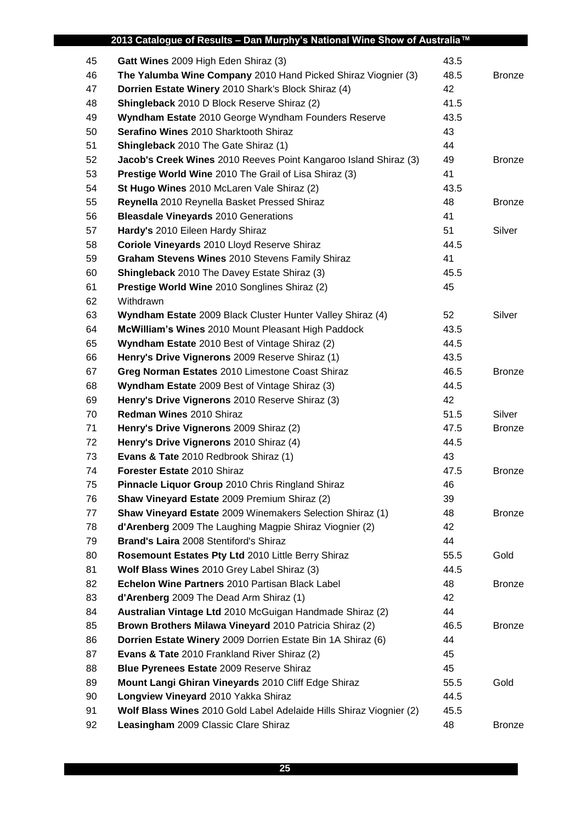|    | 2013 Catalogue of Results - Dan Murphy's National Wine Show of Australia™ |      |               |
|----|---------------------------------------------------------------------------|------|---------------|
| 45 | Gatt Wines 2009 High Eden Shiraz (3)                                      | 43.5 |               |
| 46 | The Yalumba Wine Company 2010 Hand Picked Shiraz Viognier (3)             | 48.5 | <b>Bronze</b> |
| 47 | Dorrien Estate Winery 2010 Shark's Block Shiraz (4)                       | 42   |               |
| 48 | Shingleback 2010 D Block Reserve Shiraz (2)                               | 41.5 |               |
| 49 | Wyndham Estate 2010 George Wyndham Founders Reserve                       | 43.5 |               |
| 50 | Serafino Wines 2010 Sharktooth Shiraz                                     | 43   |               |
| 51 | Shingleback 2010 The Gate Shiraz (1)                                      | 44   |               |
| 52 | Jacob's Creek Wines 2010 Reeves Point Kangaroo Island Shiraz (3)          | 49   | <b>Bronze</b> |
| 53 | Prestige World Wine 2010 The Grail of Lisa Shiraz (3)                     | 41   |               |
| 54 | St Hugo Wines 2010 McLaren Vale Shiraz (2)                                | 43.5 |               |
| 55 | Reynella 2010 Reynella Basket Pressed Shiraz                              | 48   | <b>Bronze</b> |
| 56 | <b>Bleasdale Vineyards 2010 Generations</b>                               | 41   |               |
| 57 | Hardy's 2010 Eileen Hardy Shiraz                                          | 51   | Silver        |
| 58 | Coriole Vineyards 2010 Lloyd Reserve Shiraz                               | 44.5 |               |
| 59 | Graham Stevens Wines 2010 Stevens Family Shiraz                           | 41   |               |
| 60 | <b>Shingleback</b> 2010 The Davey Estate Shiraz (3)                       | 45.5 |               |
| 61 | Prestige World Wine 2010 Songlines Shiraz (2)                             | 45   |               |
| 62 | Withdrawn                                                                 |      |               |
| 63 | Wyndham Estate 2009 Black Cluster Hunter Valley Shiraz (4)                | 52   | Silver        |
| 64 | McWilliam's Wines 2010 Mount Pleasant High Paddock                        | 43.5 |               |
| 65 | Wyndham Estate 2010 Best of Vintage Shiraz (2)                            | 44.5 |               |
| 66 | Henry's Drive Vignerons 2009 Reserve Shiraz (1)                           | 43.5 |               |
| 67 | Greg Norman Estates 2010 Limestone Coast Shiraz                           | 46.5 | <b>Bronze</b> |
| 68 | <b>Wyndham Estate</b> 2009 Best of Vintage Shiraz (3)                     | 44.5 |               |
| 69 | Henry's Drive Vignerons 2010 Reserve Shiraz (3)                           | 42   |               |
| 70 | <b>Redman Wines 2010 Shiraz</b>                                           | 51.5 | Silver        |
| 71 | Henry's Drive Vignerons 2009 Shiraz (2)                                   | 47.5 | <b>Bronze</b> |
| 72 | Henry's Drive Vignerons 2010 Shiraz (4)                                   | 44.5 |               |
| 73 | Evans & Tate 2010 Redbrook Shiraz (1)                                     | 43   |               |
| 74 | Forester Estate 2010 Shiraz                                               | 47.5 | Bronze        |
| 75 | Pinnacle Liquor Group 2010 Chris Ringland Shiraz                          | 46   |               |
| 76 | Shaw Vineyard Estate 2009 Premium Shiraz (2)                              | 39   |               |
| 77 | Shaw Vineyard Estate 2009 Winemakers Selection Shiraz (1)                 | 48   | <b>Bronze</b> |
| 78 | d'Arenberg 2009 The Laughing Magpie Shiraz Viognier (2)                   | 42   |               |
| 79 | Brand's Laira 2008 Stentiford's Shiraz                                    | 44   |               |
| 80 | Rosemount Estates Pty Ltd 2010 Little Berry Shiraz                        | 55.5 | Gold          |
| 81 | Wolf Blass Wines 2010 Grey Label Shiraz (3)                               | 44.5 |               |
| 82 | Echelon Wine Partners 2010 Partisan Black Label                           | 48   | <b>Bronze</b> |
| 83 | d'Arenberg 2009 The Dead Arm Shiraz (1)                                   | 42   |               |
| 84 | Australian Vintage Ltd 2010 McGuigan Handmade Shiraz (2)                  | 44   |               |
| 85 | Brown Brothers Milawa Vineyard 2010 Patricia Shiraz (2)                   | 46.5 | <b>Bronze</b> |
| 86 | Dorrien Estate Winery 2009 Dorrien Estate Bin 1A Shiraz (6)               | 44   |               |
| 87 | <b>Evans &amp; Tate 2010 Frankland River Shiraz (2)</b>                   | 45   |               |
| 88 | <b>Blue Pyrenees Estate 2009 Reserve Shiraz</b>                           | 45   |               |
| 89 | Mount Langi Ghiran Vineyards 2010 Cliff Edge Shiraz                       | 55.5 | Gold          |
| 90 | Longview Vineyard 2010 Yakka Shiraz                                       | 44.5 |               |
| 91 | Wolf Blass Wines 2010 Gold Label Adelaide Hills Shiraz Viognier (2)       | 45.5 |               |
| 92 | Leasingham 2009 Classic Clare Shiraz                                      | 48   | <b>Bronze</b> |
|    |                                                                           |      |               |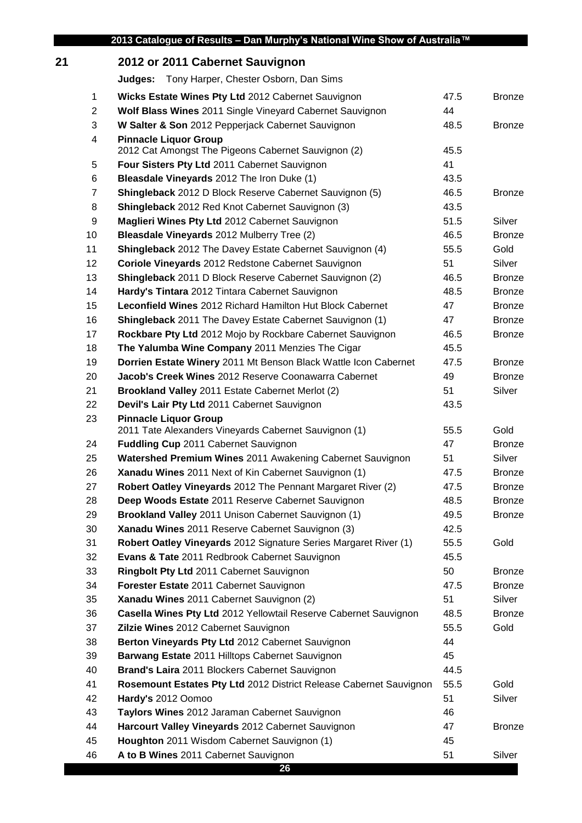## **2012 or 2011 Cabernet Sauvignon Judges:** Tony Harper, Chester Osborn, Dan Sims **Wicks Estate Wines Pty Ltd** 2012 Cabernet Sauvignon 47.5 Bronze **Wolf Blass Wines** 2011 Single Vineyard Cabernet Sauvignon 44 **W Salter & Son** 2012 Pepperjack Cabernet Sauvignon 48.5 Bronze **Pinnacle Liquor Group** 2012 Cat Amongst The Pigeons Cabernet Sauvignon (2) 45.5 **Four Sisters Pty Ltd** 2011 Cabernet Sauvignon 41 **Bleasdale Vineyards** 2012 The Iron Duke (1) 43.5 **Shingleback** 2012 D Block Reserve Cabernet Sauvignon (5) 46.5 Bronze **Shingleback** 2012 Red Knot Cabernet Sauvignon (3) 43.5 **Maglieri Wines Pty Ltd** 2012 Cabernet Sauvignon 51.5 Silver **Bleasdale Vineyards** 2012 Mulberry Tree (2) 46.5 Bronze **Shingleback** 2012 The Davey Estate Cabernet Sauvignon (4) 55.5 Gold **Coriole Vineyards** 2012 Redstone Cabernet Sauvignon 51 51 Silver **Shingleback** 2011 D Block Reserve Cabernet Sauvignon (2) 46.5 Bronze **Hardy's Tintara** 2012 Tintara Cabernet Sauvignon 48.5 Bronze **Leconfield Wines** 2012 Richard Hamilton Hut Block Cabernet 47 Bronze **Shingleback** 2011 The Davey Estate Cabernet Sauvignon (1) 47 Bronze **Rockbare Pty Ltd** 2012 Mojo by Rockbare Cabernet Sauvignon 46.5 Bronze **The Yalumba Wine Company** 2011 Menzies The Cigar **1988** 45.5 **Dorrien Estate Winery** 2011 Mt Benson Black Wattle Icon Cabernet 47.5 Bronze **Jacob's Creek Wines** 2012 Reserve Coonawarra Cabernet 49 Bronze **Brookland Valley** 2011 Estate Cabernet Merlot (2) 51 Silver

| 22 | Devil's Lair Pty Ltd 2011 Cabernet Sauvignon                       | 43.5 |               |
|----|--------------------------------------------------------------------|------|---------------|
| 23 | <b>Pinnacle Liquor Group</b>                                       |      |               |
|    | 2011 Tate Alexanders Vineyards Cabernet Sauvignon (1)              | 55.5 | Gold          |
| 24 | <b>Fuddling Cup 2011 Cabernet Sauvignon</b>                        | 47   | <b>Bronze</b> |
| 25 | Watershed Premium Wines 2011 Awakening Cabernet Sauvignon          | 51   | Silver        |
| 26 | Xanadu Wines 2011 Next of Kin Cabernet Sauvignon (1)               | 47.5 | <b>Bronze</b> |
| 27 | Robert Oatley Vineyards 2012 The Pennant Margaret River (2)        | 47.5 | <b>Bronze</b> |
| 28 | Deep Woods Estate 2011 Reserve Cabernet Sauvignon                  | 48.5 | <b>Bronze</b> |
| 29 | Brookland Valley 2011 Unison Cabernet Sauvignon (1)                | 49.5 | <b>Bronze</b> |
| 30 | Xanadu Wines 2011 Reserve Cabernet Sauvignon (3)                   | 42.5 |               |
| 31 | Robert Oatley Vineyards 2012 Signature Series Margaret River (1)   | 55.5 | Gold          |
| 32 | Evans & Tate 2011 Redbrook Cabernet Sauvignon                      | 45.5 |               |
| 33 | Ringbolt Pty Ltd 2011 Cabernet Sauvignon                           | 50   | <b>Bronze</b> |
| 34 | Forester Estate 2011 Cabernet Sauvignon                            | 47.5 | <b>Bronze</b> |
| 35 | Xanadu Wines 2011 Cabernet Sauvignon (2)                           | 51   | Silver        |
| 36 | Casella Wines Pty Ltd 2012 Yellowtail Reserve Cabernet Sauvignon   | 48.5 | <b>Bronze</b> |
| 37 | Zilzie Wines 2012 Cabernet Sauvignon                               | 55.5 | Gold          |
| 38 | Berton Vineyards Pty Ltd 2012 Cabernet Sauvignon                   | 44   |               |
| 39 | Barwang Estate 2011 Hilltops Cabernet Sauvignon                    | 45   |               |
| 40 | <b>Brand's Laira</b> 2011 Blockers Cabernet Sauvignon              | 44.5 |               |
| 41 | Rosemount Estates Pty Ltd 2012 District Release Cabernet Sauvignon | 55.5 | Gold          |
| 42 | Hardy's 2012 Oomoo                                                 | 51   | Silver        |
| 43 | Taylors Wines 2012 Jaraman Cabernet Sauvignon                      | 46   |               |
| 44 | Harcourt Valley Vineyards 2012 Cabernet Sauvignon                  | 47   | <b>Bronze</b> |
| 45 | Houghton 2011 Wisdom Cabernet Sauvignon (1)                        | 45   |               |
| 46 | A to B Wines 2011 Cabernet Sauvignon                               | 51   | Silver        |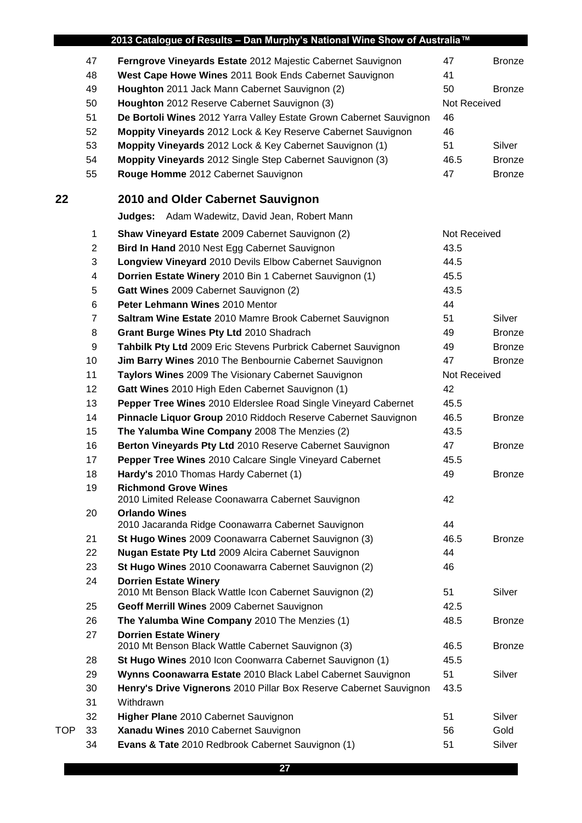| 2013 Catalogue of Results - Dan Murphy's National Wine Show of Australia™ |                |                                                                                         |              |               |
|---------------------------------------------------------------------------|----------------|-----------------------------------------------------------------------------------------|--------------|---------------|
|                                                                           | 47             | Ferngrove Vineyards Estate 2012 Majestic Cabernet Sauvignon                             | 47           | <b>Bronze</b> |
|                                                                           | 48             | West Cape Howe Wines 2011 Book Ends Cabernet Sauvignon                                  | 41           |               |
|                                                                           | 49             | Houghton 2011 Jack Mann Cabernet Sauvignon (2)                                          | 50           | <b>Bronze</b> |
|                                                                           | 50             | Houghton 2012 Reserve Cabernet Sauvignon (3)                                            | Not Received |               |
|                                                                           | 51             | De Bortoli Wines 2012 Yarra Valley Estate Grown Cabernet Sauvignon                      | 46           |               |
|                                                                           | 52             | Moppity Vineyards 2012 Lock & Key Reserve Cabernet Sauvignon                            | 46           |               |
|                                                                           | 53             | Moppity Vineyards 2012 Lock & Key Cabernet Sauvignon (1)                                | 51           | Silver        |
|                                                                           | 54             | Moppity Vineyards 2012 Single Step Cabernet Sauvignon (3)                               | 46.5         | <b>Bronze</b> |
|                                                                           | 55             | Rouge Homme 2012 Cabernet Sauvignon                                                     | 47           | <b>Bronze</b> |
| 22                                                                        |                | 2010 and Older Cabernet Sauvignon                                                       |              |               |
|                                                                           |                | <b>Judges:</b> Adam Wadewitz, David Jean, Robert Mann                                   |              |               |
|                                                                           | 1              | Shaw Vineyard Estate 2009 Cabernet Sauvignon (2)                                        | Not Received |               |
|                                                                           | $\overline{2}$ | Bird In Hand 2010 Nest Egg Cabernet Sauvignon                                           | 43.5         |               |
|                                                                           | 3              | Longview Vineyard 2010 Devils Elbow Cabernet Sauvignon                                  | 44.5         |               |
|                                                                           | 4              | Dorrien Estate Winery 2010 Bin 1 Cabernet Sauvignon (1)                                 | 45.5         |               |
|                                                                           | 5              | Gatt Wines 2009 Cabernet Sauvignon (2)                                                  | 43.5         |               |
|                                                                           | 6              | Peter Lehmann Wines 2010 Mentor                                                         | 44           |               |
|                                                                           | $\overline{7}$ | Saltram Wine Estate 2010 Mamre Brook Cabernet Sauvignon                                 | 51           | Silver        |
|                                                                           | 8              | Grant Burge Wines Pty Ltd 2010 Shadrach                                                 | 49           | <b>Bronze</b> |
|                                                                           | 9              | Tahbilk Pty Ltd 2009 Eric Stevens Purbrick Cabernet Sauvignon                           | 49           | <b>Bronze</b> |
|                                                                           | 10             | Jim Barry Wines 2010 The Benbournie Cabernet Sauvignon                                  | 47           | <b>Bronze</b> |
|                                                                           | 11             | Taylors Wines 2009 The Visionary Cabernet Sauvignon                                     | Not Received |               |
|                                                                           | 12             | Gatt Wines 2010 High Eden Cabernet Sauvignon (1)                                        | 42           |               |
|                                                                           | 13             | Pepper Tree Wines 2010 Elderslee Road Single Vineyard Cabernet                          | 45.5         |               |
|                                                                           | 14             | Pinnacle Liquor Group 2010 Riddoch Reserve Cabernet Sauvignon                           | 46.5         | <b>Bronze</b> |
|                                                                           | 15             | The Yalumba Wine Company 2008 The Menzies (2)                                           | 43.5         |               |
|                                                                           | 16             | Berton Vineyards Pty Ltd 2010 Reserve Cabernet Sauvignon                                | 47           | <b>Bronze</b> |
|                                                                           | 17             | Pepper Tree Wines 2010 Calcare Single Vineyard Cabernet                                 | 45.5         |               |
|                                                                           | 18             | Hardy's 2010 Thomas Hardy Cabernet (1)                                                  | 49           | <b>Bronze</b> |
|                                                                           | 19             | <b>Richmond Grove Wines</b><br>2010 Limited Release Coonawarra Cabernet Sauvignon       | 42           |               |
|                                                                           | 20             | <b>Orlando Wines</b>                                                                    |              |               |
|                                                                           |                | 2010 Jacaranda Ridge Coonawarra Cabernet Sauvignon                                      | 44           |               |
|                                                                           | 21             | St Hugo Wines 2009 Coonawarra Cabernet Sauvignon (3)                                    | 46.5         | <b>Bronze</b> |
|                                                                           | 22             | <b>Nugan Estate Pty Ltd</b> 2009 Alcira Cabernet Sauvignon                              | 44           |               |
|                                                                           | 23             | St Hugo Wines 2010 Coonawarra Cabernet Sauvignon (2)                                    | 46           |               |
|                                                                           | 24             | <b>Dorrien Estate Winery</b><br>2010 Mt Benson Black Wattle Icon Cabernet Sauvignon (2) | 51           | Silver        |
|                                                                           | 25             | Geoff Merrill Wines 2009 Cabernet Sauvignon                                             | 42.5         |               |
|                                                                           | 26             | The Yalumba Wine Company 2010 The Menzies (1)                                           | 48.5         | <b>Bronze</b> |
|                                                                           | 27             | <b>Dorrien Estate Winery</b>                                                            |              |               |
|                                                                           |                | 2010 Mt Benson Black Wattle Cabernet Sauvignon (3)                                      | 46.5         | <b>Bronze</b> |
|                                                                           | 28             | St Hugo Wines 2010 Icon Coonwarra Cabernet Sauvignon (1)                                | 45.5         |               |
|                                                                           | 29             | Wynns Coonawarra Estate 2010 Black Label Cabernet Sauvignon                             | 51           | Silver        |
|                                                                           | 30             | Henry's Drive Vignerons 2010 Pillar Box Reserve Cabernet Sauvignon                      | 43.5         |               |
|                                                                           | 31             | Withdrawn                                                                               |              |               |
|                                                                           | 32             | Higher Plane 2010 Cabernet Sauvignon                                                    | 51           | Silver        |
| <b>TOP</b>                                                                | 33             | Xanadu Wines 2010 Cabernet Sauvignon                                                    | 56           | Gold          |
|                                                                           | 34             | Evans & Tate 2010 Redbrook Cabernet Sauvignon (1)                                       | 51           | Silver        |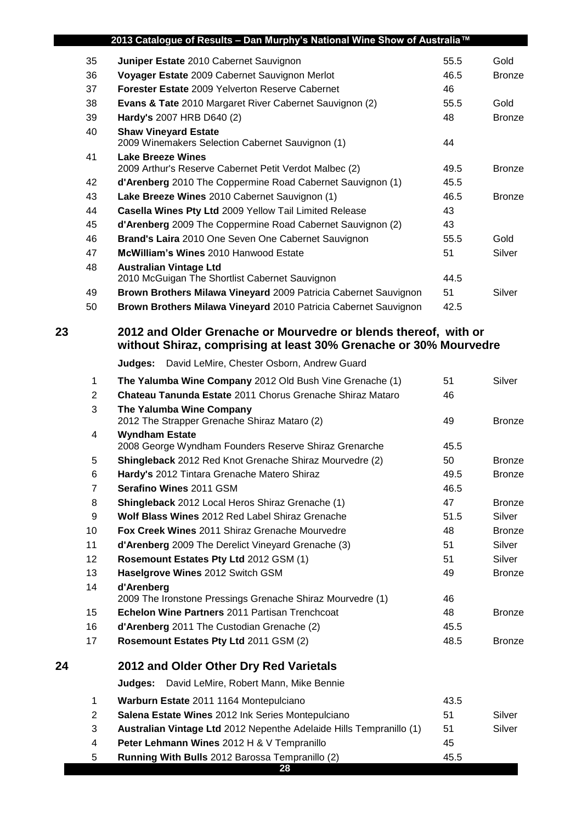|    |                | 2013 Catalogue of Results - Dan Murphy's National Wine Show of Australia™                                                            |      |               |
|----|----------------|--------------------------------------------------------------------------------------------------------------------------------------|------|---------------|
|    | 35             | Juniper Estate 2010 Cabernet Sauvignon                                                                                               | 55.5 | Gold          |
|    | 36             | Voyager Estate 2009 Cabernet Sauvignon Merlot                                                                                        | 46.5 | <b>Bronze</b> |
|    | 37             | Forester Estate 2009 Yelverton Reserve Cabernet                                                                                      | 46   |               |
|    | 38             | Evans & Tate 2010 Margaret River Cabernet Sauvignon (2)                                                                              | 55.5 | Gold          |
|    | 39             | Hardy's 2007 HRB D640 (2)                                                                                                            | 48   | <b>Bronze</b> |
|    | 40             | <b>Shaw Vineyard Estate</b>                                                                                                          |      |               |
|    | 41             | 2009 Winemakers Selection Cabernet Sauvignon (1)<br><b>Lake Breeze Wines</b>                                                         | 44   |               |
|    |                | 2009 Arthur's Reserve Cabernet Petit Verdot Malbec (2)                                                                               | 49.5 | <b>Bronze</b> |
|    | 42             | d'Arenberg 2010 The Coppermine Road Cabernet Sauvignon (1)                                                                           | 45.5 |               |
|    | 43             | Lake Breeze Wines 2010 Cabernet Sauvignon (1)                                                                                        | 46.5 | <b>Bronze</b> |
|    | 44             | Casella Wines Pty Ltd 2009 Yellow Tail Limited Release                                                                               | 43   |               |
|    | 45             | d'Arenberg 2009 The Coppermine Road Cabernet Sauvignon (2)                                                                           | 43   |               |
|    | 46             | Brand's Laira 2010 One Seven One Cabernet Sauvignon                                                                                  | 55.5 | Gold          |
|    | 47             | McWilliam's Wines 2010 Hanwood Estate                                                                                                | 51   | Silver        |
|    | 48             | <b>Australian Vintage Ltd</b>                                                                                                        |      |               |
|    |                | 2010 McGuigan The Shortlist Cabernet Sauvignon                                                                                       | 44.5 |               |
|    | 49             | Brown Brothers Milawa Vineyard 2009 Patricia Cabernet Sauvignon                                                                      | 51   | Silver        |
|    | 50             | Brown Brothers Milawa Vineyard 2010 Patricia Cabernet Sauvignon                                                                      | 42.5 |               |
| 23 |                | 2012 and Older Grenache or Mourvedre or blends thereof, with or<br>without Shiraz, comprising at least 30% Grenache or 30% Mourvedre |      |               |
|    |                | David LeMire, Chester Osborn, Andrew Guard<br>Judges:                                                                                |      |               |
|    | $\mathbf 1$    | The Yalumba Wine Company 2012 Old Bush Vine Grenache (1)                                                                             | 51   | Silver        |
|    | $\overline{2}$ | Chateau Tanunda Estate 2011 Chorus Grenache Shiraz Mataro                                                                            | 46   |               |
|    | 3              | The Yalumba Wine Company<br>2012 The Strapper Grenache Shiraz Mataro (2)                                                             | 49   | <b>Bronze</b> |
|    | 4              | <b>Wyndham Estate</b><br>2008 George Wyndham Founders Reserve Shiraz Grenarche                                                       | 45.5 |               |
|    | 5              | Shingleback 2012 Red Knot Grenache Shiraz Mourvedre (2)                                                                              | 50   | <b>Bronze</b> |
|    | 6              | Hardy's 2012 Tintara Grenache Matero Shiraz                                                                                          | 49.5 | <b>Bronze</b> |
|    | $\overline{7}$ | Serafino Wines 2011 GSM                                                                                                              | 46.5 |               |
|    | 8              | Shingleback 2012 Local Heros Shiraz Grenache (1)                                                                                     | 47   | <b>Bronze</b> |
|    | 9              | Wolf Blass Wines 2012 Red Label Shiraz Grenache                                                                                      | 51.5 | Silver        |
|    | 10             | Fox Creek Wines 2011 Shiraz Grenache Mourvedre                                                                                       | 48   | <b>Bronze</b> |
|    | 11             | d'Arenberg 2009 The Derelict Vineyard Grenache (3)                                                                                   | 51   | Silver        |
|    | 12             | Rosemount Estates Pty Ltd 2012 GSM (1)                                                                                               | 51   | Silver        |
|    | 13             | Haselgrove Wines 2012 Switch GSM                                                                                                     | 49   | <b>Bronze</b> |
|    | 14             | d'Arenberg<br>2009 The Ironstone Pressings Grenache Shiraz Mourvedre (1)                                                             | 46   |               |
|    | 15             | Echelon Wine Partners 2011 Partisan Trenchcoat                                                                                       | 48   | <b>Bronze</b> |
|    | 16             | d'Arenberg 2011 The Custodian Grenache (2)                                                                                           | 45.5 |               |
|    | 17             | Rosemount Estates Pty Ltd 2011 GSM (2)                                                                                               | 48.5 | <b>Bronze</b> |
| 24 |                | 2012 and Older Other Dry Red Varietals                                                                                               |      |               |
|    |                | David LeMire, Robert Mann, Mike Bennie<br>Judges:                                                                                    |      |               |
|    | 1              | Warburn Estate 2011 1164 Montepulciano                                                                                               | 43.5 |               |
|    | $\overline{2}$ | Salena Estate Wines 2012 Ink Series Montepulciano                                                                                    | 51   | Silver        |
|    | 3              | Australian Vintage Ltd 2012 Nepenthe Adelaide Hills Tempranillo (1)                                                                  | 51   | Silver        |
|    | 4              | Peter Lehmann Wines 2012 H & V Tempranillo                                                                                           | 45   |               |

**Running With Bulls** 2012 Barossa Tempranillo (2) 45.5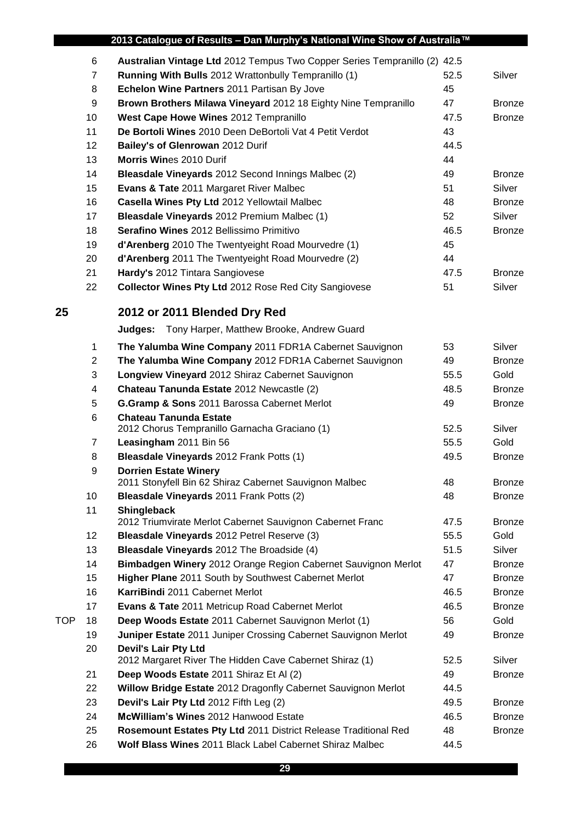|            |                | 2013 Catalogue of Results - Dan Murphy's National Wine Show of Australia™              |      |               |
|------------|----------------|----------------------------------------------------------------------------------------|------|---------------|
|            | 6              | Australian Vintage Ltd 2012 Tempus Two Copper Series Tempranillo (2) 42.5              |      |               |
|            | $\overline{7}$ | Running With Bulls 2012 Wrattonbully Tempranillo (1)                                   | 52.5 | Silver        |
|            | 8              | Echelon Wine Partners 2011 Partisan By Jove                                            | 45   |               |
|            | 9              | Brown Brothers Milawa Vineyard 2012 18 Eighty Nine Tempranillo                         | 47   | <b>Bronze</b> |
|            | 10             | West Cape Howe Wines 2012 Tempranillo                                                  | 47.5 | <b>Bronze</b> |
|            | 11             | De Bortoli Wines 2010 Deen DeBortoli Vat 4 Petit Verdot                                | 43   |               |
|            | 12             | Bailey's of Glenrowan 2012 Durif                                                       | 44.5 |               |
|            | 13             | <b>Morris Wines 2010 Durif</b>                                                         | 44   |               |
|            | 14             | Bleasdale Vineyards 2012 Second Innings Malbec (2)                                     | 49   | <b>Bronze</b> |
|            | 15             | Evans & Tate 2011 Margaret River Malbec                                                | 51   | Silver        |
|            | 16             | Casella Wines Pty Ltd 2012 Yellowtail Malbec                                           | 48   | <b>Bronze</b> |
|            | 17             | Bleasdale Vineyards 2012 Premium Malbec (1)                                            | 52   | Silver        |
|            | 18             | Serafino Wines 2012 Bellissimo Primitivo                                               | 46.5 | <b>Bronze</b> |
|            | 19             | d'Arenberg 2010 The Twentyeight Road Mourvedre (1)                                     | 45   |               |
|            | 20             | d'Arenberg 2011 The Twentyeight Road Mourvedre (2)                                     | 44   |               |
|            | 21             | Hardy's 2012 Tintara Sangiovese                                                        | 47.5 | <b>Bronze</b> |
|            | 22             | <b>Collector Wines Pty Ltd 2012 Rose Red City Sangiovese</b>                           | 51   | Silver        |
| 25         |                | 2012 or 2011 Blended Dry Red                                                           |      |               |
|            |                | <b>Judges:</b> Tony Harper, Matthew Brooke, Andrew Guard                               |      |               |
|            | 1              | The Yalumba Wine Company 2011 FDR1A Cabernet Sauvignon                                 | 53   | Silver        |
|            | $\overline{c}$ | The Yalumba Wine Company 2012 FDR1A Cabernet Sauvignon                                 | 49   | <b>Bronze</b> |
|            | 3              | Longview Vineyard 2012 Shiraz Cabernet Sauvignon                                       | 55.5 | Gold          |
|            | 4              | Chateau Tanunda Estate 2012 Newcastle (2)                                              | 48.5 | <b>Bronze</b> |
|            | 5              | G.Gramp & Sons 2011 Barossa Cabernet Merlot                                            | 49   | <b>Bronze</b> |
|            | 6              | <b>Chateau Tanunda Estate</b>                                                          | 52.5 | Silver        |
|            | $\overline{7}$ | 2012 Chorus Tempranillo Garnacha Graciano (1)<br>Leasingham 2011 Bin 56                | 55.5 | Gold          |
|            |                | Bleasdale Vineyards 2012 Frank Potts (1)                                               | 49.5 | <b>Bronze</b> |
|            | 8<br>9         | <b>Dorrien Estate Winery</b>                                                           |      |               |
|            |                | 2011 Stonyfell Bin 62 Shiraz Cabernet Sauvignon Malbec                                 | 48   | <b>Bronze</b> |
|            | 10             | Bleasdale Vineyards 2011 Frank Potts (2)                                               | 48   | <b>Bronze</b> |
|            | 11             | <b>Shingleback</b>                                                                     |      |               |
|            |                | 2012 Triumvirate Merlot Cabernet Sauvignon Cabernet Franc                              | 47.5 | <b>Bronze</b> |
|            | 12             | Bleasdale Vineyards 2012 Petrel Reserve (3)                                            | 55.5 | Gold          |
|            | 13             | <b>Bleasdale Vineyards</b> 2012 The Broadside (4)                                      | 51.5 | Silver        |
|            | 14             | Bimbadgen Winery 2012 Orange Region Cabernet Sauvignon Merlot                          | 47   | <b>Bronze</b> |
|            | 15             | Higher Plane 2011 South by Southwest Cabernet Merlot                                   | 47   | <b>Bronze</b> |
|            | 16             | KarriBindi 2011 Cabernet Merlot                                                        | 46.5 | <b>Bronze</b> |
|            | 17             | Evans & Tate 2011 Metricup Road Cabernet Merlot                                        | 46.5 | <b>Bronze</b> |
| <b>TOP</b> | 18             | Deep Woods Estate 2011 Cabernet Sauvignon Merlot (1)                                   | 56   | Gold          |
|            | 19             | Juniper Estate 2011 Juniper Crossing Cabernet Sauvignon Merlot                         | 49   | <b>Bronze</b> |
|            | 20             | <b>Devil's Lair Pty Ltd</b><br>2012 Margaret River The Hidden Cave Cabernet Shiraz (1) | 52.5 | Silver        |
|            | 21             | Deep Woods Estate 2011 Shiraz Et Al (2)                                                | 49   | <b>Bronze</b> |
|            | 22             | Willow Bridge Estate 2012 Dragonfly Cabernet Sauvignon Merlot                          | 44.5 |               |
|            | 23             | Devil's Lair Pty Ltd 2012 Fifth Leg (2)                                                | 49.5 | <b>Bronze</b> |
|            | 24             | McWilliam's Wines 2012 Hanwood Estate                                                  | 46.5 | <b>Bronze</b> |
|            | 25             | Rosemount Estates Pty Ltd 2011 District Release Traditional Red                        | 48   | <b>Bronze</b> |
|            | 26             | Wolf Blass Wines 2011 Black Label Cabernet Shiraz Malbec                               | 44.5 |               |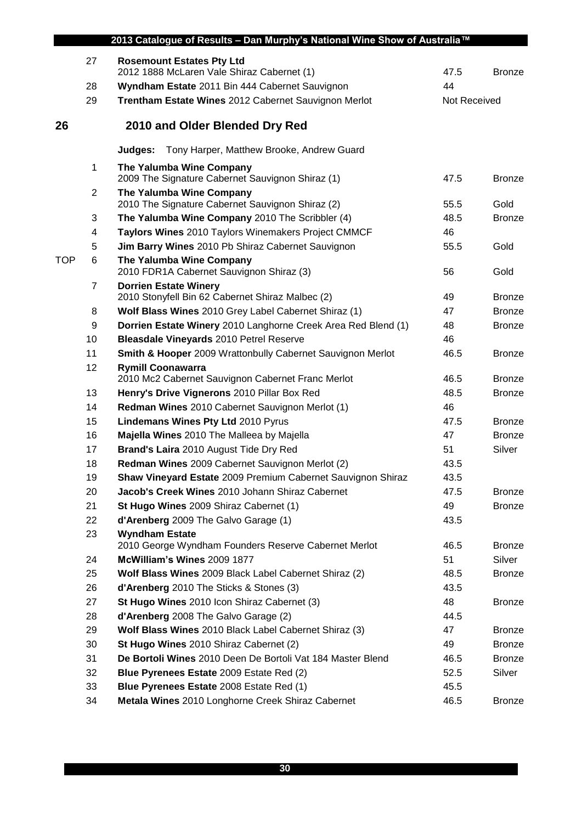|            | 2013 Catalogue of Results - Dan Murphy's National Wine Show of Australia™ |                                                                                |              |               |  |
|------------|---------------------------------------------------------------------------|--------------------------------------------------------------------------------|--------------|---------------|--|
|            | 27                                                                        | <b>Rosemount Estates Pty Ltd</b><br>2012 1888 McLaren Vale Shiraz Cabernet (1) | 47.5         | <b>Bronze</b> |  |
|            | 28                                                                        | Wyndham Estate 2011 Bin 444 Cabernet Sauvignon                                 | 44           |               |  |
|            | 29                                                                        | Trentham Estate Wines 2012 Cabernet Sauvignon Merlot                           | Not Received |               |  |
| 26         |                                                                           | 2010 and Older Blended Dry Red                                                 |              |               |  |
|            |                                                                           | Judges:<br>Tony Harper, Matthew Brooke, Andrew Guard                           |              |               |  |
|            | 1                                                                         | The Yalumba Wine Company<br>2009 The Signature Cabernet Sauvignon Shiraz (1)   | 47.5         | <b>Bronze</b> |  |
|            | 2                                                                         | The Yalumba Wine Company<br>2010 The Signature Cabernet Sauvignon Shiraz (2)   | 55.5         | Gold          |  |
|            | 3                                                                         | The Yalumba Wine Company 2010 The Scribbler (4)                                | 48.5         | <b>Bronze</b> |  |
|            | 4                                                                         | Taylors Wines 2010 Taylors Winemakers Project CMMCF                            | 46           |               |  |
|            | 5                                                                         | Jim Barry Wines 2010 Pb Shiraz Cabernet Sauvignon                              | 55.5         | Gold          |  |
| <b>TOP</b> | 6                                                                         | The Yalumba Wine Company<br>2010 FDR1A Cabernet Sauvignon Shiraz (3)           | 56           | Gold          |  |
|            | 7                                                                         | <b>Dorrien Estate Winery</b>                                                   |              |               |  |
|            |                                                                           | 2010 Stonyfell Bin 62 Cabernet Shiraz Malbec (2)                               | 49           | <b>Bronze</b> |  |
|            | 8                                                                         | Wolf Blass Wines 2010 Grey Label Cabernet Shiraz (1)                           | 47           | <b>Bronze</b> |  |
|            | 9                                                                         | Dorrien Estate Winery 2010 Langhorne Creek Area Red Blend (1)                  | 48           | <b>Bronze</b> |  |
|            | 10                                                                        | Bleasdale Vineyards 2010 Petrel Reserve                                        | 46           |               |  |
|            | 11                                                                        | Smith & Hooper 2009 Wrattonbully Cabernet Sauvignon Merlot                     | 46.5         | <b>Bronze</b> |  |
|            | 12                                                                        | <b>Rymill Coonawarra</b>                                                       |              |               |  |
|            |                                                                           | 2010 Mc2 Cabernet Sauvignon Cabernet Franc Merlot                              | 46.5         | <b>Bronze</b> |  |
|            | 13                                                                        | Henry's Drive Vignerons 2010 Pillar Box Red                                    | 48.5         | <b>Bronze</b> |  |
|            | 14                                                                        | Redman Wines 2010 Cabernet Sauvignon Merlot (1)                                | 46           |               |  |
|            | 15                                                                        | Lindemans Wines Pty Ltd 2010 Pyrus                                             | 47.5         | <b>Bronze</b> |  |
|            | 16                                                                        | Majella Wines 2010 The Malleea by Majella                                      | 47           | <b>Bronze</b> |  |
|            | 17                                                                        | Brand's Laira 2010 August Tide Dry Red                                         | 51           | Silver        |  |
|            | 18                                                                        | Redman Wines 2009 Cabernet Sauvignon Merlot (2)                                | 43.5         |               |  |
|            | 19                                                                        | Shaw Vineyard Estate 2009 Premium Cabernet Sauvignon Shiraz                    | 43.5         |               |  |
|            | 20                                                                        | Jacob's Creek Wines 2010 Johann Shiraz Cabernet                                | 47.5         | <b>Bronze</b> |  |
|            | 21                                                                        | St Hugo Wines 2009 Shiraz Cabernet (1)                                         | 49           | <b>Bronze</b> |  |
|            | 22                                                                        | d'Arenberg 2009 The Galvo Garage (1)                                           | 43.5         |               |  |
|            | 23                                                                        | <b>Wyndham Estate</b><br>2010 George Wyndham Founders Reserve Cabernet Merlot  | 46.5         | <b>Bronze</b> |  |
|            | 24                                                                        | McWilliam's Wines 2009 1877                                                    | 51           | Silver        |  |
|            | 25                                                                        | Wolf Blass Wines 2009 Black Label Cabernet Shiraz (2)                          | 48.5         | <b>Bronze</b> |  |
|            | 26                                                                        | d'Arenberg 2010 The Sticks & Stones (3)                                        | 43.5         |               |  |
|            | 27                                                                        | St Hugo Wines 2010 Icon Shiraz Cabernet (3)                                    | 48           | <b>Bronze</b> |  |
|            | 28                                                                        | d'Arenberg 2008 The Galvo Garage (2)                                           | 44.5         |               |  |
|            | 29                                                                        | Wolf Blass Wines 2010 Black Label Cabernet Shiraz (3)                          | 47           | <b>Bronze</b> |  |
|            | 30                                                                        | St Hugo Wines 2010 Shiraz Cabernet (2)                                         | 49           | <b>Bronze</b> |  |
|            | 31                                                                        | De Bortoli Wines 2010 Deen De Bortoli Vat 184 Master Blend                     | 46.5         | <b>Bronze</b> |  |
|            | 32                                                                        | Blue Pyrenees Estate 2009 Estate Red (2)                                       | 52.5         | Silver        |  |
|            | 33                                                                        | Blue Pyrenees Estate 2008 Estate Red (1)                                       | 45.5         |               |  |
|            | 34                                                                        | Metala Wines 2010 Longhorne Creek Shiraz Cabernet                              | 46.5         | <b>Bronze</b> |  |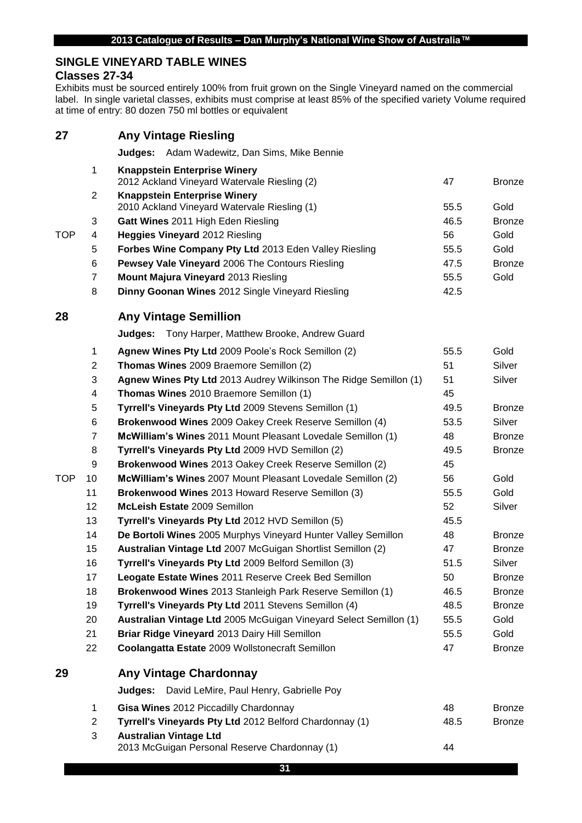## **SINGLE VINEYARD TABLE WINES**

#### **Classes 27-34**

Exhibits must be sourced entirely 100% from fruit grown on the Single Vineyard named on the commercial label. In single varietal classes, exhibits must comprise at least 85% of the specified variety Volume required at time of entry: 80 dozen 750 ml bottles or equivalent

| 27         |                | <b>Any Vintage Riesling</b>                                                         |      |               |
|------------|----------------|-------------------------------------------------------------------------------------|------|---------------|
|            |                | Judges:<br>Adam Wadewitz, Dan Sims, Mike Bennie                                     |      |               |
|            | 1              | <b>Knappstein Enterprise Winery</b><br>2012 Ackland Vineyard Watervale Riesling (2) | 47   | <b>Bronze</b> |
|            | $\overline{2}$ | <b>Knappstein Enterprise Winery</b><br>2010 Ackland Vineyard Watervale Riesling (1) | 55.5 | Gold          |
|            | 3              | Gatt Wines 2011 High Eden Riesling                                                  | 46.5 | <b>Bronze</b> |
| <b>TOP</b> | 4              | <b>Heggies Vineyard 2012 Riesling</b>                                               | 56   | Gold          |
|            | 5              | Forbes Wine Company Pty Ltd 2013 Eden Valley Riesling                               | 55.5 | Gold          |
|            | 6              | Pewsey Vale Vineyard 2006 The Contours Riesling                                     | 47.5 | <b>Bronze</b> |
|            | $\overline{7}$ | Mount Majura Vineyard 2013 Riesling                                                 | 55.5 | Gold          |
|            | 8              | Dinny Goonan Wines 2012 Single Vineyard Riesling                                    | 42.5 |               |
| 28         |                | <b>Any Vintage Semillion</b>                                                        |      |               |
|            |                | <b>Judges:</b> Tony Harper, Matthew Brooke, Andrew Guard                            |      |               |
|            | 1              | Agnew Wines Pty Ltd 2009 Poole's Rock Semillon (2)                                  | 55.5 | Gold          |
|            | $\overline{c}$ | Thomas Wines 2009 Braemore Semillon (2)                                             | 51   | Silver        |
|            | 3              | Agnew Wines Pty Ltd 2013 Audrey Wilkinson The Ridge Semillon (1)                    | 51   | Silver        |
|            | 4              | Thomas Wines 2010 Braemore Semillon (1)                                             | 45   |               |
|            | 5              | Tyrrell's Vineyards Pty Ltd 2009 Stevens Semillon (1)                               | 49.5 | <b>Bronze</b> |
|            | 6              | Brokenwood Wines 2009 Oakey Creek Reserve Semillon (4)                              | 53.5 | Silver        |
|            | 7              | McWilliam's Wines 2011 Mount Pleasant Lovedale Semillon (1)                         | 48   | <b>Bronze</b> |
|            | 8              | Tyrrell's Vineyards Pty Ltd 2009 HVD Semillon (2)                                   | 49.5 | <b>Bronze</b> |
|            | 9              | Brokenwood Wines 2013 Oakey Creek Reserve Semillon (2)                              | 45   |               |
| <b>TOP</b> | 10             | McWilliam's Wines 2007 Mount Pleasant Lovedale Semillon (2)                         | 56   | Gold          |
|            | 11             | Brokenwood Wines 2013 Howard Reserve Semillon (3)                                   | 55.5 | Gold          |
|            | 12             | McLeish Estate 2009 Semillon                                                        | 52   | Silver        |
|            | 13             | Tyrrell's Vineyards Pty Ltd 2012 HVD Semillon (5)                                   | 45.5 |               |
|            | 14             | De Bortoli Wines 2005 Murphys Vineyard Hunter Valley Semillon                       | 48   | <b>Bronze</b> |
|            | 15             | Australian Vintage Ltd 2007 McGuigan Shortlist Semillon (2)                         | 47   | <b>Bronze</b> |
|            | 16             | Tyrrell's Vineyards Pty Ltd 2009 Belford Semillon (3)                               | 51.5 | Silver        |
|            | 17             | Leogate Estate Wines 2011 Reserve Creek Bed Semillon                                | 50   | <b>Bronze</b> |
|            | 18             | Brokenwood Wines 2013 Stanleigh Park Reserve Semillon (1)                           | 46.5 | <b>Bronze</b> |
|            | 19             | Tyrrell's Vineyards Pty Ltd 2011 Stevens Semillon (4)                               | 48.5 | <b>Bronze</b> |
|            | 20             | Australian Vintage Ltd 2005 McGuigan Vineyard Select Semillon (1)                   | 55.5 | Gold          |
|            | 21             | Briar Ridge Vineyard 2013 Dairy Hill Semillon                                       | 55.5 | Gold          |
|            | 22             | Coolangatta Estate 2009 Wollstonecraft Semillon                                     | 47   | <b>Bronze</b> |
| 29         |                | <b>Any Vintage Chardonnay</b>                                                       |      |               |
|            |                | Judges:<br>David LeMire, Paul Henry, Gabrielle Poy                                  |      |               |
|            | 1              | Gisa Wines 2012 Piccadilly Chardonnay                                               | 48   | <b>Bronze</b> |
|            | $\overline{c}$ | Tyrrell's Vineyards Pty Ltd 2012 Belford Chardonnay (1)                             | 48.5 | <b>Bronze</b> |
|            | 3              | <b>Australian Vintage Ltd</b><br>2013 McGuigan Personal Reserve Chardonnay (1)      | 44   |               |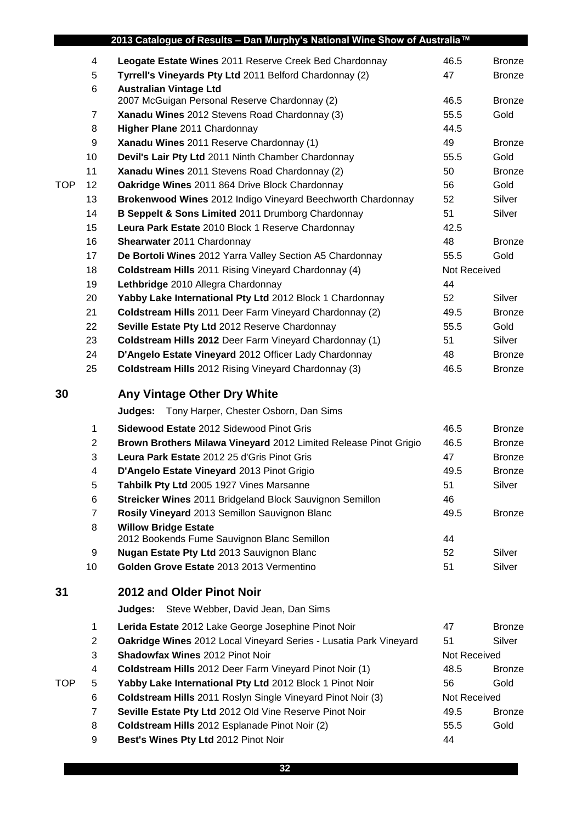|            |                | 2013 Catalogue of Results - Dan Murphy's National Wine Show of Australia™  |              |               |
|------------|----------------|----------------------------------------------------------------------------|--------------|---------------|
|            | 4              | Leogate Estate Wines 2011 Reserve Creek Bed Chardonnay                     | 46.5         | <b>Bronze</b> |
|            | 5              | Tyrrell's Vineyards Pty Ltd 2011 Belford Chardonnay (2)                    | 47           | <b>Bronze</b> |
|            | 6              | <b>Australian Vintage Ltd</b>                                              |              |               |
|            |                | 2007 McGuigan Personal Reserve Chardonnay (2)                              | 46.5         | <b>Bronze</b> |
|            | 7              | Xanadu Wines 2012 Stevens Road Chardonnay (3)                              | 55.5         | Gold          |
|            | 8              | Higher Plane 2011 Chardonnay                                               | 44.5         |               |
|            | 9              | Xanadu Wines 2011 Reserve Chardonnay (1)                                   | 49           | <b>Bronze</b> |
|            | 10             | Devil's Lair Pty Ltd 2011 Ninth Chamber Chardonnay                         | 55.5         | Gold          |
|            | 11             | Xanadu Wines 2011 Stevens Road Chardonnay (2)                              | 50           | <b>Bronze</b> |
| <b>TOP</b> | 12             | Oakridge Wines 2011 864 Drive Block Chardonnay                             | 56           | Gold          |
|            | 13             | Brokenwood Wines 2012 Indigo Vineyard Beechworth Chardonnay                | 52           | Silver        |
|            | 14             | B Seppelt & Sons Limited 2011 Drumborg Chardonnay                          | 51           | Silver        |
|            | 15             | Leura Park Estate 2010 Block 1 Reserve Chardonnay                          | 42.5         |               |
|            | 16             | Shearwater 2011 Chardonnay                                                 | 48           | <b>Bronze</b> |
|            | 17             | De Bortoli Wines 2012 Yarra Valley Section A5 Chardonnay                   | 55.5         | Gold          |
|            | 18             | <b>Coldstream Hills</b> 2011 Rising Vineyard Chardonnay (4)                | Not Received |               |
|            | 19             | Lethbridge 2010 Allegra Chardonnay                                         | 44           |               |
|            | 20             | Yabby Lake International Pty Ltd 2012 Block 1 Chardonnay                   | 52           | Silver        |
|            | 21             | Coldstream Hills 2011 Deer Farm Vineyard Chardonnay (2)                    | 49.5         | <b>Bronze</b> |
|            | 22             | Seville Estate Pty Ltd 2012 Reserve Chardonnay                             | 55.5         | Gold          |
|            | 23             | Coldstream Hills 2012 Deer Farm Vineyard Chardonnay (1)                    | 51           | Silver        |
|            | 24             | D'Angelo Estate Vineyard 2012 Officer Lady Chardonnay                      | 48           | <b>Bronze</b> |
|            | 25             | <b>Coldstream Hills</b> 2012 Rising Vineyard Chardonnay (3)                | 46.5         | <b>Bronze</b> |
| 30         |                | Any Vintage Other Dry White                                                |              |               |
|            |                | Tony Harper, Chester Osborn, Dan Sims<br>Judges:                           |              |               |
|            |                |                                                                            |              |               |
|            | 1              | <b>Sidewood Estate 2012 Sidewood Pinot Gris</b>                            | 46.5         | <b>Bronze</b> |
|            | $\mathbf{2}$   | Brown Brothers Milawa Vineyard 2012 Limited Release Pinot Grigio           | 46.5         | <b>Bronze</b> |
|            | 3              | Leura Park Estate 2012 25 d'Gris Pinot Gris                                | 47           | <b>Bronze</b> |
|            | 4              | D'Angelo Estate Vineyard 2013 Pinot Grigio                                 | 49.5         | <b>Bronze</b> |
|            | 5              | Tahbilk Pty Ltd 2005 1927 Vines Marsanne                                   | 51           | Silver        |
|            | 6              | Streicker Wines 2011 Bridgeland Block Sauvignon Semillon                   | 46           |               |
|            | $\overline{7}$ | Rosily Vineyard 2013 Semillon Sauvignon Blanc                              | 49.5         | <b>Bronze</b> |
|            | 8              | <b>Willow Bridge Estate</b><br>2012 Bookends Fume Sauvignon Blanc Semillon | 44           |               |
|            | 9              | Nugan Estate Pty Ltd 2013 Sauvignon Blanc                                  | 52           | Silver        |
|            | 10             | Golden Grove Estate 2013 2013 Vermentino                                   | 51           | Silver        |
|            |                |                                                                            |              |               |
| 31         |                | 2012 and Older Pinot Noir                                                  |              |               |
|            |                | Judges: Steve Webber, David Jean, Dan Sims                                 |              |               |
|            | $\mathbf{1}$   | Lerida Estate 2012 Lake George Josephine Pinot Noir                        | 47           | <b>Bronze</b> |
|            | $\overline{2}$ | Oakridge Wines 2012 Local Vineyard Series - Lusatia Park Vineyard          | 51           | Silver        |
|            | 3              | <b>Shadowfax Wines 2012 Pinot Noir</b>                                     | Not Received |               |
|            | 4              | <b>Coldstream Hills</b> 2012 Deer Farm Vineyard Pinot Noir (1)             | 48.5         | <b>Bronze</b> |
| <b>TOP</b> | 5              | Yabby Lake International Pty Ltd 2012 Block 1 Pinot Noir                   | 56           | Gold          |
|            | 6              | Coldstream Hills 2011 Roslyn Single Vineyard Pinot Noir (3)                | Not Received |               |
|            | 7              | Seville Estate Pty Ltd 2012 Old Vine Reserve Pinot Noir                    | 49.5         | <b>Bronze</b> |
|            | 8              | Coldstream Hills 2012 Esplanade Pinot Noir (2)                             | 55.5         | Gold          |
|            | 9              | Best's Wines Pty Ltd 2012 Pinot Noir                                       | 44           |               |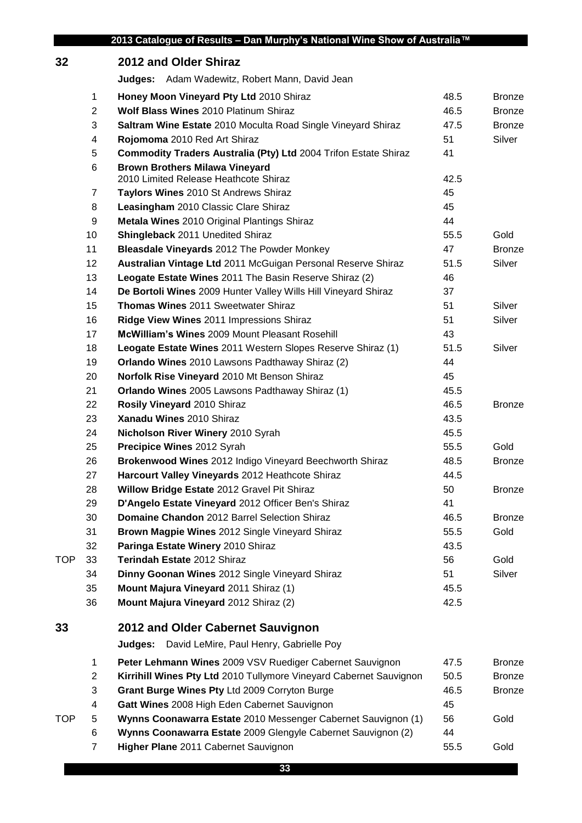## **2012 and Older Shiraz Judges:** Adam Wadewitz, Robert Mann, David Jean **Honey Moon Vineyard Pty Ltd** 2010 Shiraz **1988 12010 12011 12021 1203** 48.5 Bronze **Wolf Blass Wines** 2010 Platinum Shiraz **1988 12 12 13 13 146.5** Bronze **Saltram Wine Estate** 2010 Moculta Road Single Vineyard Shiraz 47.5 Bronze **Rojomoma** 2010 Red Art Shiraz **51** Silver **Commodity Traders Australia (Pty) Ltd** 2004 Trifon Estate Shiraz 41 **Brown Brothers Milawa Vineyard** 2010 Limited Release Heathcote Shiraz **42.5** 42.5 **Taylors Wines** 2010 St Andrews Shiraz 45 **Leasingham** 2010 Classic Clare Shiraz **1988 Leasingham** 2010 Classic Clare Shiraz **Metala Wines** 2010 Original Plantings Shiraz 44 **Shingleback** 2011 Unedited Shiraz **55.5** Gold **Bleasdale Vineyards** 2012 The Powder Monkey **47** Architects 47 Bronze **Australian Vintage Ltd** 2011 McGuigan Personal Reserve Shiraz 51.5 Silver **Leogate Estate Wines** 2011 The Basin Reserve Shiraz (2) 46 **De Bortoli Wines** 2009 Hunter Valley Wills Hill Vineyard Shiraz 37 **Thomas Wines** 2011 Sweetwater Shiraz **51** Silver **Ridge View Wines** 2011 Impressions Shiraz **51** Silver **McWilliam's Wines** 2009 Mount Pleasant Rosehill 43 **Leogate Estate Wines** 2011 Western Slopes Reserve Shiraz (1) 51.5 Silver **Orlando Wines** 2010 Lawsons Padthaway Shiraz (2) 44 **Norfolk Rise Vineyard** 2010 Mt Benson Shiraz 45 **Orlando Wines** 2005 Lawsons Padthaway Shiraz (1) 45.5 **Rosily Vineyard** 2010 Shiraz 46.5 Bronze **23 Xanadu Wines** 2010 Shiraz **43.5 Xanadu Wines** 2010 Shiraz **43.5 Nicholson River Winery** 2010 Syrah 45.5 **25 Precipice Wines** 2012 Syrah 55.5 Gold **Brokenwood Wines** 2012 Indigo Vineyard Beechworth Shiraz 48.5 Bronze **Harcourt Valley Vineyards** 2012 Heathcote Shiraz **Harcourt Valley Vineyards** 2012 Heathcote Shiraz **Willow Bridge Estate** 2012 Gravel Pit Shiraz 50 50 Bronze **D'Angelo Estate Vineyard** 2012 Officer Ben's Shiraz 41 **Domaine Chandon** 2012 Barrel Selection Shiraz 46.5 Bronze **Brown Magpie Wines** 2012 Single Vineyard Shiraz 55.5 Gold **Paringa Estate Winery** 2010 Shiraz **1988 1998 12:33 13:54 13:54 13:55 13:43** TOP 33 **Terindah Estate** 2012 Shiraz 56 56 Gold **34 Dinny Goonan Wines** 2012 Single Vineyard Shiraz **51** Silver **Mount Majura Vineyard** 2011 Shiraz (1) 45.5 **Mount Majura Vineyard** 2012 Shiraz (2) 42.5 **2012 and Older Cabernet Sauvignon Judges:** David LeMire, Paul Henry, Gabrielle Poy **Peter Lehmann Wines** 2009 VSV Ruediger Cabernet Sauvignon 47.5 Bronze **Kirrihill Wines Pty Ltd** 2010 Tullymore Vineyard Cabernet Sauvignon 50.5 Bronze **Grant Burge Wines Pty** Ltd 2009 Corryton Burge 46.5 Bronze **Gatt Wines** 2008 High Eden Cabernet Sauvignon 45 TOP 5 **Wynns Coonawarra Estate** 2010 Messenger Cabernet Sauvignon (1) 56 Gold **Wynns Coonawarra Estate** 2009 Glengyle Cabernet Sauvignon (2) 44 **Higher Plane** 2011 Cabernet Sauvignon 55.5 Gold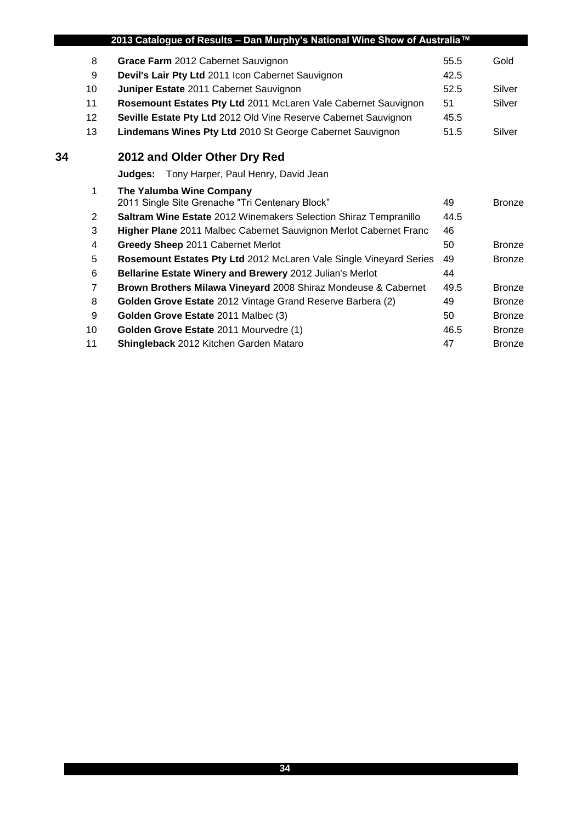|    |    | 2013 Catalogue of Results - Dan Murphy's National Wine Show of Australia™ |      |               |
|----|----|---------------------------------------------------------------------------|------|---------------|
|    | 8  | Grace Farm 2012 Cabernet Sauvignon                                        | 55.5 | Gold          |
|    | 9  | Devil's Lair Pty Ltd 2011 Icon Cabernet Sauvignon                         | 42.5 |               |
|    | 10 | Juniper Estate 2011 Cabernet Sauvignon                                    | 52.5 | Silver        |
|    | 11 | Rosemount Estates Pty Ltd 2011 McLaren Vale Cabernet Sauvignon            | 51   | Silver        |
|    | 12 | Seville Estate Pty Ltd 2012 Old Vine Reserve Cabernet Sauvignon           | 45.5 |               |
|    | 13 | Lindemans Wines Pty Ltd 2010 St George Cabernet Sauvignon                 | 51.5 | Silver        |
| 34 |    | 2012 and Older Other Dry Red                                              |      |               |
|    |    | Judges: Tony Harper, Paul Henry, David Jean                               |      |               |
|    | 1  | The Yalumba Wine Company                                                  |      |               |
|    |    | 2011 Single Site Grenache "Tri Centenary Block"                           | 49   | <b>Bronze</b> |
|    | 2  | Saltram Wine Estate 2012 Winemakers Selection Shiraz Tempranillo          | 44.5 |               |
|    | 3  | Higher Plane 2011 Malbec Cabernet Sauvignon Merlot Cabernet Franc         | 46   |               |
|    | 4  | Greedy Sheep 2011 Cabernet Merlot                                         | 50   | <b>Bronze</b> |
|    | 5  | Rosemount Estates Pty Ltd 2012 McLaren Vale Single Vineyard Series        | 49   | <b>Bronze</b> |
|    | 6  | Bellarine Estate Winery and Brewery 2012 Julian's Merlot                  | 44   |               |
|    | 7  | Brown Brothers Milawa Vineyard 2008 Shiraz Mondeuse & Cabernet            | 49.5 | <b>Bronze</b> |
|    | 8  | Golden Grove Estate 2012 Vintage Grand Reserve Barbera (2)                | 49   | <b>Bronze</b> |
|    | 9  | Golden Grove Estate 2011 Malbec (3)                                       | 50   | <b>Bronze</b> |
|    | 10 | Golden Grove Estate 2011 Mourvedre (1)                                    | 46.5 | <b>Bronze</b> |
|    | 11 | Shingleback 2012 Kitchen Garden Mataro                                    | 47   | <b>Bronze</b> |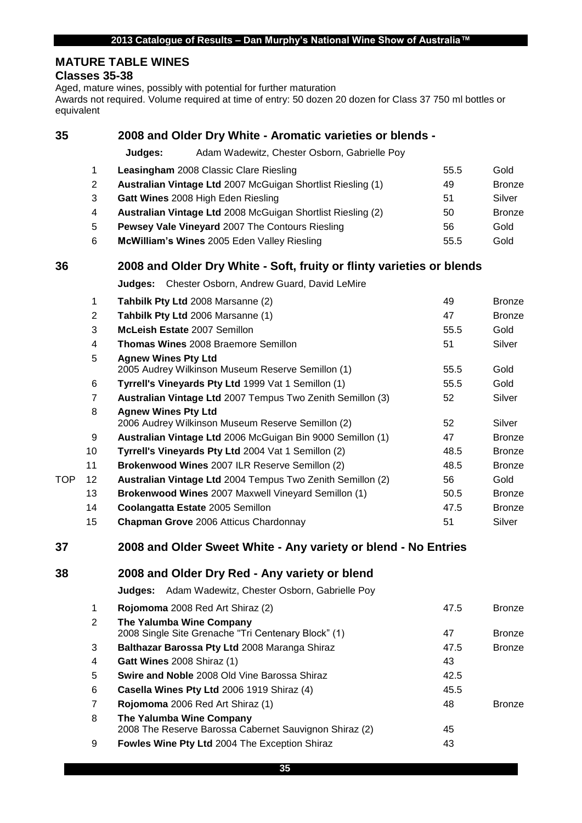## **MATURE TABLE WINES**

#### **Classes 35-38**

Aged, mature wines, possibly with potential for further maturation

Awards not required. Volume required at time of entry: 50 dozen 20 dozen for Class 37 750 ml bottles or equivalent

| 35 |                |                            | 2008 and Older Dry White - Aromatic varieties or blends -             |      |               |
|----|----------------|----------------------------|-----------------------------------------------------------------------|------|---------------|
|    |                | Judges:                    | Adam Wadewitz, Chester Osborn, Gabrielle Poy                          |      |               |
|    | 1              |                            | <b>Leasingham</b> 2008 Classic Clare Riesling                         | 55.5 | Gold          |
|    | 2              |                            | <b>Australian Vintage Ltd 2007 McGuigan Shortlist Riesling (1)</b>    | 49   | <b>Bronze</b> |
|    | 3              |                            | Gatt Wines 2008 High Eden Riesling                                    | 51   | Silver        |
|    | 4              |                            | Australian Vintage Ltd 2008 McGuigan Shortlist Riesling (2)           | 50   | <b>Bronze</b> |
|    | 5              |                            | <b>Pewsey Vale Vineyard 2007 The Contours Riesling</b>                | 56   | Gold          |
|    | 6              |                            | McWilliam's Wines 2005 Eden Valley Riesling                           | 55.5 | Gold          |
| 36 |                |                            | 2008 and Older Dry White - Soft, fruity or flinty varieties or blends |      |               |
|    |                |                            | <b>Judges:</b> Chester Osborn, Andrew Guard, David LeMire             |      |               |
|    | 1              |                            | Tahbilk Pty Ltd 2008 Marsanne (2)                                     | 49   | <b>Bronze</b> |
|    | 2              |                            | Tahbilk Pty Ltd 2006 Marsanne (1)                                     | 47   | <b>Bronze</b> |
|    | 3              |                            | McLeish Estate 2007 Semillon                                          | 55.5 | Gold          |
|    | 4              |                            | <b>Thomas Wines 2008 Braemore Semillon</b>                            | 51   | Silver        |
|    | 5              | <b>Agnew Wines Pty Ltd</b> | 2005 Audrey Wilkinson Museum Reserve Semillon (1)                     | 55.5 | Gold          |
|    | 6              |                            | Tyrrell's Vineyards Pty Ltd 1999 Vat 1 Semillon (1)                   | 55.5 | Gold          |
|    | $\overline{7}$ |                            | Australian Vintage Ltd 2007 Tempus Two Zenith Semillon (3)            | 52   | Silver        |
|    |                |                            |                                                                       |      |               |

|     | 8               | <b>Agnew Wines Pty Ltd</b>                                 |      |               |
|-----|-----------------|------------------------------------------------------------|------|---------------|
|     |                 | 2006 Audrey Wilkinson Museum Reserve Semillon (2)          | 52   | Silver        |
|     | 9               | Australian Vintage Ltd 2006 McGuigan Bin 9000 Semillon (1) | 47   | <b>Bronze</b> |
|     | 10              | Tyrrell's Vineyards Pty Ltd 2004 Vat 1 Semillon (2)        | 48.5 | <b>Bronze</b> |
|     | 11              | Brokenwood Wines 2007 ILR Reserve Semillon (2)             | 48.5 | <b>Bronze</b> |
| TOP | 12 <sup>°</sup> | Australian Vintage Ltd 2004 Tempus Two Zenith Semillon (2) | 56   | Gold          |
|     | 13              | <b>Brokenwood Wines 2007 Maxwell Vineyard Semillon (1)</b> | 50.5 | <b>Bronze</b> |
|     | 14              | Coolangatta Estate 2005 Semillon                           | 47.5 | <b>Bronze</b> |
|     | 15              | Chapman Grove 2006 Atticus Chardonnay                      | 51   | Silver        |

| 37 | 2008 and Older Sweet White - Any variety or blend - No Entries |  |  |  |  |
|----|----------------------------------------------------------------|--|--|--|--|
|----|----------------------------------------------------------------|--|--|--|--|

|  | 38 | 2008 and Older Dry Red - Any variety or blend |
|--|----|-----------------------------------------------|
|--|----|-----------------------------------------------|

**Judges:** Adam Wadewitz, Chester Osborn, Gabrielle Poy

| $\mathbf{1}$ | Rojomoma 2008 Red Art Shiraz (2)                                                   | 47.5 | <b>Bronze</b> |
|--------------|------------------------------------------------------------------------------------|------|---------------|
| 2            | The Yalumba Wine Company<br>2008 Single Site Grenache "Tri Centenary Block" (1)    | 47   | <b>Bronze</b> |
| 3            | Balthazar Barossa Pty Ltd 2008 Maranga Shiraz                                      | 47.5 | <b>Bronze</b> |
| 4            | <b>Gatt Wines 2008 Shiraz (1)</b>                                                  | 43   |               |
| 5            | <b>Swire and Noble</b> 2008 Old Vine Barossa Shiraz                                | 42.5 |               |
| 6            | Casella Wines Pty Ltd 2006 1919 Shiraz (4)                                         | 45.5 |               |
| 7            | Rojomoma 2006 Red Art Shiraz (1)                                                   | 48   | <b>Bronze</b> |
| 8            | The Yalumba Wine Company<br>2008 The Reserve Barossa Cabernet Sauvignon Shiraz (2) | 45   |               |
| 9            | Fowles Wine Pty Ltd 2004 The Exception Shiraz                                      | 43   |               |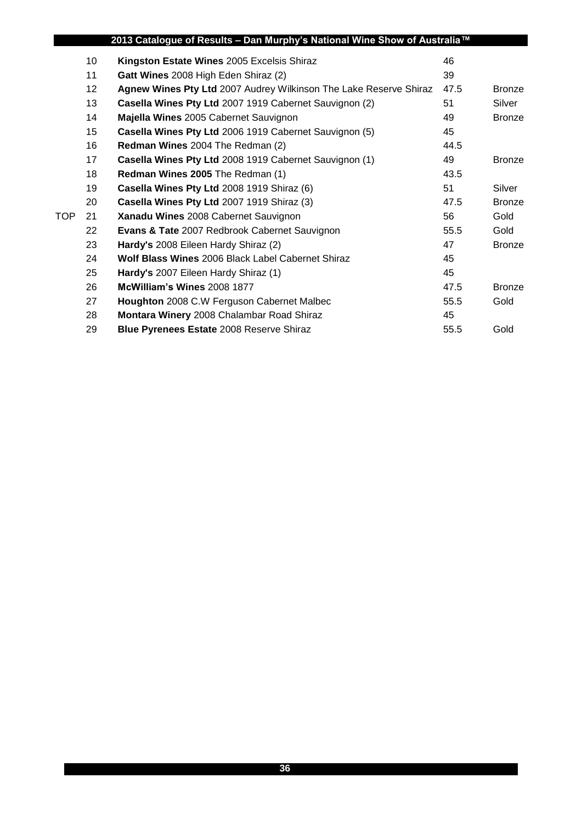|            |                 | 2013 Catalogue of Results – Dan Murphy's National Wine Show of Australia™ |      |               |
|------------|-----------------|---------------------------------------------------------------------------|------|---------------|
|            | 10              | Kingston Estate Wines 2005 Excelsis Shiraz                                | 46   |               |
|            | 11              | Gatt Wines 2008 High Eden Shiraz (2)                                      | 39   |               |
|            | 12 <sup>°</sup> | Agnew Wines Pty Ltd 2007 Audrey Wilkinson The Lake Reserve Shiraz         | 47.5 | <b>Bronze</b> |
|            | 13              | Casella Wines Pty Ltd 2007 1919 Cabernet Sauvignon (2)                    | 51   | Silver        |
|            | 14              | Majella Wines 2005 Cabernet Sauvignon                                     | 49   | <b>Bronze</b> |
|            | 15 <sub>2</sub> | Casella Wines Pty Ltd 2006 1919 Cabernet Sauvignon (5)                    | 45   |               |
|            | 16              | Redman Wines 2004 The Redman (2)                                          | 44.5 |               |
|            | 17              | Casella Wines Pty Ltd 2008 1919 Cabernet Sauvignon (1)                    | 49   | <b>Bronze</b> |
|            | 18              | <b>Redman Wines 2005 The Redman (1)</b>                                   | 43.5 |               |
|            | 19              | Casella Wines Pty Ltd 2008 1919 Shiraz (6)                                | 51   | Silver        |
|            | 20              | Casella Wines Pty Ltd 2007 1919 Shiraz (3)                                | 47.5 | <b>Bronze</b> |
| <b>TOP</b> | 21              | Xanadu Wines 2008 Cabernet Sauvignon                                      | 56   | Gold          |
|            | 22              | <b>Evans &amp; Tate 2007 Redbrook Cabernet Sauvignon</b>                  | 55.5 | Gold          |
|            | 23              | Hardy's 2008 Eileen Hardy Shiraz (2)                                      | 47   | <b>Bronze</b> |
|            | 24              | <b>Wolf Blass Wines 2006 Black Label Cabernet Shiraz</b>                  | 45   |               |
|            | 25              | Hardy's 2007 Eileen Hardy Shiraz (1)                                      | 45   |               |
|            | 26              | McWilliam's Wines 2008 1877                                               | 47.5 | <b>Bronze</b> |
|            | 27              | Houghton 2008 C.W Ferguson Cabernet Malbec                                | 55.5 | Gold          |
|            | 28              | Montara Winery 2008 Chalambar Road Shiraz                                 | 45   |               |
|            | 29              | <b>Blue Pyrenees Estate 2008 Reserve Shiraz</b>                           | 55.5 | Gold          |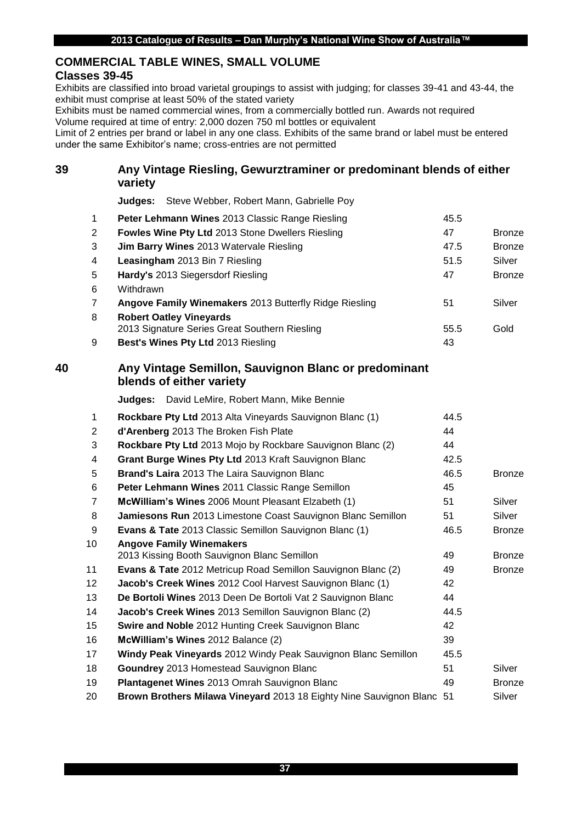## **COMMERCIAL TABLE WINES, SMALL VOLUME**

## **Classes 39-45**

Exhibits are classified into broad varietal groupings to assist with judging; for classes 39-41 and 43-44, the exhibit must comprise at least 50% of the stated variety

Exhibits must be named commercial wines, from a commercially bottled run. Awards not required Volume required at time of entry: 2,000 dozen 750 ml bottles or equivalent

Limit of 2 entries per brand or label in any one class. Exhibits of the same brand or label must be entered under the same Exhibitor's name; cross-entries are not permitted

## **Any Vintage Riesling, Gewurztraminer or predominant blends of either variety**

**Judges:** Steve Webber, Robert Mann, Gabrielle Poy

| $\overline{1}$ | Peter Lehmann Wines 2013 Classic Range Riesling        | 45.5 |               |
|----------------|--------------------------------------------------------|------|---------------|
| 2              | Fowles Wine Pty Ltd 2013 Stone Dwellers Riesling       | 47   | <b>Bronze</b> |
| 3              | <b>Jim Barry Wines</b> 2013 Watervale Riesling         | 47.5 | <b>Bronze</b> |
| $\overline{4}$ | Leasingham 2013 Bin 7 Riesling                         | 51.5 | Silver        |
| -5             | Hardy's 2013 Siegersdorf Riesling                      | 47   | <b>Bronze</b> |
| 6              | Withdrawn                                              |      |               |
| $\overline{7}$ | Angove Family Winemakers 2013 Butterfly Ridge Riesling | 51   | Silver        |
| 8              | <b>Robert Oatley Vineyards</b>                         |      |               |
|                | 2013 Signature Series Great Southern Riesling          | 55.5 | Gold          |
| 9              | <b>Best's Wines Pty Ltd 2013 Riesling</b>              | 43   |               |

## **Any Vintage Semillon, Sauvignon Blanc or predominant blends of either variety**

**Judges:** David LeMire, Robert Mann, Mike Bennie

| 1              | Rockbare Pty Ltd 2013 Alta Vineyards Sauvignon Blanc (1)                       | 44.5 |               |
|----------------|--------------------------------------------------------------------------------|------|---------------|
| 2              | d'Arenberg 2013 The Broken Fish Plate                                          | 44   |               |
| 3              | Rockbare Pty Ltd 2013 Mojo by Rockbare Sauvignon Blanc (2)                     | 44   |               |
| 4              | Grant Burge Wines Pty Ltd 2013 Kraft Sauvignon Blanc                           | 42.5 |               |
| 5              | <b>Brand's Laira</b> 2013 The Laira Sauvignon Blanc                            | 46.5 | <b>Bronze</b> |
| 6              | Peter Lehmann Wines 2011 Classic Range Semillon                                | 45   |               |
| $\overline{7}$ | McWilliam's Wines 2006 Mount Pleasant Elzabeth (1)                             | 51   | Silver        |
| 8              | Jamiesons Run 2013 Limestone Coast Sauvignon Blanc Semillon                    | 51   | Silver        |
| 9              | <b>Evans &amp; Tate</b> 2013 Classic Semillon Sauvignon Blanc (1)              | 46.5 | <b>Bronze</b> |
| 10             | <b>Angove Family Winemakers</b><br>2013 Kissing Booth Sauvignon Blanc Semillon | 49   | <b>Bronze</b> |
| 11             | <b>Evans &amp; Tate</b> 2012 Metricup Road Semillon Sauvignon Blanc (2)        | 49   | <b>Bronze</b> |
| 12             | Jacob's Creek Wines 2012 Cool Harvest Sauvignon Blanc (1)                      | 42   |               |
| 13             | De Bortoli Wines 2013 Deen De Bortoli Vat 2 Sauvignon Blanc                    | 44   |               |
| 14             | <b>Jacob's Creek Wines</b> 2013 Semillon Sauvignon Blanc (2)                   | 44.5 |               |
| 15             | Swire and Noble 2012 Hunting Creek Sauvignon Blanc                             | 42   |               |
| 16             | McWilliam's Wines 2012 Balance (2)                                             | 39   |               |
| 17             | Windy Peak Vineyards 2012 Windy Peak Sauvignon Blanc Semillon                  | 45.5 |               |
| 18             | Goundrey 2013 Homestead Sauvignon Blanc                                        | 51   | Silver        |
| 19             | Plantagenet Wines 2013 Omrah Sauvignon Blanc                                   | 49   | <b>Bronze</b> |
| 20             | Brown Brothers Milawa Vineyard 2013 18 Eighty Nine Sauvignon Blanc 51          |      | Silver        |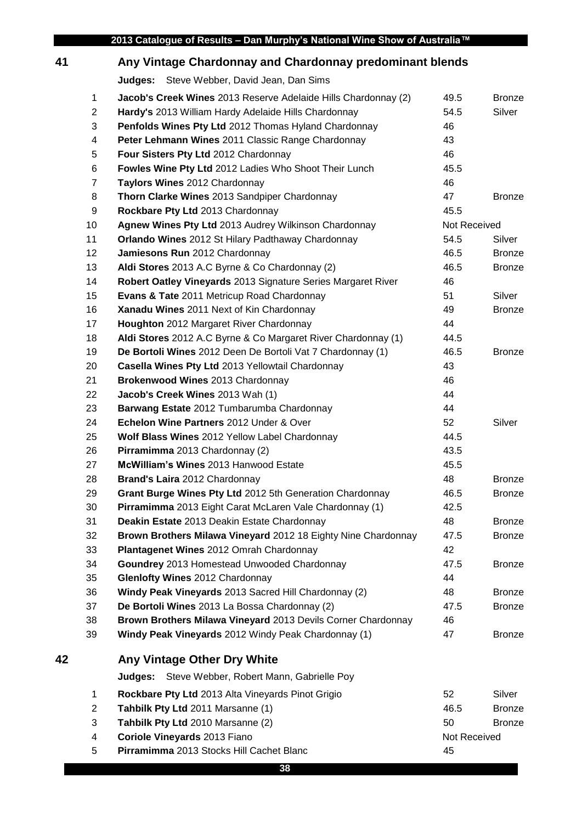# **Any Vintage Chardonnay and Chardonnay predominant blends**

**Judges:** Steve Webber, David Jean, Dan Sims

|    | 1              | Jacob's Creek Wines 2013 Reserve Adelaide Hills Chardonnay (2) | 49.5         | <b>Bronze</b> |
|----|----------------|----------------------------------------------------------------|--------------|---------------|
|    | $\overline{c}$ | Hardy's 2013 William Hardy Adelaide Hills Chardonnay           | 54.5         | Silver        |
|    | 3              | Penfolds Wines Pty Ltd 2012 Thomas Hyland Chardonnay           | 46           |               |
|    | 4              | Peter Lehmann Wines 2011 Classic Range Chardonnay              | 43           |               |
|    | 5              | Four Sisters Pty Ltd 2012 Chardonnay                           | 46           |               |
|    | 6              | Fowles Wine Pty Ltd 2012 Ladies Who Shoot Their Lunch          | 45.5         |               |
|    | $\overline{7}$ | Taylors Wines 2012 Chardonnay                                  | 46           |               |
|    | 8              | Thorn Clarke Wines 2013 Sandpiper Chardonnay                   | 47           | <b>Bronze</b> |
|    | 9              | Rockbare Pty Ltd 2013 Chardonnay                               | 45.5         |               |
|    | 10             | Agnew Wines Pty Ltd 2013 Audrey Wilkinson Chardonnay           | Not Received |               |
|    | 11             | Orlando Wines 2012 St Hilary Padthaway Chardonnay              | 54.5         | Silver        |
|    | 12             | Jamiesons Run 2012 Chardonnay                                  | 46.5         | <b>Bronze</b> |
|    | 13             | Aldi Stores 2013 A.C Byrne & Co Chardonnay (2)                 | 46.5         | <b>Bronze</b> |
|    | 14             | Robert Oatley Vineyards 2013 Signature Series Margaret River   | 46           |               |
|    | 15             | Evans & Tate 2011 Metricup Road Chardonnay                     | 51           | Silver        |
|    | 16             | Xanadu Wines 2011 Next of Kin Chardonnay                       | 49           | <b>Bronze</b> |
|    | 17             | Houghton 2012 Margaret River Chardonnay                        | 44           |               |
|    | 18             | Aldi Stores 2012 A.C Byrne & Co Margaret River Chardonnay (1)  | 44.5         |               |
|    | 19             | De Bortoli Wines 2012 Deen De Bortoli Vat 7 Chardonnay (1)     | 46.5         | <b>Bronze</b> |
|    | 20             | Casella Wines Pty Ltd 2013 Yellowtail Chardonnay               | 43           |               |
|    | 21             | Brokenwood Wines 2013 Chardonnay                               | 46           |               |
|    | 22             | Jacob's Creek Wines 2013 Wah (1)                               | 44           |               |
|    | 23             | Barwang Estate 2012 Tumbarumba Chardonnay                      | 44           |               |
|    | 24             | Echelon Wine Partners 2012 Under & Over                        | 52           | Silver        |
|    | 25             | Wolf Blass Wines 2012 Yellow Label Chardonnay                  | 44.5         |               |
|    | 26             | Pirramimma 2013 Chardonnay (2)                                 | 43.5         |               |
|    | 27             | McWilliam's Wines 2013 Hanwood Estate                          | 45.5         |               |
|    | 28             | Brand's Laira 2012 Chardonnay                                  | 48           | <b>Bronze</b> |
|    | 29             | Grant Burge Wines Pty Ltd 2012 5th Generation Chardonnay       | 46.5         | <b>Bronze</b> |
|    | 30             | Pirramimma 2013 Eight Carat McLaren Vale Chardonnay (1)        | 42.5         |               |
|    | 31             | Deakin Estate 2013 Deakin Estate Chardonnay                    | 48           | <b>Bronze</b> |
|    | 32             | Brown Brothers Milawa Vineyard 2012 18 Eighty Nine Chardonnay  | 47.5         | <b>Bronze</b> |
|    | 33             | Plantagenet Wines 2012 Omrah Chardonnay                        | 42           |               |
|    | 34             | Goundrey 2013 Homestead Unwooded Chardonnay                    | 47.5         | <b>Bronze</b> |
|    | 35             | Glenlofty Wines 2012 Chardonnay                                | 44           |               |
|    | 36             | Windy Peak Vineyards 2013 Sacred Hill Chardonnay (2)           | 48           | <b>Bronze</b> |
|    | 37             | De Bortoli Wines 2013 La Bossa Chardonnay (2)                  | 47.5         | <b>Bronze</b> |
|    | 38             | Brown Brothers Milawa Vineyard 2013 Devils Corner Chardonnay   | 46           |               |
|    | 39             | Windy Peak Vineyards 2012 Windy Peak Chardonnay (1)            | 47           | <b>Bronze</b> |
| 42 |                | Any Vintage Other Dry White                                    |              |               |
|    |                | Steve Webber, Robert Mann, Gabrielle Poy<br>Judges:            |              |               |
|    | $\mathbf{1}$   | Rockbare Pty Ltd 2013 Alta Vineyards Pinot Grigio              | 52           | Silver        |
|    | $\overline{c}$ | Tahbilk Pty Ltd 2011 Marsanne (1)                              | 46.5         | <b>Bronze</b> |
|    | 3              | Tahbilk Pty Ltd 2010 Marsanne (2)                              | 50           | <b>Bronze</b> |
|    | 4              | Coriole Vineyards 2013 Fiano                                   | Not Received |               |
|    | 5              | Pirramimma 2013 Stocks Hill Cachet Blanc                       | 45           |               |
|    |                |                                                                |              |               |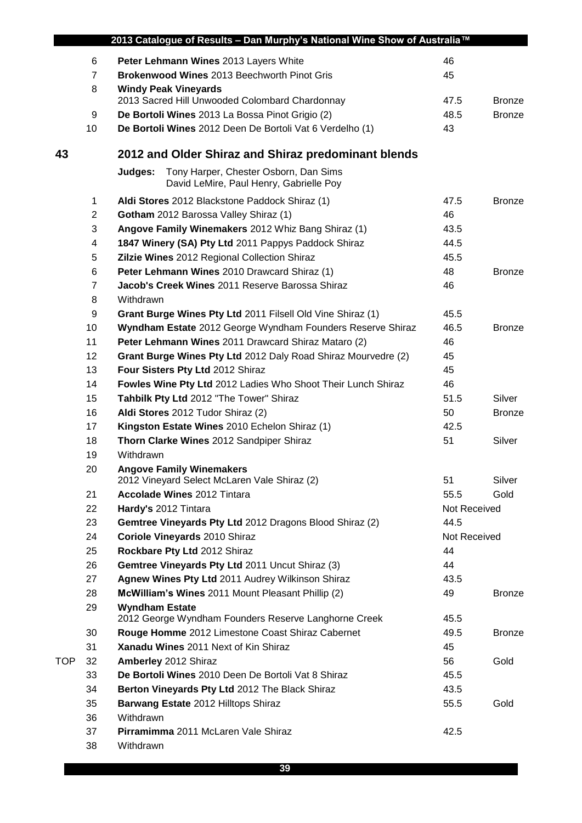|            | 2013 Catalogue of Results - Dan Murphy's National Wine Show of Australia™ |                                                                                             |              |               |
|------------|---------------------------------------------------------------------------|---------------------------------------------------------------------------------------------|--------------|---------------|
|            | 6                                                                         | Peter Lehmann Wines 2013 Layers White                                                       | 46           |               |
|            | $\overline{7}$                                                            | Brokenwood Wines 2013 Beechworth Pinot Gris                                                 | 45           |               |
|            | 8                                                                         | <b>Windy Peak Vineyards</b>                                                                 |              |               |
|            |                                                                           | 2013 Sacred Hill Unwooded Colombard Chardonnay                                              | 47.5         | <b>Bronze</b> |
|            | 9                                                                         | De Bortoli Wines 2013 La Bossa Pinot Grigio (2)                                             | 48.5         | <b>Bronze</b> |
|            | 10                                                                        | De Bortoli Wines 2012 Deen De Bortoli Vat 6 Verdelho (1)                                    | 43           |               |
| 43         |                                                                           | 2012 and Older Shiraz and Shiraz predominant blends                                         |              |               |
|            |                                                                           | Tony Harper, Chester Osborn, Dan Sims<br>Judges:<br>David LeMire, Paul Henry, Gabrielle Poy |              |               |
|            | $\mathbf 1$                                                               | Aldi Stores 2012 Blackstone Paddock Shiraz (1)                                              | 47.5         | <b>Bronze</b> |
|            | $\overline{2}$                                                            | Gotham 2012 Barossa Valley Shiraz (1)                                                       | 46           |               |
|            | 3                                                                         | Angove Family Winemakers 2012 Whiz Bang Shiraz (1)                                          | 43.5         |               |
|            | 4                                                                         | 1847 Winery (SA) Pty Ltd 2011 Pappys Paddock Shiraz                                         | 44.5         |               |
|            | 5                                                                         | Zilzie Wines 2012 Regional Collection Shiraz                                                | 45.5         |               |
|            | 6                                                                         | Peter Lehmann Wines 2010 Drawcard Shiraz (1)                                                | 48           | <b>Bronze</b> |
|            | $\overline{7}$                                                            | Jacob's Creek Wines 2011 Reserve Barossa Shiraz                                             | 46           |               |
|            | 8                                                                         | Withdrawn                                                                                   |              |               |
|            | 9                                                                         | Grant Burge Wines Pty Ltd 2011 Filsell Old Vine Shiraz (1)                                  | 45.5         |               |
|            | 10                                                                        | Wyndham Estate 2012 George Wyndham Founders Reserve Shiraz                                  | 46.5         | <b>Bronze</b> |
|            | 11                                                                        | Peter Lehmann Wines 2011 Drawcard Shiraz Mataro (2)                                         | 46           |               |
|            | 12                                                                        | Grant Burge Wines Pty Ltd 2012 Daly Road Shiraz Mourvedre (2)                               | 45           |               |
|            | 13                                                                        | Four Sisters Pty Ltd 2012 Shiraz                                                            | 45           |               |
|            | 14                                                                        | Fowles Wine Pty Ltd 2012 Ladies Who Shoot Their Lunch Shiraz                                | 46           |               |
|            | 15                                                                        | Tahbilk Pty Ltd 2012 "The Tower" Shiraz                                                     | 51.5         | Silver        |
|            | 16                                                                        | Aldi Stores 2012 Tudor Shiraz (2)                                                           | 50           | <b>Bronze</b> |
|            | 17                                                                        | Kingston Estate Wines 2010 Echelon Shiraz (1)                                               | 42.5         |               |
|            | 18                                                                        | Thorn Clarke Wines 2012 Sandpiper Shiraz                                                    | 51           | Silver        |
|            | 19                                                                        | Withdrawn                                                                                   |              |               |
|            | 20                                                                        | <b>Angove Family Winemakers</b><br>2012 Vineyard Select McLaren Vale Shiraz (2)             | 51           | Silver        |
|            | 21                                                                        | <b>Accolade Wines 2012 Tintara</b>                                                          | 55.5         | Gold          |
|            | 22                                                                        | Hardy's 2012 Tintara                                                                        | Not Received |               |
|            | 23                                                                        | Gemtree Vineyards Pty Ltd 2012 Dragons Blood Shiraz (2)                                     | 44.5         |               |
|            | 24                                                                        | Coriole Vineyards 2010 Shiraz                                                               | Not Received |               |
|            | 25                                                                        | Rockbare Pty Ltd 2012 Shiraz                                                                | 44           |               |
|            | 26                                                                        | Gemtree Vineyards Pty Ltd 2011 Uncut Shiraz (3)                                             | 44           |               |
|            | 27                                                                        | Agnew Wines Pty Ltd 2011 Audrey Wilkinson Shiraz                                            | 43.5         |               |
|            | 28                                                                        | McWilliam's Wines 2011 Mount Pleasant Phillip (2)                                           | 49           | <b>Bronze</b> |
|            | 29                                                                        | <b>Wyndham Estate</b><br>2012 George Wyndham Founders Reserve Langhorne Creek               | 45.5         |               |
|            | 30                                                                        | Rouge Homme 2012 Limestone Coast Shiraz Cabernet                                            | 49.5         | <b>Bronze</b> |
|            | 31                                                                        | Xanadu Wines 2011 Next of Kin Shiraz                                                        | 45           |               |
| <b>TOP</b> | 32                                                                        | Amberley 2012 Shiraz                                                                        | 56           | Gold          |
|            | 33                                                                        | De Bortoli Wines 2010 Deen De Bortoli Vat 8 Shiraz                                          | 45.5         |               |
|            | 34                                                                        | Berton Vineyards Pty Ltd 2012 The Black Shiraz                                              | 43.5         |               |
|            | 35                                                                        | Barwang Estate 2012 Hilltops Shiraz                                                         | 55.5         | Gold          |
|            | 36                                                                        | Withdrawn                                                                                   |              |               |
|            | 37                                                                        | Pirramimma 2011 McLaren Vale Shiraz                                                         | 42.5         |               |
|            | 38                                                                        | Withdrawn                                                                                   |              |               |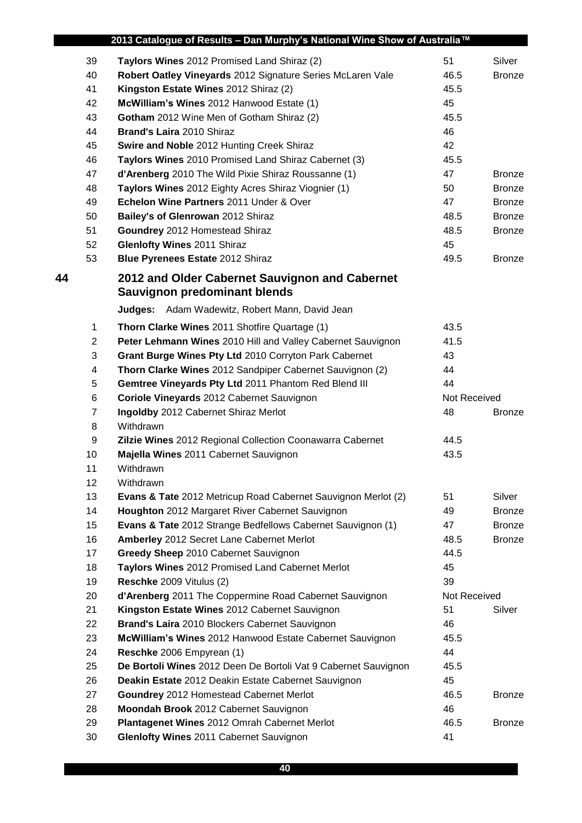|    |                | 2013 Catalogue of Results - Dan Murphy's National Wine Show of Australia™ |              |               |
|----|----------------|---------------------------------------------------------------------------|--------------|---------------|
|    | 39             | Taylors Wines 2012 Promised Land Shiraz (2)                               | 51           | Silver        |
|    | 40             | Robert Oatley Vineyards 2012 Signature Series McLaren Vale                | 46.5         | <b>Bronze</b> |
|    | 41             | Kingston Estate Wines 2012 Shiraz (2)                                     | 45.5         |               |
|    | 42             | McWilliam's Wines 2012 Hanwood Estate (1)                                 | 45           |               |
|    | 43             | Gotham 2012 Wine Men of Gotham Shiraz (2)                                 | 45.5         |               |
|    | 44             | Brand's Laira 2010 Shiraz                                                 | 46           |               |
|    | 45             | Swire and Noble 2012 Hunting Creek Shiraz                                 | 42           |               |
|    | 46             | Taylors Wines 2010 Promised Land Shiraz Cabernet (3)                      | 45.5         |               |
|    | 47             | d'Arenberg 2010 The Wild Pixie Shiraz Roussanne (1)                       | 47           | <b>Bronze</b> |
|    | 48             | Taylors Wines 2012 Eighty Acres Shiraz Viognier (1)                       | 50           | <b>Bronze</b> |
|    | 49             | Echelon Wine Partners 2011 Under & Over                                   | 47           | <b>Bronze</b> |
|    | 50             | Bailey's of Glenrowan 2012 Shiraz                                         | 48.5         | <b>Bronze</b> |
|    | 51             | Goundrey 2012 Homestead Shiraz                                            | 48.5         | <b>Bronze</b> |
|    | 52             | <b>Glenlofty Wines 2011 Shiraz</b>                                        | 45           |               |
|    | 53             | Blue Pyrenees Estate 2012 Shiraz                                          | 49.5         | <b>Bronze</b> |
| 44 |                | 2012 and Older Cabernet Sauvignon and Cabernet                            |              |               |
|    |                | <b>Sauvignon predominant blends</b>                                       |              |               |
|    |                | Judges: Adam Wadewitz, Robert Mann, David Jean                            |              |               |
|    | $\mathbf{1}$   | Thorn Clarke Wines 2011 Shotfire Quartage (1)                             | 43.5         |               |
|    | $\overline{2}$ | Peter Lehmann Wines 2010 Hill and Valley Cabernet Sauvignon               | 41.5         |               |
|    | 3              | Grant Burge Wines Pty Ltd 2010 Corryton Park Cabernet                     | 43           |               |
|    | 4              | Thorn Clarke Wines 2012 Sandpiper Cabernet Sauvignon (2)                  | 44           |               |
|    | 5              | Gemtree Vineyards Pty Ltd 2011 Phantom Red Blend III                      | 44           |               |
|    | 6              | Coriole Vineyards 2012 Cabernet Sauvignon                                 | Not Received |               |
|    | $\overline{7}$ | Ingoldby 2012 Cabernet Shiraz Merlot                                      | 48           | <b>Bronze</b> |
|    | 8              | Withdrawn                                                                 |              |               |
|    | 9              | Zilzie Wines 2012 Regional Collection Coonawarra Cabernet                 | 44.5         |               |
|    | 10             | Majella Wines 2011 Cabernet Sauvignon                                     | 43.5         |               |
|    | 11             | Withdrawn                                                                 |              |               |
|    | 12             | Withdrawn                                                                 |              |               |
|    | 13             | <b>Evans &amp; Tate</b> 2012 Metricup Road Cabernet Sauvignon Merlot (2)  | 51           | Silver        |
|    | 14             | Houghton 2012 Margaret River Cabernet Sauvignon                           | 49           | <b>Bronze</b> |
|    | 15             | Evans & Tate 2012 Strange Bedfellows Cabernet Sauvignon (1)               | 47           | <b>Bronze</b> |
|    | 16             | Amberley 2012 Secret Lane Cabernet Merlot                                 | 48.5         | <b>Bronze</b> |
|    | 17             | Greedy Sheep 2010 Cabernet Sauvignon                                      | 44.5         |               |
|    | 18             | Taylors Wines 2012 Promised Land Cabernet Merlot                          | 45           |               |
|    | 19             | Reschke 2009 Vitulus (2)                                                  | 39           |               |
|    | 20             | d'Arenberg 2011 The Coppermine Road Cabernet Sauvignon                    | Not Received |               |
|    | 21             | Kingston Estate Wines 2012 Cabernet Sauvignon                             | 51           | Silver        |
|    | 22             | Brand's Laira 2010 Blockers Cabernet Sauvignon                            | 46           |               |
|    | 23             | McWilliam's Wines 2012 Hanwood Estate Cabernet Sauvignon                  | 45.5         |               |
|    | 24             | Reschke 2006 Empyrean (1)                                                 | 44           |               |
|    | 25             | De Bortoli Wines 2012 Deen De Bortoli Vat 9 Cabernet Sauvignon            | 45.5         |               |
|    | 26             | Deakin Estate 2012 Deakin Estate Cabernet Sauvignon                       | 45           |               |
|    | 27             | Goundrey 2012 Homestead Cabernet Merlot                                   | 46.5         | <b>Bronze</b> |
|    | 28             | Moondah Brook 2012 Cabernet Sauvignon                                     | 46           |               |
|    | 29             | Plantagenet Wines 2012 Omrah Cabernet Merlot                              | 46.5         | <b>Bronze</b> |
|    | 30             | <b>Glenlofty Wines 2011 Cabernet Sauvignon</b>                            | 41           |               |
|    |                |                                                                           |              |               |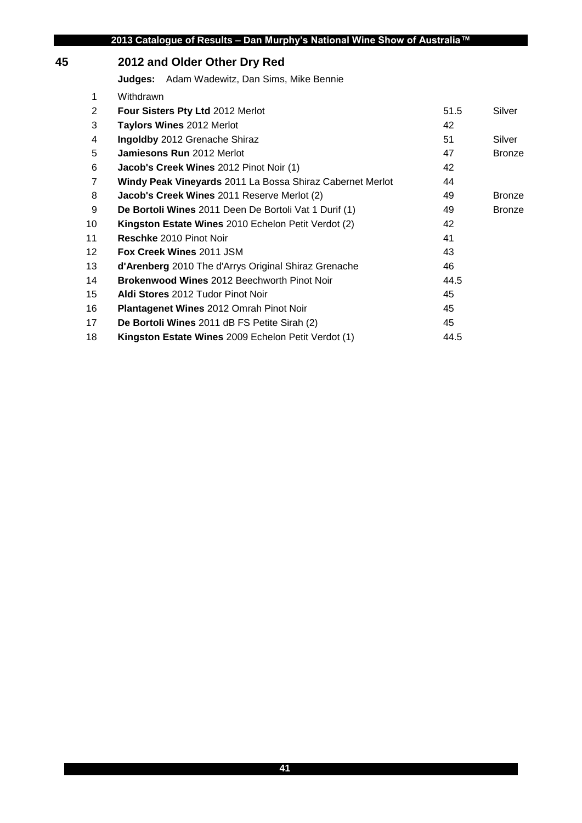# **2012 and Older Other Dry Red**

**Judges:** Adam Wadewitz, Dan Sims, Mike Bennie

| 1               | Withdrawn                                                  |      |               |
|-----------------|------------------------------------------------------------|------|---------------|
| 2               | Four Sisters Pty Ltd 2012 Merlot                           | 51.5 | Silver        |
| 3               | <b>Taylors Wines 2012 Merlot</b>                           | 42   |               |
| 4               | Ingoldby 2012 Grenache Shiraz                              | 51   | Silver        |
| 5               | Jamiesons Run 2012 Merlot                                  | 47   | <b>Bronze</b> |
| 6               | Jacob's Creek Wines 2012 Pinot Noir (1)                    | 42   |               |
| $\overline{7}$  | Windy Peak Vineyards 2011 La Bossa Shiraz Cabernet Merlot  | 44   |               |
| 8               | Jacob's Creek Wines 2011 Reserve Merlot (2)                | 49   | <b>Bronze</b> |
| 9               | De Bortoli Wines 2011 Deen De Bortoli Vat 1 Durif (1)      | 49   | <b>Bronze</b> |
| 10              | Kingston Estate Wines 2010 Echelon Petit Verdot (2)        | 42   |               |
| 11              | <b>Reschke 2010 Pinot Noir</b>                             | 41   |               |
| 12 <sup>°</sup> | <b>Fox Creek Wines 2011 JSM</b>                            | 43   |               |
| 13              | d'Arenberg 2010 The d'Arrys Original Shiraz Grenache       | 46   |               |
| 14              | <b>Brokenwood Wines 2012 Beechworth Pinot Noir</b>         | 44.5 |               |
| 15              | Aldi Stores 2012 Tudor Pinot Noir                          | 45   |               |
| 16              | <b>Plantagenet Wines 2012 Omrah Pinot Noir</b>             | 45   |               |
| 17              | De Bortoli Wines 2011 dB FS Petite Sirah (2)               | 45   |               |
| 18              | <b>Kingston Estate Wines</b> 2009 Echelon Petit Verdot (1) | 44.5 |               |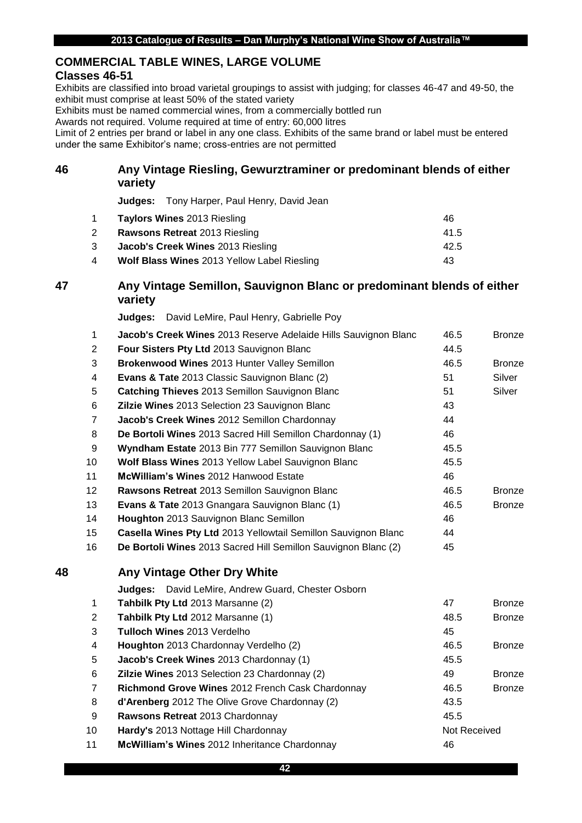## **COMMERCIAL TABLE WINES, LARGE VOLUME**

## **Classes 46-51**

Exhibits are classified into broad varietal groupings to assist with judging; for classes 46-47 and 49-50, the exhibit must comprise at least 50% of the stated variety

Exhibits must be named commercial wines, from a commercially bottled run

Awards not required. Volume required at time of entry: 60,000 litres

Limit of 2 entries per brand or label in any one class. Exhibits of the same brand or label must be entered under the same Exhibitor's name; cross-entries are not permitted

## **Any Vintage Riesling, Gewurztraminer or predominant blends of either variety**

**Judges:** Tony Harper, Paul Henry, David Jean

|   | <b>Taylors Wines 2013 Riesling</b>          | 46   |
|---|---------------------------------------------|------|
|   | <b>Rawsons Retreat 2013 Riesling</b>        | 41.5 |
|   | <b>Jacob's Creek Wines 2013 Riesling</b>    | 42.5 |
| 4 | Wolf Blass Wines 2013 Yellow Label Riesling | 43   |

## **Any Vintage Semillon, Sauvignon Blanc or predominant blends of either variety**

**Judges:** David LeMire, Paul Henry, Gabrielle Poy

|    | $\mathbf{1}$            | Jacob's Creek Wines 2013 Reserve Adelaide Hills Sauvignon Blanc | 46.5         | <b>Bronze</b> |
|----|-------------------------|-----------------------------------------------------------------|--------------|---------------|
|    | $\overline{2}$          | Four Sisters Pty Ltd 2013 Sauvignon Blanc                       | 44.5         |               |
|    | 3                       | Brokenwood Wines 2013 Hunter Valley Semillon                    | 46.5         | <b>Bronze</b> |
|    | 4                       | Evans & Tate 2013 Classic Sauvignon Blanc (2)                   | 51           | Silver        |
|    | 5                       | Catching Thieves 2013 Semillon Sauvignon Blanc                  | 51           | Silver        |
|    | 6                       | Zilzie Wines 2013 Selection 23 Sauvignon Blanc                  | 43           |               |
|    | $\overline{7}$          | Jacob's Creek Wines 2012 Semillon Chardonnay                    | 44           |               |
|    | 8                       | De Bortoli Wines 2013 Sacred Hill Semillon Chardonnay (1)       | 46           |               |
|    | 9                       | Wyndham Estate 2013 Bin 777 Semillon Sauvignon Blanc            | 45.5         |               |
|    | 10                      | Wolf Blass Wines 2013 Yellow Label Sauvignon Blanc              | 45.5         |               |
|    | 11                      | <b>McWilliam's Wines 2012 Hanwood Estate</b>                    | 46           |               |
|    | 12 <sup>2</sup>         | Rawsons Retreat 2013 Semillon Sauvignon Blanc                   | 46.5         | <b>Bronze</b> |
|    | 13                      | Evans & Tate 2013 Gnangara Sauvignon Blanc (1)                  | 46.5         | <b>Bronze</b> |
|    | 14                      | Houghton 2013 Sauvignon Blanc Semillon                          | 46           |               |
|    | 15                      | Casella Wines Pty Ltd 2013 Yellowtail Semillon Sauvignon Blanc  | 44           |               |
|    | 16                      | De Bortoli Wines 2013 Sacred Hill Semillon Sauvignon Blanc (2)  | 45           |               |
| 48 |                         | Any Vintage Other Dry White                                     |              |               |
|    |                         | David LeMire, Andrew Guard, Chester Osborn<br>Judges:           |              |               |
|    | $\mathbf{1}$            | Tahbilk Pty Ltd 2013 Marsanne (2)                               | 47           | <b>Bronze</b> |
|    | $\overline{c}$          | Tahbilk Pty Ltd 2012 Marsanne (1)                               | 48.5         | <b>Bronze</b> |
|    | 3                       | Tulloch Wines 2013 Verdelho                                     | 45           |               |
|    | $\overline{\mathbf{4}}$ | Houghton 2013 Chardonnay Verdelho (2)                           | 46.5         | <b>Bronze</b> |
|    | 5                       | Jacob's Creek Wines 2013 Chardonnay (1)                         | 45.5         |               |
|    | 6                       | Zilzie Wines 2013 Selection 23 Chardonnay (2)                   | 49           | <b>Bronze</b> |
|    | $\overline{7}$          | Richmond Grove Wines 2012 French Cask Chardonnay                | 46.5         | <b>Bronze</b> |
|    | 8                       | d'Arenberg 2012 The Olive Grove Chardonnay (2)                  | 43.5         |               |
|    | 9                       | Rawsons Retreat 2013 Chardonnay                                 | 45.5         |               |
|    | 10                      | Hardy's 2013 Nottage Hill Chardonnay                            | Not Received |               |
|    | 11                      | McWilliam's Wines 2012 Inheritance Chardonnay                   | 46           |               |
|    |                         |                                                                 |              |               |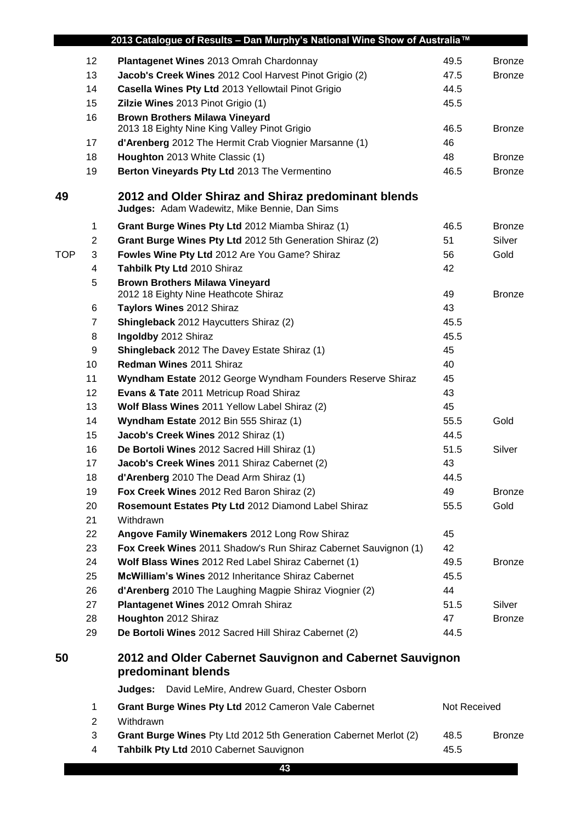|            |                | 2013 Catalogue of Results - Dan Murphy's National Wine Show of Australia™                           |              |               |
|------------|----------------|-----------------------------------------------------------------------------------------------------|--------------|---------------|
|            | 12             | Plantagenet Wines 2013 Omrah Chardonnay                                                             | 49.5         | <b>Bronze</b> |
|            | 13             | Jacob's Creek Wines 2012 Cool Harvest Pinot Grigio (2)                                              | 47.5         | <b>Bronze</b> |
|            | 14             | Casella Wines Pty Ltd 2013 Yellowtail Pinot Grigio                                                  | 44.5         |               |
|            | 15             | Zilzie Wines 2013 Pinot Grigio (1)                                                                  | 45.5         |               |
|            | 16             | <b>Brown Brothers Milawa Vineyard</b>                                                               |              |               |
|            |                | 2013 18 Eighty Nine King Valley Pinot Grigio                                                        | 46.5         | <b>Bronze</b> |
|            | 17             | d'Arenberg 2012 The Hermit Crab Viognier Marsanne (1)                                               | 46           |               |
|            | 18             | Houghton 2013 White Classic (1)                                                                     | 48           | <b>Bronze</b> |
|            | 19             | Berton Vineyards Pty Ltd 2013 The Vermentino                                                        | 46.5         | <b>Bronze</b> |
| 49         |                | 2012 and Older Shiraz and Shiraz predominant blends<br>Judges: Adam Wadewitz, Mike Bennie, Dan Sims |              |               |
|            | 1              | Grant Burge Wines Pty Ltd 2012 Miamba Shiraz (1)                                                    | 46.5         | <b>Bronze</b> |
|            | 2              | Grant Burge Wines Pty Ltd 2012 5th Generation Shiraz (2)                                            | 51           | Silver        |
| <b>TOP</b> | 3              | Fowles Wine Pty Ltd 2012 Are You Game? Shiraz                                                       | 56           | Gold          |
|            | 4              | Tahbilk Pty Ltd 2010 Shiraz                                                                         | 42           |               |
|            | 5              | <b>Brown Brothers Milawa Vineyard</b><br>2012 18 Eighty Nine Heathcote Shiraz                       | 49           | <b>Bronze</b> |
|            | 6              | Taylors Wines 2012 Shiraz                                                                           | 43           |               |
|            | 7              | <b>Shingleback</b> 2012 Haycutters Shiraz (2)                                                       | 45.5         |               |
|            | 8              | Ingoldby 2012 Shiraz                                                                                | 45.5         |               |
|            | 9              | Shingleback 2012 The Davey Estate Shiraz (1)                                                        | 45           |               |
|            | 10             | Redman Wines 2011 Shiraz                                                                            | 40           |               |
|            | 11             | Wyndham Estate 2012 George Wyndham Founders Reserve Shiraz                                          | 45           |               |
|            | 12             | Evans & Tate 2011 Metricup Road Shiraz                                                              | 43           |               |
|            | 13             | Wolf Blass Wines 2011 Yellow Label Shiraz (2)                                                       | 45           |               |
|            | 14             | Wyndham Estate 2012 Bin 555 Shiraz (1)                                                              | 55.5         | Gold          |
|            | 15             | Jacob's Creek Wines 2012 Shiraz (1)                                                                 | 44.5         |               |
|            | 16             | De Bortoli Wines 2012 Sacred Hill Shiraz (1)                                                        | 51.5         | Silver        |
|            | 17             | Jacob's Creek Wines 2011 Shiraz Cabernet (2)                                                        | 43           |               |
|            | 18             | d'Arenberg 2010 The Dead Arm Shiraz (1)                                                             | 44.5         |               |
|            | 19             | Fox Creek Wines 2012 Red Baron Shiraz (2)                                                           | 49           | <b>Bronze</b> |
|            | 20             | Rosemount Estates Pty Ltd 2012 Diamond Label Shiraz                                                 | 55.5         | Gold          |
|            | 21             | Withdrawn                                                                                           |              |               |
|            | 22             | Angove Family Winemakers 2012 Long Row Shiraz                                                       | 45           |               |
|            | 23             | Fox Creek Wines 2011 Shadow's Run Shiraz Cabernet Sauvignon (1)                                     | 42           |               |
|            | 24             | Wolf Blass Wines 2012 Red Label Shiraz Cabernet (1)                                                 | 49.5         | <b>Bronze</b> |
|            | 25             | McWilliam's Wines 2012 Inheritance Shiraz Cabernet                                                  | 45.5         |               |
|            | 26             | d'Arenberg 2010 The Laughing Magpie Shiraz Viognier (2)                                             | 44           |               |
|            | 27             | Plantagenet Wines 2012 Omrah Shiraz                                                                 | 51.5         | Silver        |
|            | 28             | Houghton 2012 Shiraz                                                                                | 47           | <b>Bronze</b> |
|            | 29             | De Bortoli Wines 2012 Sacred Hill Shiraz Cabernet (2)                                               | 44.5         |               |
| 50         |                | 2012 and Older Cabernet Sauvignon and Cabernet Sauvignon<br>predominant blends                      |              |               |
|            |                | David LeMire, Andrew Guard, Chester Osborn<br>Judges:                                               |              |               |
|            | $\mathbf 1$    | Grant Burge Wines Pty Ltd 2012 Cameron Vale Cabernet                                                | Not Received |               |
|            | $\overline{c}$ | Withdrawn                                                                                           |              |               |
|            | 3              | Grant Burge Wines Pty Ltd 2012 5th Generation Cabernet Merlot (2)                                   | 48.5         | <b>Bronze</b> |
|            | 4              | Tahbilk Pty Ltd 2010 Cabernet Sauvignon                                                             | 45.5         |               |
|            |                | 43                                                                                                  |              |               |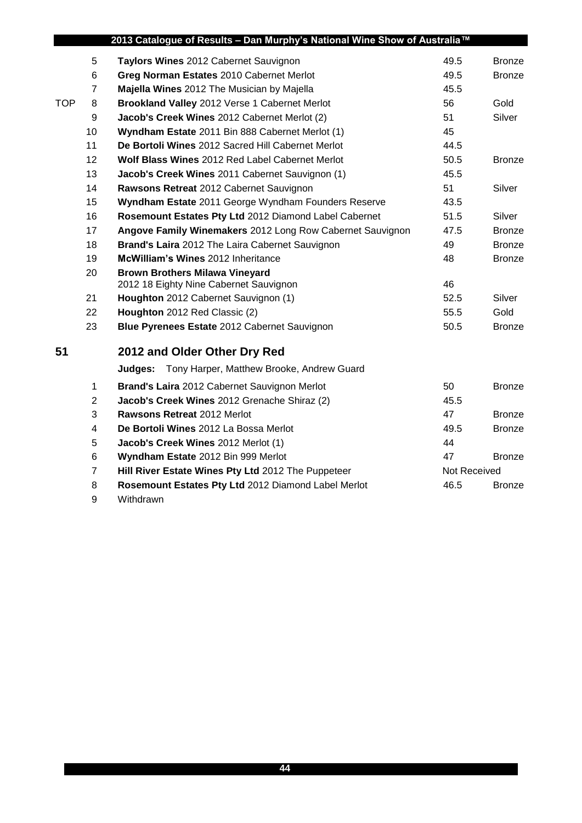|            |                | 2013 Catalogue of Results - Dan Murphy's National Wine Show of Australia™       |              |               |
|------------|----------------|---------------------------------------------------------------------------------|--------------|---------------|
|            | 5              | Taylors Wines 2012 Cabernet Sauvignon                                           | 49.5         | <b>Bronze</b> |
|            | 6              | Greg Norman Estates 2010 Cabernet Merlot                                        | 49.5         | <b>Bronze</b> |
|            | $\overline{7}$ | Majella Wines 2012 The Musician by Majella                                      | 45.5         |               |
| <b>TOP</b> | 8              | Brookland Valley 2012 Verse 1 Cabernet Merlot                                   | 56           | Gold          |
|            | 9              | Jacob's Creek Wines 2012 Cabernet Merlot (2)                                    | 51           | Silver        |
|            | 10             | Wyndham Estate 2011 Bin 888 Cabernet Merlot (1)                                 | 45           |               |
|            | 11             | De Bortoli Wines 2012 Sacred Hill Cabernet Merlot                               | 44.5         |               |
|            | 12             | <b>Wolf Blass Wines 2012 Red Label Cabernet Merlot</b>                          | 50.5         | <b>Bronze</b> |
|            | 13             | Jacob's Creek Wines 2011 Cabernet Sauvignon (1)                                 | 45.5         |               |
|            | 14             | Rawsons Retreat 2012 Cabernet Sauvignon                                         | 51           | Silver        |
|            | 15             | Wyndham Estate 2011 George Wyndham Founders Reserve                             | 43.5         |               |
|            | 16             | Rosemount Estates Pty Ltd 2012 Diamond Label Cabernet                           | 51.5         | Silver        |
|            | 17             | Angove Family Winemakers 2012 Long Row Cabernet Sauvignon                       | 47.5         | <b>Bronze</b> |
|            | 18             | Brand's Laira 2012 The Laira Cabernet Sauvignon                                 | 49           | <b>Bronze</b> |
|            | 19             | McWilliam's Wines 2012 Inheritance                                              | 48           | <b>Bronze</b> |
|            | 20             | <b>Brown Brothers Milawa Vineyard</b><br>2012 18 Eighty Nine Cabernet Sauvignon | 46           |               |
|            | 21             | Houghton 2012 Cabernet Sauvignon (1)                                            | 52.5         | Silver        |
|            | 22             | Houghton 2012 Red Classic (2)                                                   | 55.5         | Gold          |
|            | 23             | Blue Pyrenees Estate 2012 Cabernet Sauvignon                                    | 50.5         | <b>Bronze</b> |
| 51         |                | 2012 and Older Other Dry Red                                                    |              |               |
|            |                | Tony Harper, Matthew Brooke, Andrew Guard<br>Judges:                            |              |               |
|            | 1              | Brand's Laira 2012 Cabernet Sauvignon Merlot                                    | 50           | <b>Bronze</b> |
|            | 2              | Jacob's Creek Wines 2012 Grenache Shiraz (2)                                    | 45.5         |               |
|            | 3              | <b>Rawsons Retreat 2012 Merlot</b>                                              | 47           | <b>Bronze</b> |
|            | 4              | De Bortoli Wines 2012 La Bossa Merlot                                           | 49.5         | <b>Bronze</b> |
|            | 5              | Jacob's Creek Wines 2012 Merlot (1)                                             | 44           |               |
|            | 6              | Wyndham Estate 2012 Bin 999 Merlot                                              | 47           | <b>Bronze</b> |
|            | $\overline{7}$ | Hill River Estate Wines Pty Ltd 2012 The Puppeteer                              | Not Received |               |
|            | 8              | Rosemount Estates Pty Ltd 2012 Diamond Label Merlot                             | 46.5         | <b>Bronze</b> |

Withdrawn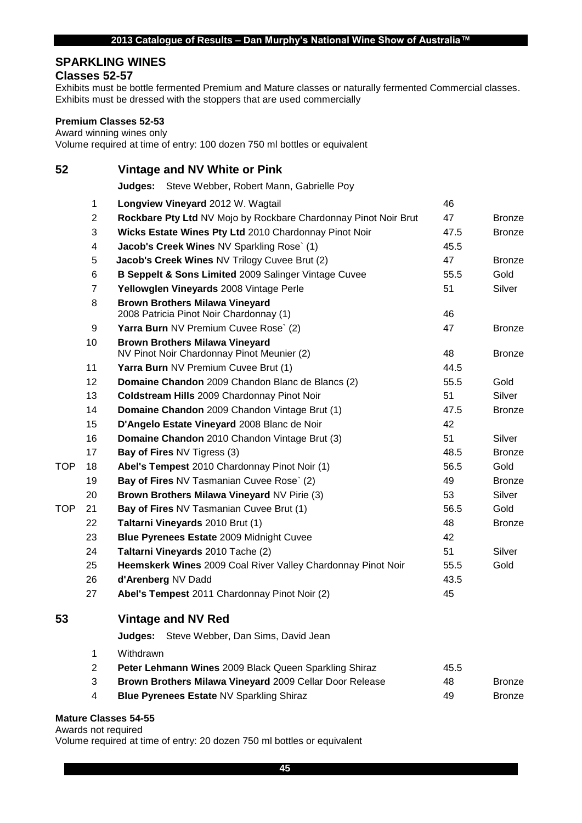#### **SPARKLING WINES**

## **Classes 52-57**

Exhibits must be bottle fermented Premium and Mature classes or naturally fermented Commercial classes. Exhibits must be dressed with the stoppers that are used commercially

#### **Premium Classes 52-53**

Award winning wines only

Volume required at time of entry: 100 dozen 750 ml bottles or equivalent

**Vintage and NV White or Pink**

**Judges:** Steve Webber, Robert Mann, Gabrielle Poy

|     | 1                       | Longview Vineyard 2012 W. Wagtail                                                   | 46   |               |
|-----|-------------------------|-------------------------------------------------------------------------------------|------|---------------|
|     | $\overline{2}$          | Rockbare Pty Ltd NV Mojo by Rockbare Chardonnay Pinot Noir Brut                     | 47   | <b>Bronze</b> |
|     | 3                       | Wicks Estate Wines Pty Ltd 2010 Chardonnay Pinot Noir                               | 47.5 | <b>Bronze</b> |
|     | $\overline{\mathbf{4}}$ | Jacob's Creek Wines NV Sparkling Rose` (1)                                          | 45.5 |               |
|     | 5                       | Jacob's Creek Wines NV Trilogy Cuvee Brut (2)                                       | 47   | <b>Bronze</b> |
|     | 6                       | B Seppelt & Sons Limited 2009 Salinger Vintage Cuvee                                | 55.5 | Gold          |
|     | 7                       | Yellowglen Vineyards 2008 Vintage Perle                                             | 51   | Silver        |
|     | 8                       | <b>Brown Brothers Milawa Vineyard</b>                                               |      |               |
|     |                         | 2008 Patricia Pinot Noir Chardonnay (1)                                             | 46   |               |
|     | 9                       | Yarra Burn NV Premium Cuvee Rose` (2)                                               | 47   | <b>Bronze</b> |
|     | 10                      | <b>Brown Brothers Milawa Vineyard</b><br>NV Pinot Noir Chardonnay Pinot Meunier (2) | 48   | <b>Bronze</b> |
|     | 11                      | Yarra Burn NV Premium Cuvee Brut (1)                                                | 44.5 |               |
|     | 12                      | Domaine Chandon 2009 Chandon Blanc de Blancs (2)                                    | 55.5 | Gold          |
|     | 13                      | Coldstream Hills 2009 Chardonnay Pinot Noir                                         | 51   | Silver        |
|     | 14                      | Domaine Chandon 2009 Chandon Vintage Brut (1)                                       | 47.5 | <b>Bronze</b> |
|     | 15                      | D'Angelo Estate Vineyard 2008 Blanc de Noir                                         | 42   |               |
|     | 16                      | Domaine Chandon 2010 Chandon Vintage Brut (3)                                       | 51   | Silver        |
|     | 17                      | <b>Bay of Fires NV Tigress (3)</b>                                                  | 48.5 | <b>Bronze</b> |
| TOP | 18                      | Abel's Tempest 2010 Chardonnay Pinot Noir (1)                                       | 56.5 | Gold          |
|     | 19                      | Bay of Fires NV Tasmanian Cuvee Rose` (2)                                           | 49   | <b>Bronze</b> |
|     | 20                      | Brown Brothers Milawa Vineyard NV Pirie (3)                                         | 53   | Silver        |
| TOP | 21                      | Bay of Fires NV Tasmanian Cuvee Brut (1)                                            | 56.5 | Gold          |
|     | 22                      | Taltarni Vineyards 2010 Brut (1)                                                    | 48   | <b>Bronze</b> |
|     | 23                      | Blue Pyrenees Estate 2009 Midnight Cuvee                                            | 42   |               |
|     | 24                      | Taltarni Vineyards 2010 Tache (2)                                                   | 51   | Silver        |
|     | 25                      | Heemskerk Wines 2009 Coal River Valley Chardonnay Pinot Noir                        | 55.5 | Gold          |
|     | 26                      | d'Arenberg NV Dadd                                                                  | 43.5 |               |
|     | 27                      | Abel's Tempest 2011 Chardonnay Pinot Noir (2)                                       | 45   |               |
| 53  |                         | <b>Vintage and NV Red</b>                                                           |      |               |
|     |                         | Steve Webber, Dan Sims, David Jean<br>Judqes:                                       |      |               |
|     | $\mathbf{1}$            | Withdrawn                                                                           |      |               |
|     | $\overline{2}$          | Peter Lehmann Wines 2009 Black Queen Sparkling Shiraz                               | 45.5 |               |
|     | 3                       | Brown Brothers Milawa Vineyard 2009 Cellar Door Release                             | 48   | <b>Bronze</b> |
|     | 4                       | Blue Pyrenees Estate NV Sparkling Shiraz                                            | 49   | <b>Bronze</b> |
|     |                         |                                                                                     |      |               |

#### **Mature Classes 54-55**

Awards not required

Volume required at time of entry: 20 dozen 750 ml bottles or equivalent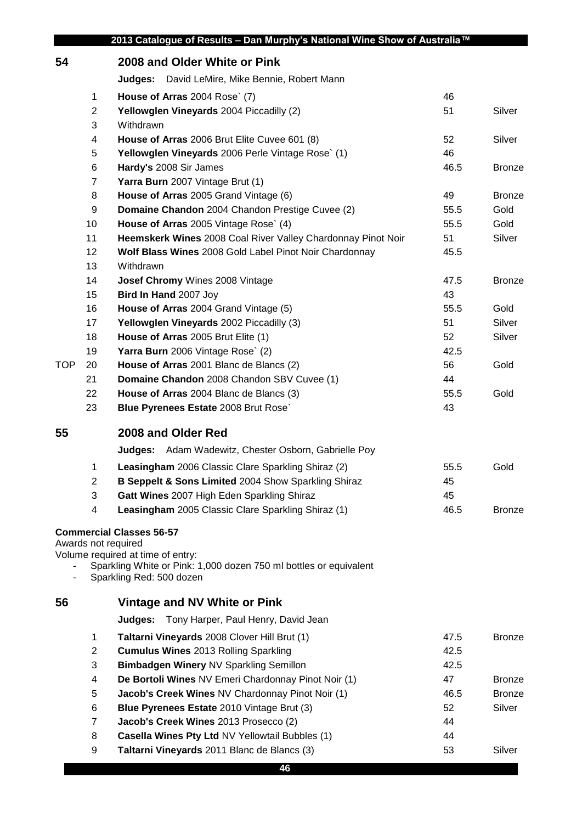|            |                | 2013 Catalogue of Results - Dan Murphy's National Wine Show of Australia™                     |      |               |
|------------|----------------|-----------------------------------------------------------------------------------------------|------|---------------|
| 54         |                | 2008 and Older White or Pink                                                                  |      |               |
|            |                | David LeMire, Mike Bennie, Robert Mann<br>Judges:                                             |      |               |
|            | $\mathbf{1}$   | House of Arras 2004 Rose` (7)                                                                 | 46   |               |
|            | 2              | Yellowglen Vineyards 2004 Piccadilly (2)                                                      | 51   | Silver        |
|            | 3              | Withdrawn                                                                                     |      |               |
|            | 4              | House of Arras 2006 Brut Elite Cuvee 601 (8)                                                  | 52   | Silver        |
|            | 5              | Yellowglen Vineyards 2006 Perle Vintage Rose` (1)                                             | 46   |               |
|            | 6              | Hardy's 2008 Sir James                                                                        | 46.5 | <b>Bronze</b> |
|            | $\overline{7}$ | Yarra Burn 2007 Vintage Brut (1)                                                              |      |               |
|            | 8              | House of Arras 2005 Grand Vintage (6)                                                         | 49   | <b>Bronze</b> |
|            | 9              | Domaine Chandon 2004 Chandon Prestige Cuvee (2)                                               | 55.5 | Gold          |
|            | 10             | House of Arras 2005 Vintage Rose` (4)                                                         | 55.5 | Gold          |
|            | 11             | Heemskerk Wines 2008 Coal River Valley Chardonnay Pinot Noir                                  | 51   | Silver        |
|            | 12             | Wolf Blass Wines 2008 Gold Label Pinot Noir Chardonnay                                        | 45.5 |               |
|            | 13             | Withdrawn                                                                                     |      |               |
|            | 14             | Josef Chromy Wines 2008 Vintage                                                               | 47.5 | <b>Bronze</b> |
|            | 15             | Bird In Hand 2007 Joy                                                                         | 43   |               |
|            | 16             | House of Arras 2004 Grand Vintage (5)                                                         | 55.5 | Gold          |
|            | 17             | Yellowglen Vineyards 2002 Piccadilly (3)                                                      | 51   | Silver        |
|            | 18             | House of Arras 2005 Brut Elite (1)                                                            | 52   | Silver        |
|            | 19             | Yarra Burn 2006 Vintage Rose` (2)                                                             | 42.5 |               |
| <b>TOP</b> | 20             | House of Arras 2001 Blanc de Blancs (2)                                                       | 56   | Gold          |
|            | 21             | Domaine Chandon 2008 Chandon SBV Cuvee (1)                                                    | 44   |               |
|            | 22             | House of Arras 2004 Blanc de Blancs (3)                                                       | 55.5 | Gold          |
|            | 23             | Blue Pyrenees Estate 2008 Brut Rose`                                                          | 43   |               |
|            |                |                                                                                               |      |               |
| 55         |                | 2008 and Older Red                                                                            |      |               |
|            |                | <b>Judges:</b> Adam Wadewitz, Chester Osborn, Gabrielle Poy                                   |      |               |
|            | 1              | Leasingham 2006 Classic Clare Sparkling Shiraz (2)                                            | 55.5 | Gold          |
|            | 2              | B Seppelt & Sons Limited 2004 Show Sparkling Shiraz                                           | 45   |               |
|            | 3              | Gatt Wines 2007 High Eden Sparkling Shiraz                                                    | 45   |               |
|            | 4              | Leasingham 2005 Classic Clare Sparkling Shiraz (1)                                            | 46.5 | Bronze        |
|            |                | <b>Commercial Classes 56-57</b>                                                               |      |               |
|            |                | Awards not required                                                                           |      |               |
|            |                | Volume required at time of entry:                                                             |      |               |
|            |                | Sparkling White or Pink: 1,000 dozen 750 ml bottles or equivalent<br>Sparkling Red: 500 dozen |      |               |
|            |                |                                                                                               |      |               |
| 56         |                | Vintage and NV White or Pink                                                                  |      |               |
|            |                | Tony Harper, Paul Henry, David Jean<br>Judges:                                                |      |               |
|            | 1              | Taltarni Vineyards 2008 Clover Hill Brut (1)                                                  | 47.5 | <b>Bronze</b> |
|            | $\overline{2}$ | <b>Cumulus Wines 2013 Rolling Sparkling</b>                                                   | 42.5 |               |
|            | 3              | Bimbadgen Winery NV Sparkling Semillon                                                        | 42.5 |               |
|            | 4              | De Bortoli Wines NV Emeri Chardonnay Pinot Noir (1)                                           | 47   | <b>Bronze</b> |
|            | 5              | Jacob's Creek Wines NV Chardonnay Pinot Noir (1)                                              | 46.5 | <b>Bronze</b> |
|            | 6              | Blue Pyrenees Estate 2010 Vintage Brut (3)                                                    | 52   | Silver        |
|            | $\overline{7}$ | Jacob's Creek Wines 2013 Prosecco (2)                                                         | 44   |               |
|            | 8              | Casella Wines Pty Ltd NV Yellowtail Bubbles (1)                                               | 44   |               |
|            | 9              | Taltarni Vineyards 2011 Blanc de Blancs (3)                                                   | 53   | Silver        |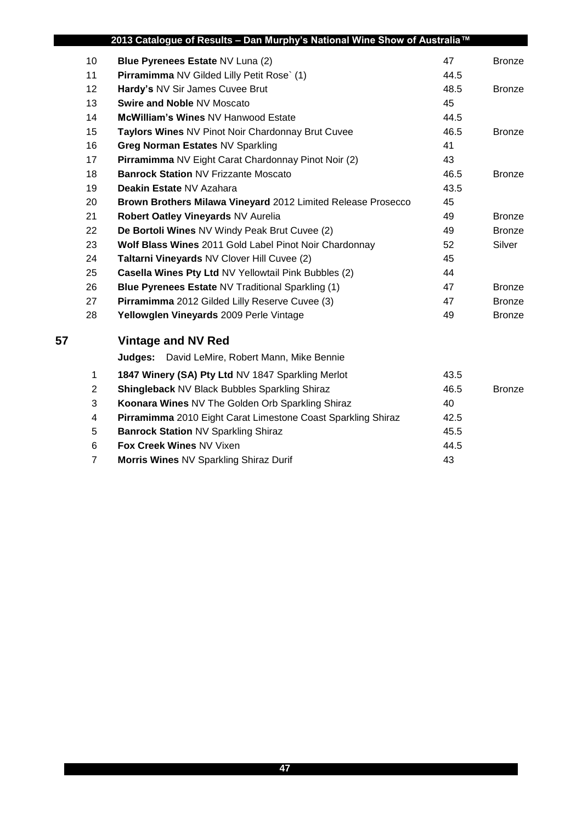|    |                 | 2013 Catalogue of Results - Dan Murphy's National Wine Show of Australia™ |      |               |
|----|-----------------|---------------------------------------------------------------------------|------|---------------|
|    | 10              | Blue Pyrenees Estate NV Luna (2)                                          | 47   | <b>Bronze</b> |
|    | 11              | Pirramimma NV Gilded Lilly Petit Rose` (1)                                | 44.5 |               |
|    | 12 <sup>2</sup> | Hardy's NV Sir James Cuvee Brut                                           | 48.5 | <b>Bronze</b> |
|    | 13              | <b>Swire and Noble NV Moscato</b>                                         | 45   |               |
|    | 14              | McWilliam's Wines NV Hanwood Estate                                       | 44.5 |               |
|    | 15              | Taylors Wines NV Pinot Noir Chardonnay Brut Cuvee                         | 46.5 | <b>Bronze</b> |
|    | 16              | Greg Norman Estates NV Sparkling                                          | 41   |               |
|    | 17              | Pirramimma NV Eight Carat Chardonnay Pinot Noir (2)                       | 43   |               |
|    | 18              | <b>Banrock Station NV Frizzante Moscato</b>                               | 46.5 | <b>Bronze</b> |
|    | 19              | Deakin Estate NV Azahara                                                  | 43.5 |               |
|    | 20              | Brown Brothers Milawa Vineyard 2012 Limited Release Prosecco              | 45   |               |
|    | 21              | Robert Oatley Vineyards NV Aurelia                                        | 49   | <b>Bronze</b> |
|    | 22              | De Bortoli Wines NV Windy Peak Brut Cuvee (2)                             | 49   | <b>Bronze</b> |
|    | 23              | Wolf Blass Wines 2011 Gold Label Pinot Noir Chardonnay                    | 52   | Silver        |
|    | 24              | Taltarni Vineyards NV Clover Hill Cuvee (2)                               | 45   |               |
|    | 25              | Casella Wines Pty Ltd NV Yellowtail Pink Bubbles (2)                      | 44   |               |
|    | 26              | Blue Pyrenees Estate NV Traditional Sparkling (1)                         | 47   | Bronze        |
|    | 27              | Pirramimma 2012 Gilded Lilly Reserve Cuvee (3)                            | 47   | <b>Bronze</b> |
|    | 28              | Yellowglen Vineyards 2009 Perle Vintage                                   | 49   | <b>Bronze</b> |
| 57 |                 | <b>Vintage and NV Red</b>                                                 |      |               |
|    |                 | Judges:<br>David LeMire, Robert Mann, Mike Bennie                         |      |               |
|    | $\mathbf{1}$    | 1847 Winery (SA) Pty Ltd NV 1847 Sparkling Merlot                         | 43.5 |               |
|    | $\overline{2}$  | <b>Shingleback NV Black Bubbles Sparkling Shiraz</b>                      | 46.5 | <b>Bronze</b> |
|    | 3               | Koonara Wines NV The Golden Orb Sparkling Shiraz                          | 40   |               |
|    | 4               | Pirramimma 2010 Eight Carat Limestone Coast Sparkling Shiraz              | 42.5 |               |
|    | 5               | <b>Banrock Station NV Sparkling Shiraz</b>                                | 45.5 |               |
|    | 6               | Fox Creek Wines NV Vixen                                                  | 44.5 |               |
|    | $\overline{7}$  | Morris Wines NV Sparkling Shiraz Durif                                    | 43   |               |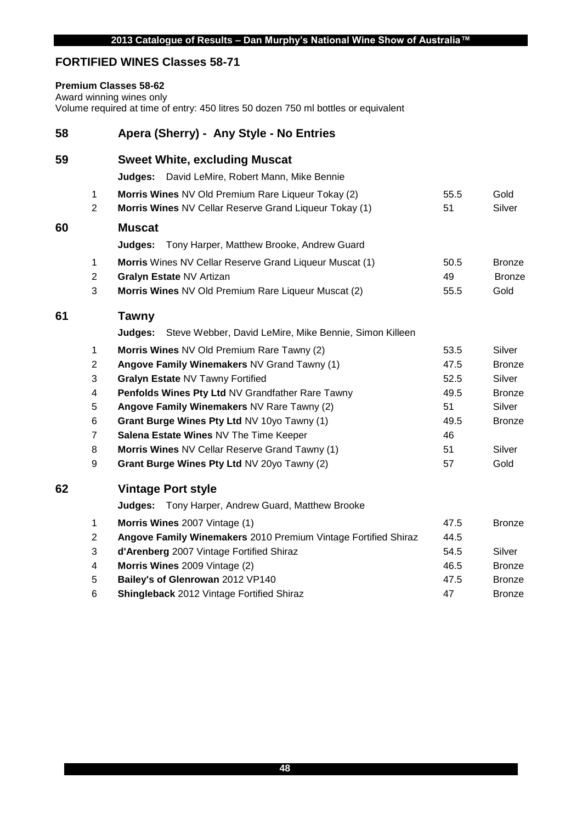## **FORTIFIED WINES Classes 58-71**

#### **Premium Classes 58-62**

Award winning wines only

Volume required at time of entry: 450 litres 50 dozen 750 ml bottles or equivalent

| 58 |                | Apera (Sherry) - Any Style - No Entries                           |      |               |
|----|----------------|-------------------------------------------------------------------|------|---------------|
| 59 |                | <b>Sweet White, excluding Muscat</b>                              |      |               |
|    |                | Judges: David LeMire, Robert Mann, Mike Bennie                    |      |               |
|    | $\mathbf{1}$   | Morris Wines NV Old Premium Rare Liqueur Tokay (2)                | 55.5 | Gold          |
|    | $\overline{2}$ | Morris Wines NV Cellar Reserve Grand Liqueur Tokay (1)            | 51   | Silver        |
| 60 |                | <b>Muscat</b>                                                     |      |               |
|    |                | Judges: Tony Harper, Matthew Brooke, Andrew Guard                 |      |               |
|    | $\mathbf{1}$   | Morris Wines NV Cellar Reserve Grand Liqueur Muscat (1)           | 50.5 | <b>Bronze</b> |
|    | $\overline{2}$ | Gralyn Estate NV Artizan                                          | 49   | <b>Bronze</b> |
|    | 3              | Morris Wines NV Old Premium Rare Liqueur Muscat (2)               | 55.5 | Gold          |
| 61 |                | <b>Tawny</b>                                                      |      |               |
|    |                | Steve Webber, David LeMire, Mike Bennie, Simon Killeen<br>Judges: |      |               |
|    | $\mathbf{1}$   | Morris Wines NV Old Premium Rare Tawny (2)                        | 53.5 | Silver        |
|    | $\overline{2}$ | Angove Family Winemakers NV Grand Tawny (1)                       | 47.5 | <b>Bronze</b> |
|    | 3              | Gralyn Estate NV Tawny Fortified                                  | 52.5 | Silver        |
|    | 4              | Penfolds Wines Pty Ltd NV Grandfather Rare Tawny                  | 49.5 | <b>Bronze</b> |
|    | 5              | Angove Family Winemakers NV Rare Tawny (2)                        | 51   | Silver        |
|    | 6              | Grant Burge Wines Pty Ltd NV 10yo Tawny (1)                       | 49.5 | <b>Bronze</b> |
|    | $\overline{7}$ | Salena Estate Wines NV The Time Keeper                            | 46   |               |
|    | 8              | Morris Wines NV Cellar Reserve Grand Tawny (1)                    | 51   | Silver        |
|    | 9              | Grant Burge Wines Pty Ltd NV 20yo Tawny (2)                       | 57   | Gold          |
| 62 |                | <b>Vintage Port style</b>                                         |      |               |
|    |                | Judges: Tony Harper, Andrew Guard, Matthew Brooke                 |      |               |
|    | $\mathbf{1}$   | Morris Wines 2007 Vintage (1)                                     | 47.5 | <b>Bronze</b> |
|    | $\overline{2}$ | Angove Family Winemakers 2010 Premium Vintage Fortified Shiraz    | 44.5 |               |
|    | 3              | d'Arenberg 2007 Vintage Fortified Shiraz                          | 54.5 | Silver        |
|    | 4              | Morris Wines 2009 Vintage (2)                                     | 46.5 | <b>Bronze</b> |
|    | 5              | Bailey's of Glenrowan 2012 VP140                                  | 47.5 | <b>Bronze</b> |

**Shingleback** 2012 Vintage Fortified Shiraz 47 47 Bronze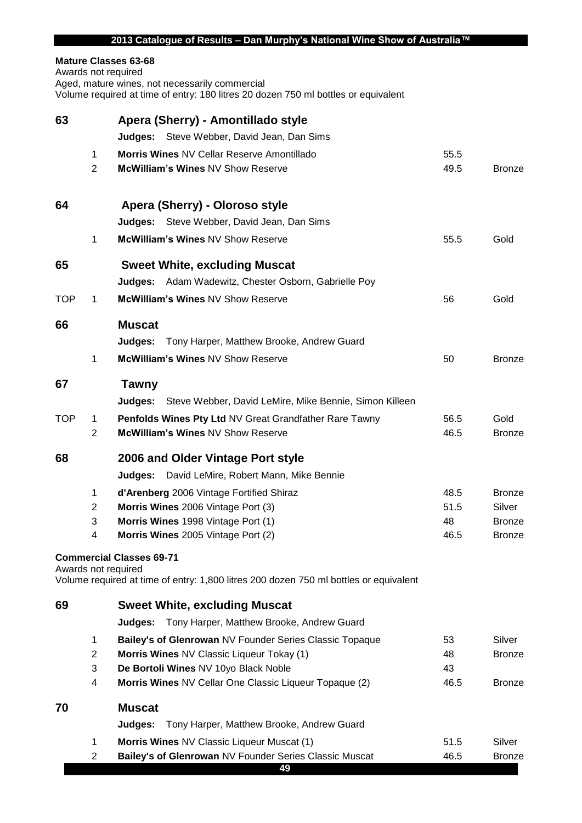| Mature Classes 63-68 |  |
|----------------------|--|
|----------------------|--|

Awards not required Aged, mature wines, not necessarily commercial Volume required at time of entry: 180 litres 20 dozen 750 ml bottles or equivalent

| 63  |                     | Apera (Sherry) - Amontillado style                                                    |              |               |
|-----|---------------------|---------------------------------------------------------------------------------------|--------------|---------------|
|     |                     | <b>Judges:</b> Steve Webber, David Jean, Dan Sims                                     |              |               |
|     | 1<br>$\overline{2}$ | Morris Wines NV Cellar Reserve Amontillado<br>McWilliam's Wines NV Show Reserve       | 55.5<br>49.5 | <b>Bronze</b> |
| 64  |                     | Apera (Sherry) - Oloroso style                                                        |              |               |
|     |                     | <b>Judges:</b> Steve Webber, David Jean, Dan Sims                                     |              |               |
|     | 1                   | McWilliam's Wines NV Show Reserve                                                     | 55.5         | Gold          |
| 65  |                     | <b>Sweet White, excluding Muscat</b>                                                  |              |               |
|     |                     | Adam Wadewitz, Chester Osborn, Gabrielle Poy<br>Judges:                               |              |               |
| TOP | 1                   | McWilliam's Wines NV Show Reserve                                                     | 56           | Gold          |
| 66  |                     | <b>Muscat</b>                                                                         |              |               |
|     |                     | Judges:<br>Tony Harper, Matthew Brooke, Andrew Guard                                  |              |               |
|     | 1                   | McWilliam's Wines NV Show Reserve                                                     | 50           | <b>Bronze</b> |
| 67  |                     | <b>Tawny</b>                                                                          |              |               |
|     |                     | <b>Judges:</b> Steve Webber, David LeMire, Mike Bennie, Simon Killeen                 |              |               |
| TOP | 1                   | Penfolds Wines Pty Ltd NV Great Grandfather Rare Tawny                                | 56.5         | Gold          |
|     | $\overline{2}$      | McWilliam's Wines NV Show Reserve                                                     | 46.5         | <b>Bronze</b> |
| 68  |                     | 2006 and Older Vintage Port style                                                     |              |               |
|     |                     | David LeMire, Robert Mann, Mike Bennie<br>Judges:                                     |              |               |
|     | 1                   | d'Arenberg 2006 Vintage Fortified Shiraz                                              | 48.5         | <b>Bronze</b> |
|     | $\overline{2}$      | Morris Wines 2006 Vintage Port (3)                                                    | 51.5         | Silver        |
|     | 3                   | Morris Wines 1998 Vintage Port (1)                                                    | 48           | <b>Bronze</b> |
|     | 4                   | Morris Wines 2005 Vintage Port (2)                                                    | 46.5         | <b>Bronze</b> |
|     |                     | <b>Commercial Classes 69-71</b><br>Awards not required                                |              |               |
|     |                     | Volume required at time of entry: 1,800 litres 200 dozen 750 ml bottles or equivalent |              |               |
| 69  |                     | <b>Sweet White, excluding Muscat</b>                                                  |              |               |
|     |                     | Judges:<br>Tony Harper, Matthew Brooke, Andrew Guard                                  |              |               |
|     | 1                   | Bailey's of Glenrowan NV Founder Series Classic Topaque                               | 53           | Silver        |
|     | $\overline{2}$      | Morris Wines NV Classic Liqueur Tokay (1)                                             | 48           | <b>Bronze</b> |
|     | 3                   | De Bortoli Wines NV 10yo Black Noble                                                  | 43           |               |
|     | 4                   | Morris Wines NV Cellar One Classic Liqueur Topaque (2)                                | 46.5         | <b>Bronze</b> |
| 70  |                     | <b>Muscat</b>                                                                         |              |               |
|     |                     | Judges:<br>Tony Harper, Matthew Brooke, Andrew Guard                                  |              |               |
|     | 1                   | Morris Wines NV Classic Liqueur Muscat (1)                                            | 51.5         | Silver        |
|     | $\overline{c}$      | Bailey's of Glenrowan NV Founder Series Classic Muscat<br>49                          | 46.5         | <b>Bronze</b> |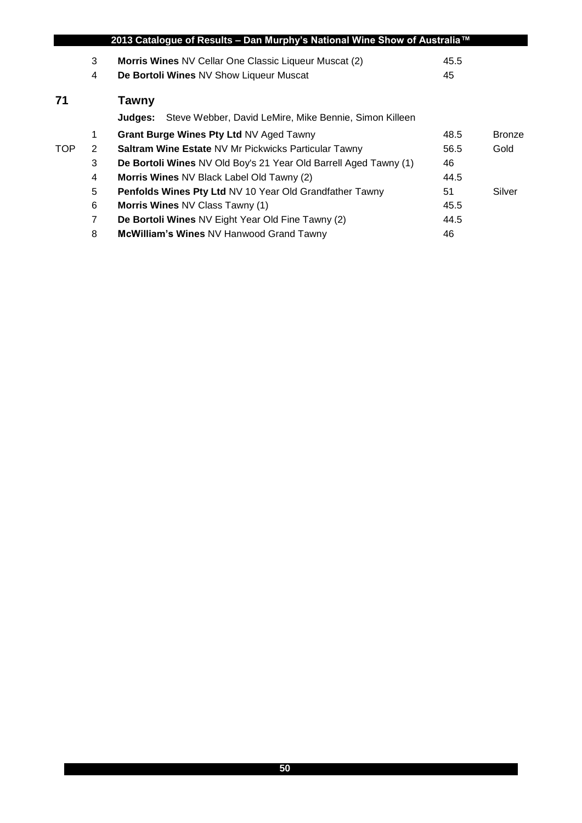|            |                | 2013 Catalogue of Results – Dan Murphy's National Wine Show of Australia™ |      |               |
|------------|----------------|---------------------------------------------------------------------------|------|---------------|
|            | 3              | <b>Morris Wines NV Cellar One Classic Liqueur Muscat (2)</b>              | 45.5 |               |
|            | 4              | De Bortoli Wines NV Show Liqueur Muscat                                   | 45   |               |
| 71         |                | <b>Tawny</b>                                                              |      |               |
|            |                | Steve Webber, David LeMire, Mike Bennie, Simon Killeen<br><b>Judges:</b>  |      |               |
|            | $\mathbf 1$    | Grant Burge Wines Pty Ltd NV Aged Tawny                                   | 48.5 | <b>Bronze</b> |
| <b>TOP</b> | 2              | <b>Saltram Wine Estate NV Mr Pickwicks Particular Tawny</b>               | 56.5 | Gold          |
|            | 3              | De Bortoli Wines NV Old Boy's 21 Year Old Barrell Aged Tawny (1)          | 46   |               |
|            | 4              | Morris Wines NV Black Label Old Tawny (2)                                 | 44.5 |               |
|            | 5              | <b>Penfolds Wines Pty Ltd NV 10 Year Old Grandfather Tawny</b>            | 51   | Silver        |
|            | 6              | Morris Wines NV Class Tawny (1)                                           | 45.5 |               |
|            | $\overline{7}$ | De Bortoli Wines NV Eight Year Old Fine Tawny (2)                         | 44.5 |               |
|            | 8              | <b>McWilliam's Wines NV Hanwood Grand Tawny</b>                           | 46   |               |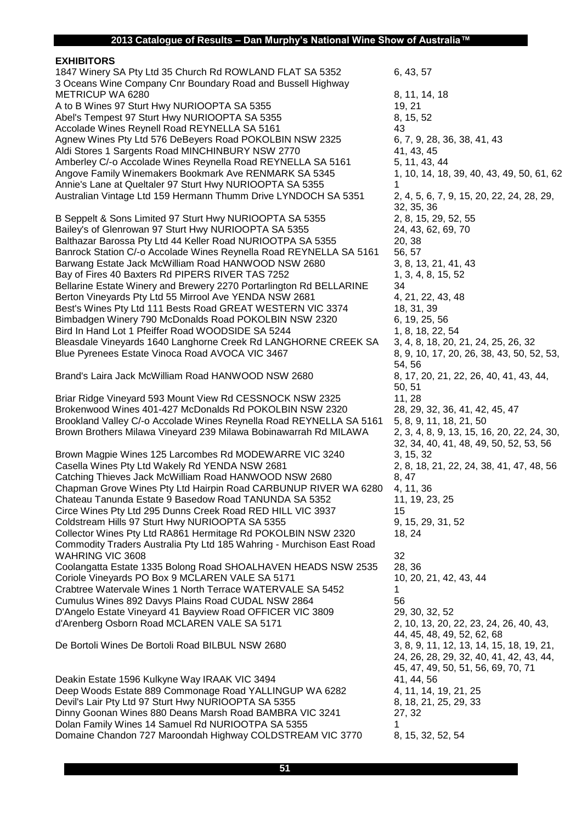#### **EXHIBITORS** 1847 Winery SA Pty Ltd 35 Church Rd ROWLAND FLAT SA 5352 6, 43, 57 3 Oceans Wine Company Cnr Boundary Road and Bussell Highway METRICUP WA 6280 8, 11, 14, 18 A to B Wines 97 Sturt Hwy NURIOOPTA SA 5355 19, 21 Abel's Tempest 97 Sturt Hwy NURIOOPTA SA 5355 8, 15, 52 Accolade Wines Reynell Road REYNELLA SA 5161 43 Agnew Wines Pty Ltd 576 DeBeyers Road POKOLBIN NSW 2325 6, 7, 9, 28, 36, 38, 41, 43 Aldi Stores 1 Sargents Road MINCHINBURY NSW 2770 41, 43, 45 Amberley C/-o Accolade Wines Reynella Road REYNELLA SA 5161 5, 11, 43, 44 Angove Family Winemakers Bookmark Ave RENMARK SA 5345 1, 10, 14, 18, 39, 40, 43, 49, 50, 61, 62 Annie's Lane at Queltaler 97 Sturt Hwy NURIOOPTA SA 5355 Australian Vintage Ltd 159 Hermann Thumm Drive LYNDOCH SA 5351 2, 4, 5, 6, 7, 9, 15, 20, 22, 24, 28, 29, B Seppelt & Sons Limited 97 Sturt Hwy NURIOOPTA SA 5355 2, 8, 15, 29, 52, 55 Bailey's of Glenrowan 97 Sturt Hwy NURIOOPTA SA 5355 24, 43, 62, 69, 70 Balthazar Barossa Pty Ltd 44 Keller Road NURIOOTPA SA 5355 20, 38 Banrock Station C/-o Accolade Wines Reynella Road REYNELLA SA 5161 56, 57 Barwang Estate Jack McWilliam Road HANWOOD NSW 2680 3, 8, 13, 21, 41, 43 Bay of Fires 40 Baxters Rd PIPERS RIVER TAS 7252 1, 3, 4, 8, 15, 52 Bellarine Estate Winery and Brewery 2270 Portarlington Rd BELLARINE 34 Berton Vineyards Pty Ltd 55 Mirrool Ave YENDA NSW 2681 4, 21, 22, 43, 48 Best's Wines Pty Ltd 111 Bests Road GREAT WESTERN VIC 3374 18, 31, 39 Bimbadgen Winery 790 McDonalds Road POKOLBIN NSW 2320 6, 19, 25, 56 Bird In Hand Lot 1 Pfeiffer Road WOODSIDE SA 5244 1, 8, 18, 22, 54 Bleasdale Vineyards 1640 Langhorne Creek Rd LANGHORNE CREEK SA 3, 4, 8, 18, 20, 21, 24, 25, 26, 32 Blue Pyrenees Estate Vinoca Road AVOCA VIC 3467 8, 9, 10, 17, 20, 26, 38, 43, 50, 52, 53, 83, 843, 50, 52, 53, Brand's Laira Jack McWilliam Road HANWOOD NSW 2680 8, 17, 20, 21, 22, 26, 40, 41, 43, 44, Briar Ridge Vineyard 593 Mount View Rd CESSNOCK NSW 2325 11, 28 Brokenwood Wines 401-427 McDonalds Rd POKOLBIN NSW 2320 28, 29, 32, 36, 41, 42, 45, 47 Brookland Valley C/-o Accolade Wines Reynella Road REYNELLA SA 5161 5, 8, 9, 11, 18, 21, 50 Brown Brothers Milawa Vineyard 239 Milawa Bobinawarrah Rd MILAWA 2, 3, 4, 8, 9, 13, 15, 16, 20, 22, 24, 30, Brown Magpie Wines 125 Larcombes Rd MODEWARRE VIC 3240 3, 15, 32 Casella Wines Pty Ltd Wakely Rd YENDA NSW 2681 2, 8, 18, 21, 22, 24, 38, 41, 47, 48, 56 Catching Thieves Jack McWilliam Road HANWOOD NSW 2680 8, 47 Chapman Grove Wines Pty Ltd Hairpin Road CARBUNUP RIVER WA 6280 4, 11, 36 Chateau Tanunda Estate 9 Basedow Road TANUNDA SA 5352 11, 19, 23, 25 Circe Wines Pty Ltd 295 Dunns Creek Road RED HILL VIC 3937 15 Coldstream Hills 97 Sturt Hwy NURIOOPTA SA 5355 9, 15, 29, 31, 52 Collector Wines Pty Ltd RA861 Hermitage Rd POKOLBIN NSW 2320 18, 24 Commodity Traders Australia Pty Ltd 185 Wahring - Murchison East Road WAHRING VIC 3608 32 Coolangatta Estate 1335 Bolong Road SHOALHAVEN HEADS NSW 2535 28, 36 Coriole Vineyards PO Box 9 MCLAREN VALE SA 5171 10, 20, 21, 42, 43, 44 Crabtree Watervale Wines 1 North Terrace WATERVALE SA 5452 1 Cumulus Wines 892 Davys Plains Road CUDAL NSW 2864 56 D'Angelo Estate Vineyard 41 Bayview Road OFFICER VIC 3809 29, 30, 32, 52 d'Arenberg Osborn Road MCLAREN VALE SA 5171 2, 10, 13, 20, 22, 23, 24, 26, 40, 43, De Bortoli Wines De Bortoli Road BILBUL NSW 2680 3, 8, 9, 11, 12, 13, 14, 15, 18, 19, 21,

Deakin Estate 1596 Kulkyne Way IRAAK VIC 3494 41, 44, 56 Deep Woods Estate 889 Commonage Road YALLINGUP WA 6282 4, 11, 14, 19, 21, 25 Devil's Lair Pty Ltd 97 Sturt Hwy NURIOOPTA SA 5355 8, 18, 21, 25, 29, 33 Dinny Goonan Wines 880 Deans Marsh Road BAMBRA VIC 3241 27, 32 Dolan Family Wines 14 Samuel Rd NURIOOTPA SA 5355 1 Domaine Chandon 727 Maroondah Highway COLDSTREAM VIC 3770 8, 15, 32, 52, 54

32, 35, 36 54, 56 50, 51 32, 34, 40, 41, 48, 49, 50, 52, 53, 56 44, 45, 48, 49, 52, 62, 68 24, 26, 28, 29, 32, 40, 41, 42, 43, 44, 45, 47, 49, 50, 51, 56, 69, 70, 71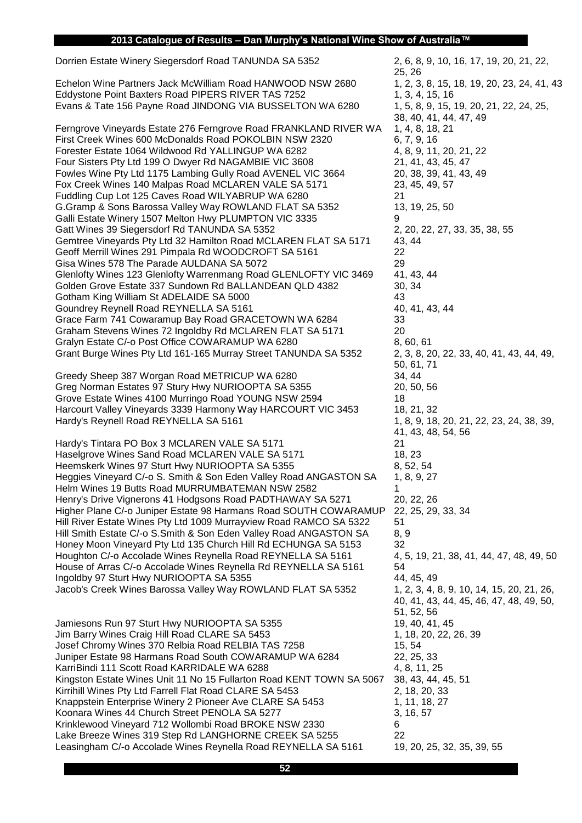Dorrien Estate Winery Siegersdorf Road TANUNDA SA 5352 2, 6, 8, 9, 10, 16, 17, 19, 20, 21, 22,

Echelon Wine Partners Jack McWilliam Road HANWOOD NSW 2680 1, 2, 3, 8, 15, 18, 19, 20, 23, 24, 41, 43 Eddystone Point Baxters Road PIPERS RIVER TAS 7252 1, 3, 4, 15, 16 Evans & Tate 156 Payne Road JINDONG VIA BUSSELTON WA 6280 1, 5, 8, 9, 15, 19, 20, 21, 22, 24, 25,

Ferngrove Vineyards Estate 276 Ferngrove Road FRANKLAND RIVER WA 1, 4, 8, 18, 21 First Creek Wines 600 McDonalds Road POKOLBIN NSW 2320 6, 7, 9, 16 Forester Estate 1064 Wildwood Rd YALLINGUP WA 6282 4, 8, 9, 11, 20, 21, 22 Four Sisters Pty Ltd 199 O Dwyer Rd NAGAMBIE VIC 3608 21, 41, 43, 45, 47 Fowles Wine Pty Ltd 1175 Lambing Gully Road AVENEL VIC 3664 20, 38, 39, 41, 43, 49 Fox Creek Wines 140 Malpas Road MCLAREN VALE SA 5171 23, 45, 49, 57 Fuddling Cup Lot 125 Caves Road WILYABRUP WA 6280 21 G.Gramp & Sons Barossa Valley Way ROWLAND FLAT SA 5352 13, 19, 25, 50 Galli Estate Winery 1507 Melton Hwy PLUMPTON VIC 3335 Gatt Wines 39 Siegersdorf Rd TANUNDA SA 5352 2, 20, 22, 27, 33, 35, 38, 38, 55 Gemtree Vineyards Pty Ltd 32 Hamilton Road MCLAREN FLAT SA 5171 43, 44 Geoff Merrill Wines 291 Pimpala Rd WOODCROFT SA 5161 22 Gisa Wines 578 The Parade AULDANA SA 5072 Glenlofty Wines 123 Glenlofty Warrenmang Road GLENLOFTY VIC 3469 41, 43, 44 Golden Grove Estate 337 Sundown Rd BALLANDEAN QLD 4382 30, 34 Gotham King William St ADELAIDE SA 5000 Goundrey Reynell Road REYNELLA SA 5161 40, 41, 43, 44 Grace Farm 741 Cowaramup Bay Road GRACETOWN WA 6284 33 Graham Stevens Wines 72 Ingoldby Rd MCLAREN FLAT SA 5171 20 Gralyn Estate C/-o Post Office COWARAMUP WA 6280 8, 60, 61 Grant Burge Wines Pty Ltd 161-165 Murray Street TANUNDA SA 5352 2, 3, 8, 20, 22, 33, 40, 41, 43, 44, 49,

Greedy Sheep 387 Worgan Road METRICUP WA 6280 34, 44 Greg Norman Estates 97 Stury Hwy NURIOOPTA SA 5355 20, 50, 56 Grove Estate Wines 4100 Murringo Road YOUNG NSW 2594 18 Harcourt Valley Vineyards 3339 Harmony Way HARCOURT VIC 3453 18, 21, 32 Hardy's Reynell Road REYNELLA SA 5161 1, 8, 9, 18, 20, 21, 21, 22, 23, 24, 38, 39, 16, 20, 21, 22, 23, 24, 38, 39,

Hardy's Tintara PO Box 3 MCLAREN VALE SA 5171 21 Haselgrove Wines Sand Road MCLAREN VALE SA 5171 18, 23 Heemskerk Wines 97 Sturt Hwy NURIOOPTA SA 5355 8, 64 Heggies Vineyard C/-o S. Smith & Son Eden Valley Road ANGASTON SA 1, 8, 9, 27 Helm Wines 19 Butts Road MURRUMBATEMAN NSW 2582 1 Henry's Drive Vignerons 41 Hodgsons Road PADTHAWAY SA 5271 20, 22, 26 Higher Plane C/-o Juniper Estate 98 Harmans Road SOUTH COWARAMUP 22, 25, 29, 33, 34 Hill River Estate Wines Pty Ltd 1009 Murrayview Road RAMCO SA 5322 51 Hill Smith Estate C/-o S.Smith & Son Eden Valley Road ANGASTON SA 8, 9 Honey Moon Vineyard Pty Ltd 135 Church Hill Rd ECHUNGA SA 5153 32 Houghton C/-o Accolade Wines Reynella Road REYNELLA SA 5161 4, 5, 19, 21, 38, 41, 44, 47, 48, 49, 50 House of Arras C/-o Accolade Wines Reynella Rd REYNELLA SA 5161 54 Ingoldby 97 Sturt Hwy NURIOOPTA SA 5355 44, 45, 49 Jacob's Creek Wines Barossa Valley Way ROWLAND FLAT SA 5352 1, 2, 3, 4, 8, 9, 10, 14, 15, 20, 21, 26,

Jamiesons Run 97 Sturt Hwy NURIOOPTA SA 5355 1997 19, 40, 41, 45 Jim Barry Wines Craig Hill Road CLARE SA 5453 1, 18, 20, 22, 26, 39 Josef Chromy Wines 370 Relbia Road RELBIA TAS 7258 15, 54 Juniper Estate 98 Harmans Road South COWARAMUP WA 6284 22, 25, 33 KarriBindi 111 Scott Road KARRIDALE WA 6288 4, 8, 11, 25 Kingston Estate Wines Unit 11 No 15 Fullarton Road KENT TOWN SA 5067 38, 43, 44, 45, 51 Kirrihill Wines Pty Ltd Farrell Flat Road CLARE SA 5453 2, 18, 20, 33 Knappstein Enterprise Winery 2 Pioneer Ave CLARE SA 5453 1, 11, 18, 27 Koonara Wines 44 Church Street PENOLA SA 5277 3, 16, 57 Krinklewood Vineyard 712 Wollombi Road BROKE NSW 2330 6 Lake Breeze Wines 319 Step Rd LANGHORNE CREEK SA 5255 22 Leasingham C/-o Accolade Wines Reynella Road REYNELLA SA 5161 19, 20, 25, 32, 35, 39, 55

25, 26 38, 40, 41, 44, 47, 49 50, 61, 71 41, 43, 48, 54, 56 40, 41, 43, 44, 45, 46, 47, 48, 49, 50, 51, 52, 56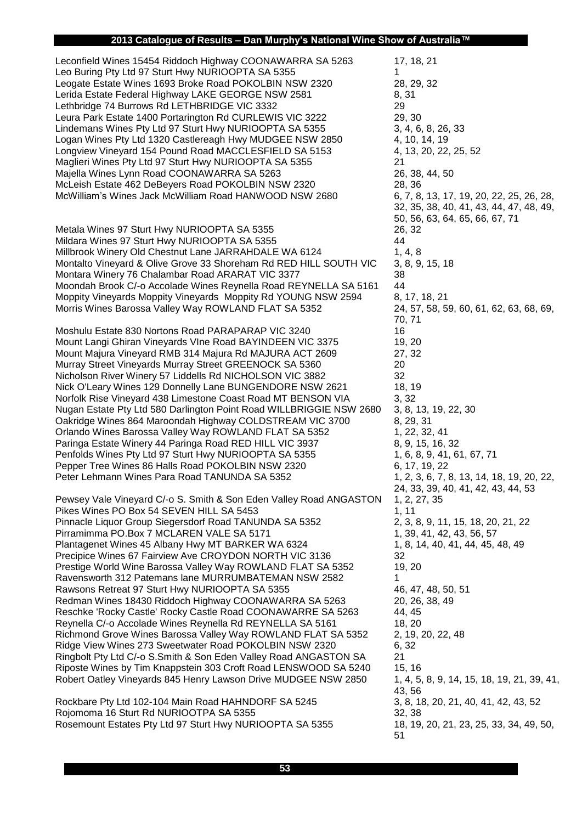Leconfield Wines 15454 Riddoch Highway COONAWARRA SA 5263 17, 18, 21 Leo Buring Pty Ltd 97 Sturt Hwy NURIOOPTA SA 5355 Leogate Estate Wines 1693 Broke Road POKOLBIN NSW 2320 28, 29, 32 Lerida Estate Federal Highway LAKE GEORGE NSW 2581 8, 31 Lethbridge 74 Burrows Rd LETHBRIDGE VIC 3332 29 Leura Park Estate 1400 Portarington Rd CURLEWIS VIC 3222 29, 30 Lindemans Wines Pty Ltd 97 Sturt Hwy NURIOOPTA SA 5355 3, 4, 6, 8, 26, 33 Logan Wines Pty Ltd 1320 Castlereagh Hwy MUDGEE NSW 2850 4, 10, 14, 19 Longview Vineyard 154 Pound Road MACCLESFIELD SA 5153 4, 13, 20, 22, 25, 52 Maglieri Wines Pty Ltd 97 Sturt Hwy NURIOOPTA SA 5355 21 Majella Wines Lynn Road COONAWARRA SA 5263 26, 38, 44, 50 McLeish Estate 462 DeBeyers Road POKOLBIN NSW 2320 28, 36 McWilliam's Wines Jack McWilliam Road HANWOOD NSW 2680 6, 7, 8, 13, 17, 19, 20, 22, 25, 26, 28, 16, 29,

Metala Wines 97 Sturt Hwy NURIOOPTA SA 5355 26, 32 Mildara Wines 97 Sturt Hwy NURIOOPTA SA 5355 Millbrook Winery Old Chestnut Lane JARRAHDALE WA 6124 1, 4, 8 Montalto Vineyard & Olive Grove 33 Shoreham Rd RED HILL SOUTH VIC 3, 8, 9, 15, 18 Montara Winery 76 Chalambar Road ARARAT VIC 3377 38 Moondah Brook C/-o Accolade Wines Reynella Road REYNELLA SA 5161 44 Moppity Vineyards Moppity Vineyards Moppity Rd YOUNG NSW 2594 8, 17, 18, 21 Morris Wines Barossa Valley Way ROWLAND FLAT SA 5352 24, 57, 58, 59, 60, 61, 62, 63, 68, 69,

Moshulu Estate 830 Nortons Road PARAPARAP VIC 3240 16 Mount Langi Ghiran Vineyards VIne Road BAYINDEEN VIC 3375 19, 20 Mount Majura Vineyard RMB 314 Majura Rd MAJURA ACT 2609 27, 32 Murray Street Vineyards Murray Street GREENOCK SA 5360 20 Nicholson River Winery 57 Liddells Rd NICHOLSON VIC 3882 32 Nick O'Leary Wines 129 Donnelly Lane BUNGENDORE NSW 2621 18, 19 Norfolk Rise Vineyard 438 Limestone Coast Road MT BENSON VIA 3, 32 Nugan Estate Pty Ltd 580 Darlington Point Road WILLBRIGGIE NSW 2680 3, 8, 13, 19, 22, 30 Oakridge Wines 864 Maroondah Highway COLDSTREAM VIC 3700 8, 29, 31 Orlando Wines Barossa Valley Way ROWLAND FLAT SA 5352 1, 22, 32, 41 Paringa Estate Winery 44 Paringa Road RED HILL VIC 3937 8, 9, 15, 16, 32 Penfolds Wines Pty Ltd 97 Sturt Hwy NURIOOPTA SA 5355 1, 6, 8, 9, 41, 61, 67, 71 Pepper Tree Wines 86 Halls Road POKOLBIN NSW 2320 6, 17, 19, 22 Peter Lehmann Wines Para Road TANUNDA SA 5352 1, 2, 3, 6, 7, 8, 13, 14, 18, 19, 20, 22,

Pewsey Vale Vineyard C/-o S. Smith & Son Eden Valley Road ANGASTON 1, 2, 27, 35 Pikes Wines PO Box 54 SEVEN HILL SA 5453 1, 11 Pinnacle Liquor Group Siegersdorf Road TANUNDA SA 5352 2, 3, 8, 9, 11, 15, 18, 20, 21, 22 Pirramimma PO.Box 7 MCLAREN VALE SA 5171 1, 39, 41, 42, 43, 56, 57 Plantagenet Wines 45 Albany Hwy MT BARKER WA 6324 1, 8, 14, 40, 41, 44, 45, 48, 49 Precipice Wines 67 Fairview Ave CROYDON NORTH VIC 3136 32 Prestige World Wine Barossa Valley Way ROWLAND FLAT SA 5352 19, 20 Ravensworth 312 Patemans lane MURRUMBATEMAN NSW 2582 1 Rawsons Retreat 97 Sturt Hwy NURIOOPTA SA 5355 46, 47, 48, 50, 51 Redman Wines 18430 Riddoch Highway COONAWARRA SA 5263 20, 26, 38, 49 Reschke 'Rocky Castle' Rocky Castle Road COONAWARRE SA 5263 44, 45 Reynella C/-o Accolade Wines Reynella Rd REYNELLA SA 5161 18, 20 Richmond Grove Wines Barossa Valley Way ROWLAND FLAT SA 5352 2, 19, 20, 22, 48 Ridge View Wines 273 Sweetwater Road POKOLBIN NSW 2320 6, 32 Ringbolt Pty Ltd C/-o S.Smith & Son Eden Valley Road ANGASTON SA 21 Riposte Wines by Tim Knappstein 303 Croft Road LENSWOOD SA 5240 15, 16 Robert Oatley Vineyards 845 Henry Lawson Drive MUDGEE NSW 2850 1, 4, 5, 8, 9, 14, 15, 18, 19, 21, 39, 41,

Rockbare Pty Ltd 102-104 Main Road HAHNDORF SA 5245 3, 8, 18, 20, 21, 40, 41, 42, 43, 52 Rojomoma 16 Sturt Rd NURIOOTPA SA 5355 32, 38 Rosemount Estates Pty Ltd 97 Sturt Hwy NURIOOPTA SA 5355 18, 19, 20, 21, 23, 25, 33, 34, 49, 50,

32, 35, 38, 40, 41, 43, 44, 47, 48, 49, 50, 56, 63, 64, 65, 66, 67, 71 70, 71 24, 33, 39, 40, 41, 42, 43, 44, 53 43, 56 51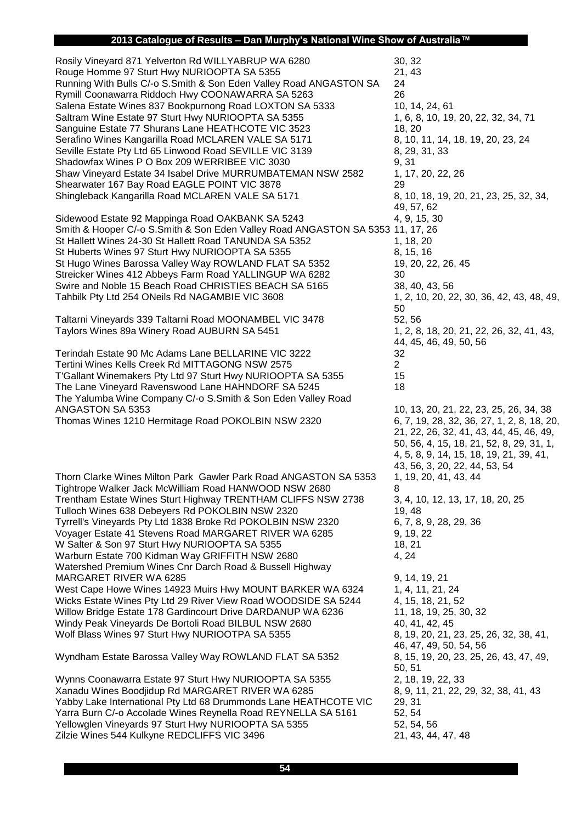## **2013 Catalogue of Results – Dan Murphy's National Wine Show of Australia™**

| <u>outuregue of Hoodite</u>                                                                                                                                                                                                                                                                                                                                                                                                                                                                                                                                                                                                                                                                                                              |                                                                                                                                      |
|------------------------------------------------------------------------------------------------------------------------------------------------------------------------------------------------------------------------------------------------------------------------------------------------------------------------------------------------------------------------------------------------------------------------------------------------------------------------------------------------------------------------------------------------------------------------------------------------------------------------------------------------------------------------------------------------------------------------------------------|--------------------------------------------------------------------------------------------------------------------------------------|
| Rosily Vineyard 871 Yelverton Rd WILLYABRUP WA 6280<br>Rouge Homme 97 Sturt Hwy NURIOOPTA SA 5355<br>Running With Bulls C/-o S.Smith & Son Eden Valley Road ANGASTON SA<br>Rymill Coonawarra Riddoch Hwy COONAWARRA SA 5263<br>Salena Estate Wines 837 Bookpurnong Road LOXTON SA 5333<br>Saltram Wine Estate 97 Sturt Hwy NURIOOPTA SA 5355<br>Sanguine Estate 77 Shurans Lane HEATHCOTE VIC 3523<br>Serafino Wines Kangarilla Road MCLAREN VALE SA 5171<br>Seville Estate Pty Ltd 65 Linwood Road SEVILLE VIC 3139<br>Shadowfax Wines P O Box 209 WERRIBEE VIC 3030<br>Shaw Vineyard Estate 34 Isabel Drive MURRUMBATEMAN NSW 2582<br>Shearwater 167 Bay Road EAGLE POINT VIC 3878<br>Shingleback Kangarilla Road MCLAREN VALE SA 5171 | 30, 32<br>21, 43<br>24<br>26<br>10, 14, 2<br>1, 6, 8, 1<br>18, 20<br>8, 10, 11<br>8, 29, 31<br>9, 31<br>1, 17, 20<br>29<br>8, 10, 18 |
| Sidewood Estate 92 Mappinga Road OAKBANK SA 5243<br>Smith & Hooper C/-o S.Smith & Son Eden Valley Road ANGASTON SA 5353 11, 17, 2<br>St Hallett Wines 24-30 St Hallett Road TANUNDA SA 5352<br>St Huberts Wines 97 Sturt Hwy NURIOOPTA SA 5355<br>St Hugo Wines Barossa Valley Way ROWLAND FLAT SA 5352<br>Streicker Wines 412 Abbeys Farm Road YALLINGUP WA 6282<br>Swire and Noble 15 Beach Road CHRISTIES BEACH SA 5165<br>Tahbilk Pty Ltd 254 ONeils Rd NAGAMBIE VIC 3608                                                                                                                                                                                                                                                            | 49, 57, 6<br>4, 9, 15,<br>1, 18, 20<br>8, 15, 16<br>19, 20, 2<br>30<br>38, 40, 4<br>1, 2, 10,<br>50                                  |
| Taltarni Vineyards 339 Taltarni Road MOONAMBEL VIC 3478<br>Taylors Wines 89a Winery Road AUBURN SA 5451                                                                                                                                                                                                                                                                                                                                                                                                                                                                                                                                                                                                                                  | 52, 56<br>1, 2, 8, 1                                                                                                                 |
| Terindah Estate 90 Mc Adams Lane BELLARINE VIC 3222<br>Tertini Wines Kells Creek Rd MITTAGONG NSW 2575<br>T'Gallant Winemakers Pty Ltd 97 Sturt Hwy NURIOOPTA SA 5355<br>The Lane Vineyard Ravenswood Lane HAHNDORF SA 5245<br>The Yalumba Wine Company C/-o S.Smith & Son Eden Valley Road<br>ANGASTON SA 5353<br>Thomas Wines 1210 Hermitage Road POKOLBIN NSW 2320                                                                                                                                                                                                                                                                                                                                                                    | 44, 45, 4<br>32<br>$\overline{2}$<br>15<br>18<br>10, 13, 2<br>6, 7, 19,<br>21, 22, 2                                                 |
| Thorn Clarke Wines Milton Park Gawler Park Road ANGASTON SA 5353<br>Tightrope Walker Jack McWilliam Road HANWOOD NSW 2680<br>Trentham Estate Wines Sturt Highway TRENTHAM CLIFFS NSW 2738<br>Tulloch Wines 638 Debeyers Rd POKOLBIN NSW 2320<br>Tyrrell's Vineyards Pty Ltd 1838 Broke Rd POKOLBIN NSW 2320<br>Voyager Estate 41 Stevens Road MARGARET RIVER WA 6285<br>W Salter & Son 97 Sturt Hwy NURIOOPTA SA 5355<br>Warburn Estate 700 Kidman Way GRIFFITH NSW 2680                                                                                                                                                                                                                                                                 | 50, 56, 4<br>4, 5, 8, 9<br>43, 56, 3<br>1, 19, 20<br>8<br>3, 4, 10,<br>19, 48<br>6, 7, 8, 9<br>9, 19, 22<br>18, 21<br>4, 24          |
| Watershed Premium Wines Cnr Darch Road & Bussell Highway<br>MARGARET RIVER WA 6285<br>West Cape Howe Wines 14923 Muirs Hwy MOUNT BARKER WA 6324<br>Wicks Estate Wines Pty Ltd 29 River View Road WOODSIDE SA 5244<br>Willow Bridge Estate 178 Gardincourt Drive DARDANUP WA 6236<br>Windy Peak Vineyards De Bortoli Road BILBUL NSW 2680<br>Wolf Blass Wines 97 Sturt Hwy NURIOOTPA SA 5355                                                                                                                                                                                                                                                                                                                                              | 9, 14, 19<br>1, 4, 11,<br>4, 15, 18<br>11, 18, 1<br>40, 41, 4<br>8, 19, 20                                                           |
| Wyndham Estate Barossa Valley Way ROWLAND FLAT SA 5352                                                                                                                                                                                                                                                                                                                                                                                                                                                                                                                                                                                                                                                                                   | 46, 47, 4<br>8, 15, 19                                                                                                               |
| Wynns Coonawarra Estate 97 Sturt Hwy NURIOOPTA SA 5355                                                                                                                                                                                                                                                                                                                                                                                                                                                                                                                                                                                                                                                                                   | 50, 51<br>2, 18, 19                                                                                                                  |

Xanadu Wines Boodjidup Rd MARGARET RIVER WA 6285 8, 9, 11, 21, 22, 29, 32, 38, 41, 43 Yabby Lake International Pty Ltd 68 Drummonds Lane HEATHCOTE VIC 29, 31 Yarra Burn C/-o Accolade Wines Reynella Road REYNELLA SA 5161 52, 54<br>Yellowalen Vinevards 97 Sturt Hwy NURIOOPTA SA 5355 56 52, 54, 56 Yellowglen Vineyards 97 Sturt Hwy NURIOOPTA SA 5355 Zilzie Wines 544 Kulkyne REDCLIFFS VIC 3496 21, 43, 44, 47, 48

10, 14, 24, 61 1, 6, 8, 10, 19, 20, 22, 32, 34, 71 8, 10, 11, 14, 18, 19, 20, 23, 24 8, 29, 31, 33<br>9, 31 1, 17, 20, 22, 26 8, 10, 18, 19, 20, 21, 23, 25, 32, 34, 49, 57, 62 4, 9, 15, 30 3 11, 17, 26 19, 20, 22, 26, 45 38, 40, 43, 56 1, 2, 10, 20, 22, 30, 36, 42, 43, 48, 49, 50 1, 2, 8, 18, 20, 21, 22, 26, 32, 41, 43, 44, 45, 46, 49, 50, 56 10, 13, 20, 21, 22, 23, 25, 26, 34, 38 6, 7, 19, 28, 32, 36, 27, 1, 2, 8, 18, 20, 21, 22, 26, 32, 41, 43, 44, 45, 46, 49, 50, 56, 4, 15, 18, 21, 52, 8, 29, 31, 1, 4, 5, 8, 9, 14, 15, 18, 19, 21, 39, 41, 43, 56, 3, 20, 22, 44, 53, 54 1, 19, 20, 41, 43, 44 3, 4, 10, 12, 13, 17, 18, 20, 25 6, 7, 8, 9, 28, 29, 36 9, 14, 19, 21 1, 4, 11, 21, 24 4, 15, 18, 21, 52 11, 18, 19, 25, 30, 32 40, 41, 42, 45 8, 19, 20, 21, 23, 25, 26, 32, 38, 41, 46, 47, 49, 50, 54, 56 8, 15, 19, 20, 23, 25, 26, 43, 47, 49, 50, 51 2, 18, 19, 22, 33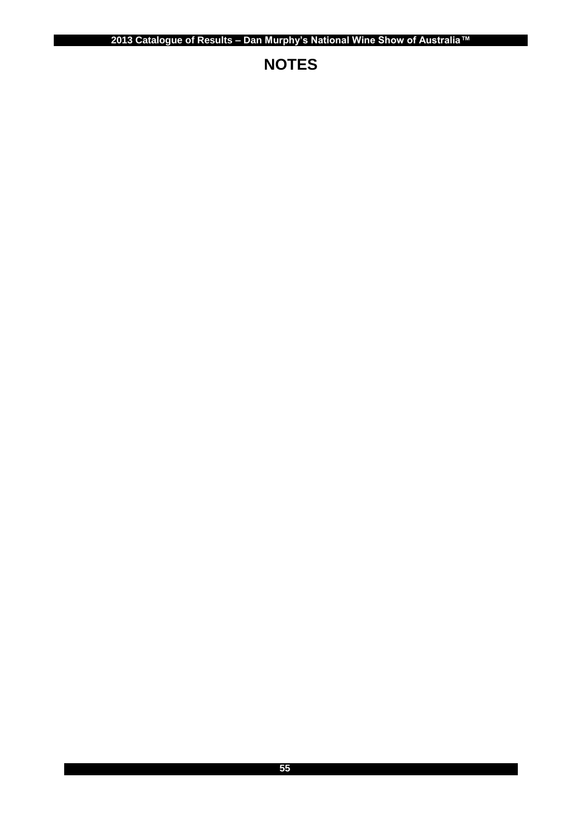# **NOTES**